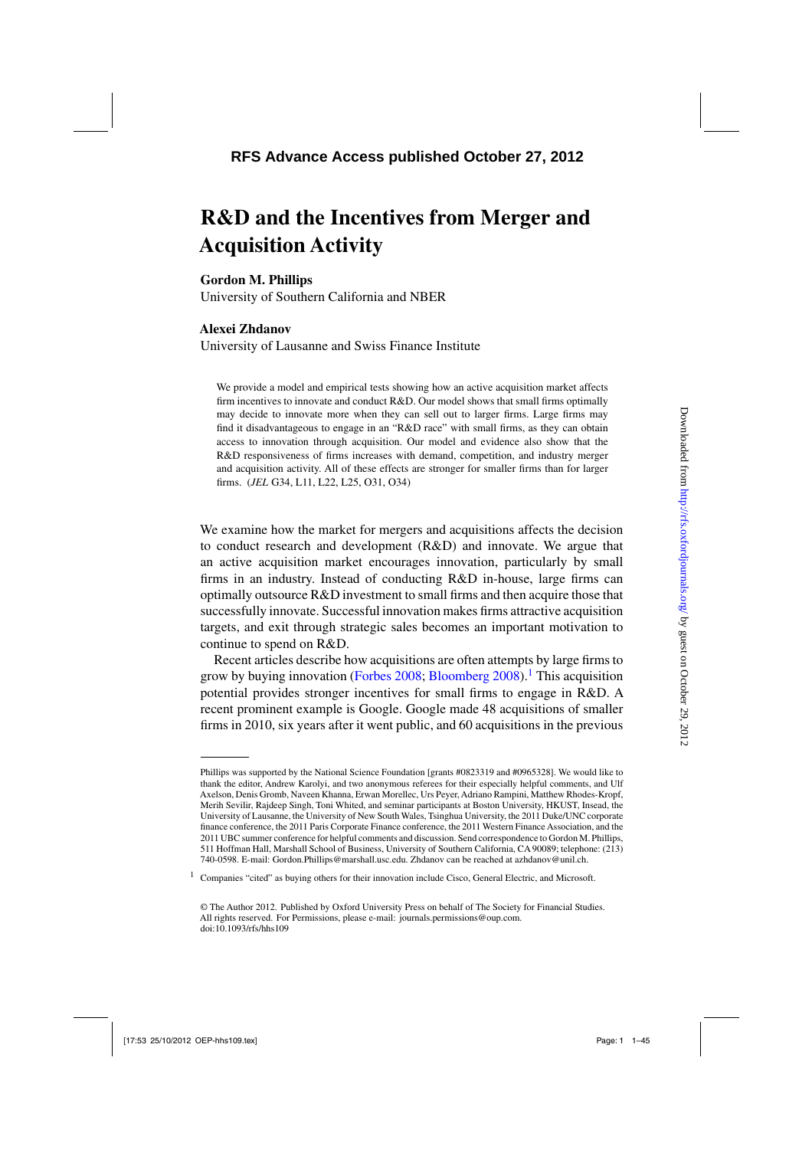# **R&D and the Incentives from Merger and Acquisition Activity**

### **Gordon M. Phillips**

University of Southern California and NBER

### **Alexei Zhdanov**

University of Lausanne and Swiss Finance Institute

We provide a model and empirical tests showing how an active acquisition market affects firm incentives to innovate and conduct R&D. Our model shows that small firms optimally may decide to innovate more when they can sell out to larger firms. Large firms may find it disadvantageous to engage in an "R&D race" with small firms, as they can obtain access to innovation through acquisition. Our model and evidence also show that the R&D responsiveness of firms increases with demand, competition, and industry merger and acquisition activity. All of these effects are stronger for smaller firms than for larger firms. (*JEL* G34, L11, L22, L25, O31, O34)

We examine how the market for mergers and acquisitions affects the decision to conduct research and development (R&D) and innovate. We argue that an active acquisition market encourages innovation, particularly by small firms in an industry. Instead of conducting R&D in-house, large firms can optimally outsource R&D investment to small firms and then acquire those that successfully innovate. Successful innovation makes firms attractive acquisition targets, and exit through strategic sales becomes an important motivation to continue to spend on R&D.

Recent articles describe how acquisitions are often attempts by large firms to grow by buying innovation [\(Forbes 2008](#page-42-0); Bloomberg  $2008$ ).<sup>1</sup> This acquisition potential provides stronger incentives for small firms to engage in R&D. A recent prominent example is Google. Google made 48 acquisitions of smaller firms in 2010, six years after it went public, and 60 acquisitions in the previous

Phillips was supported by the National Science Foundation [grants #0823319 and #0965328]. We would like to thank the editor, Andrew Karolyi, and two anonymous referees for their especially helpful comments, and Ulf Axelson, Denis Gromb, Naveen Khanna, Erwan Morellec, Urs Peyer, Adriano Rampini, Matthew Rhodes-Kropf, Merih Sevilir, Rajdeep Singh, Toni Whited, and seminar participants at Boston University, HKUST, Insead, the University of Lausanne, the University of New South Wales, Tsinghua University, the 2011 Duke/UNC corporate finance conference, the 2011 Paris Corporate Finance conference, the 2011 Western Finance Association, and the 2011 UBC summer conference for helpful comments and discussion. Send correspondence to Gordon M. Phillips, 511 Hoffman Hall, Marshall School of Business, University of Southern California, CA 90089; telephone: (213) 740-0598. E-mail: Gordon.Phillips@marshall.usc.edu. Zhdanov can be reached at azhdanov@unil.ch.

<sup>&</sup>lt;sup>1</sup> Companies "cited" as buying others for their innovation include Cisco, General Electric, and Microsoft.

<sup>©</sup> The Author 2012. Published by Oxford University Press on behalf of The Society for Financial Studies. All rights reserved. For Permissions, please e-mail: journals.permissions@oup.com. doi:10.1093/rfs/hhs109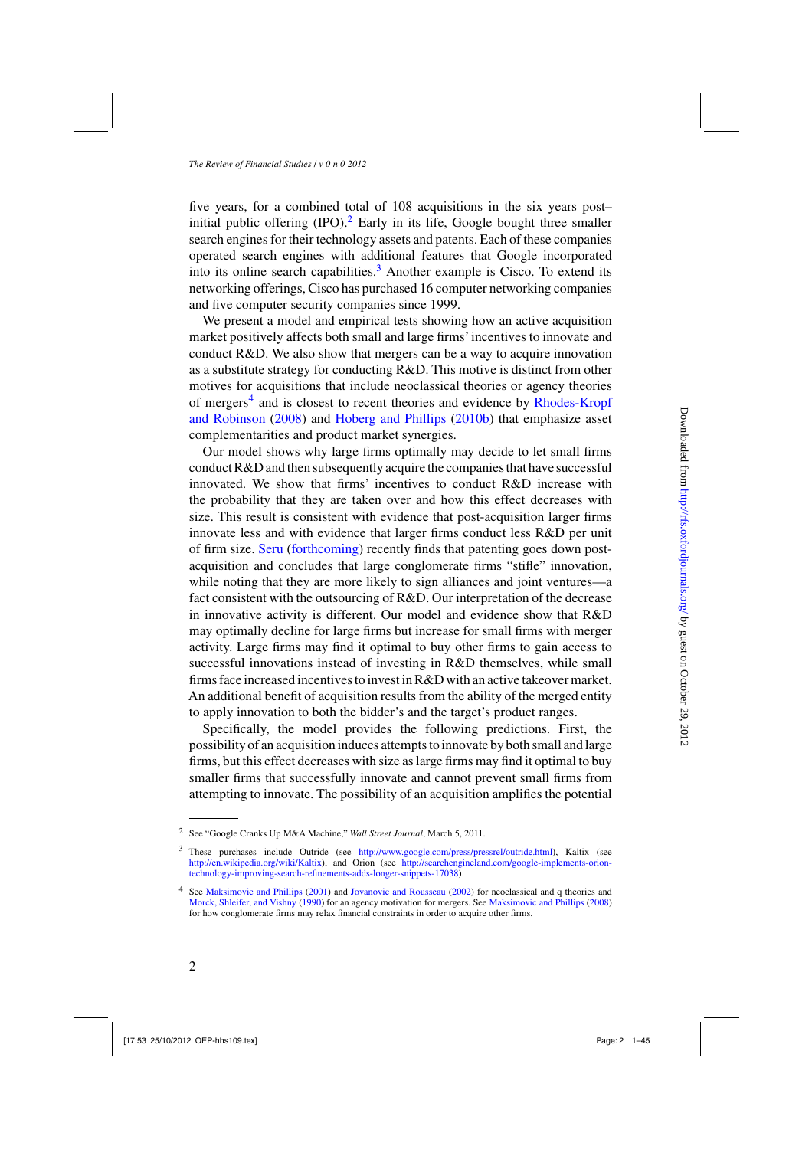five years, for a combined total of 108 acquisitions in the six years post– initial public offering  $(IPO)$ .<sup>2</sup> Early in its life, Google bought three smaller search engines for their technology assets and patents. Each of these companies operated search engines with additional features that Google incorporated into its online search capabilities.<sup>3</sup> Another example is Cisco. To extend its networking offerings, Cisco has purchased 16 computer networking companies and five computer security companies since 1999.

We present a model and empirical tests showing how an active acquisition market positively affects both small and large firms'incentives to innovate and conduct R&D. We also show that mergers can be a way to acquire innovation as a substitute strategy for conducting R&D. This motive is distinct from other motives for acquisitions that include neoclassical theories or agency theories of mergers<sup>4</sup> a[nd](#page-43-0) [is](#page-43-0) [closest](#page-43-0) [to](#page-43-0) [recent](#page-43-0) [theories](#page-43-0) [and](#page-43-0) [evidence](#page-43-0) [by](#page-43-0) Rhodes-Kropf and Robinson [\(2008](#page-43-0)) and [Hoberg and Phillips](#page-43-0) [\(2010b\)](#page-43-0) that emphasize asset complementarities and product market synergies.

Our model shows why large firms optimally may decide to let small firms conduct R&D and then subsequently acquire the companies that have successful innovated. We show that firms' incentives to conduct R&D increase with the probability that they are taken over and how this effect decreases with size. This result is consistent with evidence that post-acquisition larger firms innovate less and with evidence that larger firms conduct less R&D per unit of firm size. [Seru](#page-43-0) [\(forthcoming\)](#page-43-0) recently finds that patenting goes down postacquisition and concludes that large conglomerate firms "stifle" innovation, while noting that they are more likely to sign alliances and joint ventures—a fact consistent with the outsourcing of R&D. Our interpretation of the decrease in innovative activity is different. Our model and evidence show that R&D may optimally decline for large firms but increase for small firms with merger activity. Large firms may find it optimal to buy other firms to gain access to successful innovations instead of investing in R&D themselves, while small firms face increased incentives to invest in R&D with an active takeover market. An additional benefit of acquisition results from the ability of the merged entity to apply innovation to both the bidder's and the target's product ranges.

Specifically, the model provides the following predictions. First, the possibility of an acquisition induces attempts to innovate by both small and large firms, but this effect decreases with size as large firms may find it optimal to buy smaller firms that successfully innovate and cannot prevent small firms from attempting to innovate. The possibility of an acquisition amplifies the potential

<sup>2</sup> See "Google Cranks Up M&A Machine," *Wall Street Journal*, March 5, 2011.

<sup>3</sup> These purchases include Outride (see [http://www.google.com/press/pressrel/outride.html\)](http://www.google.com/press/pressrel/outride.html), Kaltix (see [http://en.wikipedia.org/wiki/Kaltix\)](http://en.wikipedia.org/wiki/Kaltix), and Orion (see http://searchengineland.com/google-implements-oriontechnology-improving-search-refinements-adds-longer[-snippets-17038\)](http://searchengineland.com/google-implements-orion-technology-improving-search-refinements-adds-longer-snippets-17038).

See [Maksimovic and Phillips](#page-43-0) [\(2001](#page-43-0)) and [Jovanovic and Rousseau](#page-43-0) [\(2002](#page-43-0)) for neoclassical and q theories and [Morck, Shleifer, and Vishny](#page-43-0) [\(1990](#page-43-0)) for an agency motivation for mergers. See [Maksimovic and Phillips](#page-43-0) [\(2008](#page-43-0)) for how conglomerate firms may relax financial constraints in order to acquire other firms.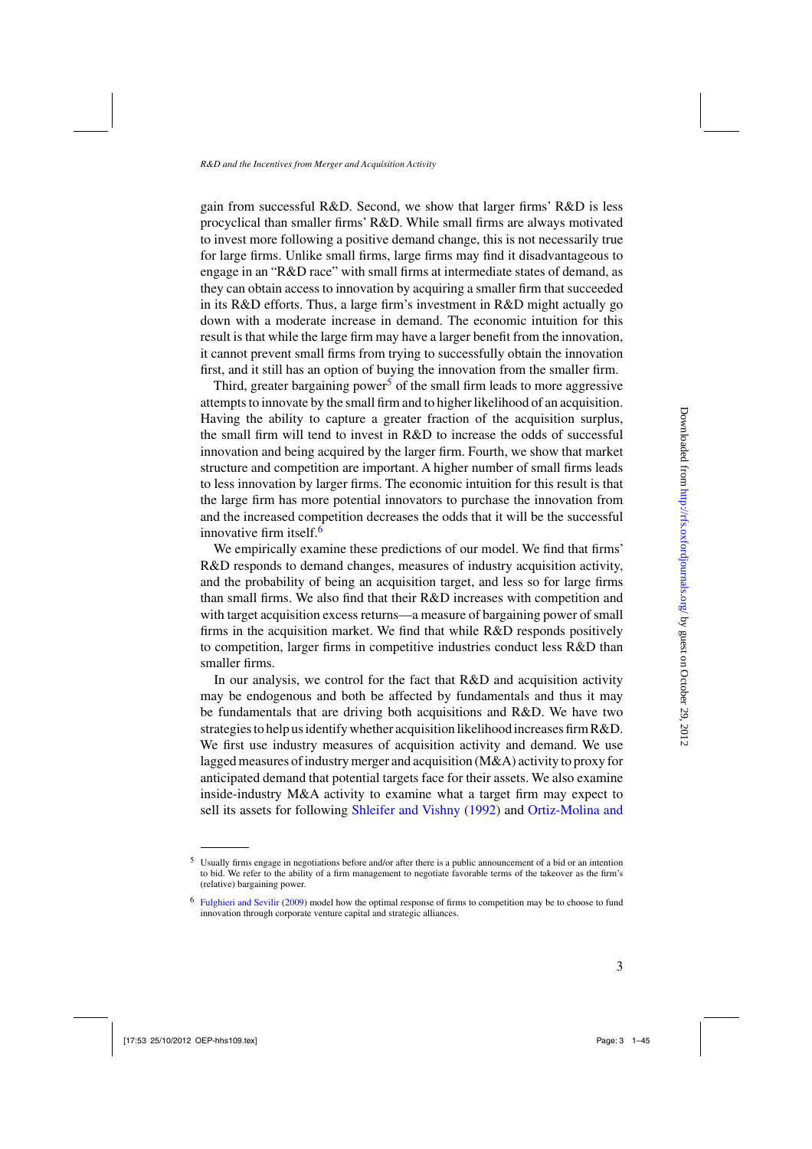gain from successful R&D. Second, we show that larger firms' R&D is less procyclical than smaller firms' R&D. While small firms are always motivated to invest more following a positive demand change, this is not necessarily true for large firms. Unlike small firms, large firms may find it disadvantageous to engage in an "R&D race" with small firms at intermediate states of demand, as they can obtain access to innovation by acquiring a smaller firm that succeeded in its R&D efforts. Thus, a large firm's investment in R&D might actually go down with a moderate increase in demand. The economic intuition for this result is that while the large firm may have a larger benefit from the innovation, it cannot prevent small firms from trying to successfully obtain the innovation first, and it still has an option of buying the innovation from the smaller firm.

Third, greater bargaining power<sup>5</sup> of the small firm leads to more aggressive attempts to innovate by the small firm and to higher likelihood of an acquisition. Having the ability to capture a greater fraction of the acquisition surplus, the small firm will tend to invest in R&D to increase the odds of successful innovation and being acquired by the larger firm. Fourth, we show that market structure and competition are important. A higher number of small firms leads to less innovation by larger firms. The economic intuition for this result is that the large firm has more potential innovators to purchase the innovation from and the increased competition decreases the odds that it will be the successful innovative firm itself. $<sup>6</sup>$ </sup>

We empirically examine these predictions of our model. We find that firms' R&D responds to demand changes, measures of industry acquisition activity, and the probability of being an acquisition target, and less so for large firms than small firms. We also find that their R&D increases with competition and with target acquisition excess returns—a measure of bargaining power of small firms in the acquisition market. We find that while R&D responds positively to competition, larger firms in competitive industries conduct less R&D than smaller firms.

In our analysis, we control for the fact that R&D and acquisition activity may be endogenous and both be affected by fundamentals and thus it may be fundamentals that are driving both acquisitions and R&D. We have two strategies to help us identify whether acquisition likelihood increases firm R&D. We first use industry measures of acquisition activity and demand. We use lagged measures of industry merger and acquisition (M&A) activity to proxy for anticipated demand that potential targets face for their assets. We also examine inside-industry M&A activity to examine what a target firm may expect to sell its assets for following [Shleifer and Vishny](#page-44-0) [\(1992](#page-44-0)) and Ortiz-Molina and

<sup>5</sup> Usually firms engage in negotiations before and/or after there is a public announcement of a bid or an intention to bid. We refer to the ability of a firm management to negotiate favorable terms of the takeover as the firm's (relative) bargaining power.

<sup>&</sup>lt;sup>6</sup> [Fulghieri and Sevilir](#page-42-0) [\(2009\)](#page-42-0) model how the optimal response of firms to competition may be to choose to fund innovation through corporate venture capital and strategic alliances.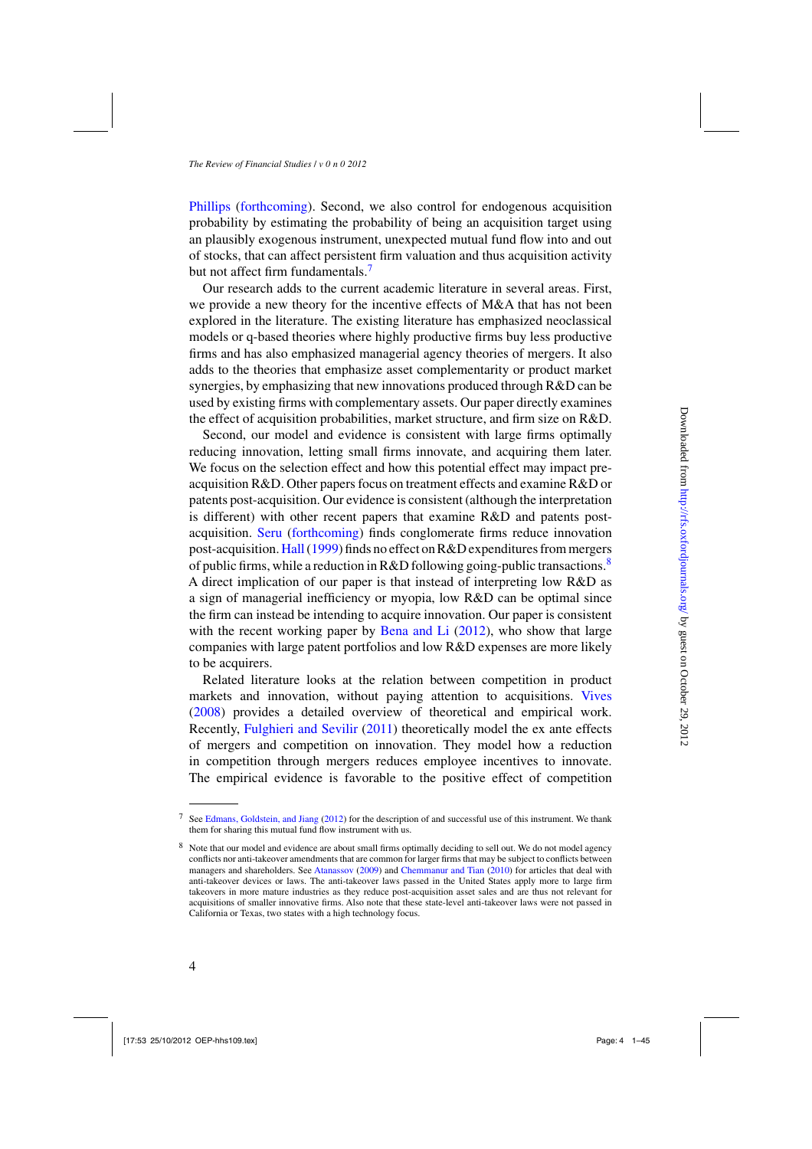Phillips [\(forthcoming](#page-43-0)). Second, we also control for endogenous acquisition probability by estimating the probability of being an acquisition target using an plausibly exogenous instrument, unexpected mutual fund flow into and out of stocks, that can affect persistent firm valuation and thus acquisition activity but not affect firm fundamentals.<sup>7</sup>

Our research adds to the current academic literature in several areas. First, we provide a new theory for the incentive effects of M&A that has not been explored in the literature. The existing literature has emphasized neoclassical models or q-based theories where highly productive firms buy less productive firms and has also emphasized managerial agency theories of mergers. It also adds to the theories that emphasize asset complementarity or product market synergies, by emphasizing that new innovations produced through R&D can be used by existing firms with complementary assets. Our paper directly examines the effect of acquisition probabilities, market structure, and firm size on R&D.

Second, our model and evidence is consistent with large firms optimally reducing innovation, letting small firms innovate, and acquiring them later. We focus on the selection effect and how this potential effect may impact preacquisition R&D. Other papers focus on treatment effects and examine R&D or patents post-acquisition. Our evidence is consistent (although the interpretation is different) with other recent papers that examine R&D and patents postacquisition. [Seru](#page-43-0) [\(forthcoming](#page-43-0)) finds conglomerate firms reduce innovation post-acquisition. Hall (1999) finds no effect on R&D expenditures from mergers of public firms, while a reduction in R&D following going-public transactions.<sup>8</sup> A direct implication of our paper is that instead of interpreting low R&D as a sign of managerial inefficiency or myopia, low R&D can be optimal since the firm can instead be intending to acquire innovation. Our paper is consistent with the recent working paper by [Bena and Li](#page-42-0) [\(2012\)](#page-42-0), who show that large companies with large patent portfolios and low R&D expenses are more likely to be acquirers.

Related literature looks at the relation between competition in product markets and innovation, without paying attention to acquisitions. [Vives](#page-44-0) [\(2008\)](#page-44-0) provides a detailed overview of theoretical and empirical work. Recently, [Fulghieri and Sevilir](#page-42-0) [\(2011](#page-42-0)) theoretically model the ex ante effects of mergers and competition on innovation. They model how a reduction in competition through mergers reduces employee incentives to innovate. The empirical evidence is favorable to the positive effect of competition

See [Edmans, Goldstein, and Jiang](#page-42-0) [\(2012\)](#page-42-0) for the description of and successful use of this instrument. We thank them for sharing this mutual fund flow instrument with us.

<sup>8</sup> Note that our model and evidence are about small firms optimally deciding to sell out. We do not model agency conflicts nor anti-takeover amendments that are common for larger firms that may be subject to conflicts between managers and shareholders. See [Atanassov](#page-42-0) [\(2009](#page-42-0)) and [Chemmanur and Tian](#page-42-0) [\(2010](#page-42-0)) for articles that deal with anti-takeover devices or laws. The anti-takeover laws passed in the United States apply more to large firm takeovers in more mature industries as they reduce post-acquisition asset sales and are thus not relevant for acquisitions of smaller innovative firms. Also note that these state-level anti-takeover laws were not passed in California or Texas, two states with a high technology focus.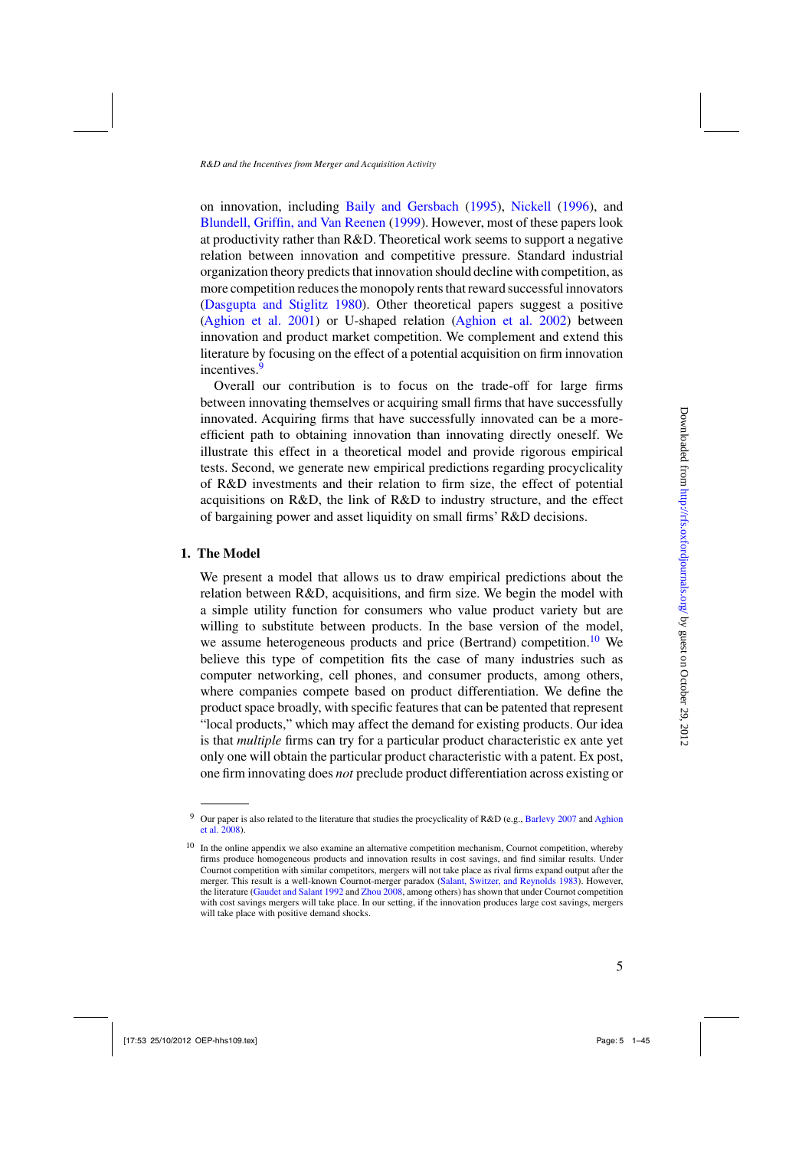on innovation, including [Baily and Gersbach](#page-42-0) [\(1995](#page-42-0)), [Nickell](#page-43-0) [\(1996\)](#page-43-0), and [Blundell, Griffin, and Van Reenen](#page-42-0) [\(1999](#page-42-0)). However, most of these papers look at productivity rather than R&D. Theoretical work seems to support a negative relation between innovation and competitive pressure. Standard industrial organization theory predicts that innovation should decline with competition, as more competition reduces the monopoly rents that reward successful innovators [\(Dasgupta and Stiglitz 1980](#page-42-0)). Other theoretical papers suggest a positive [\(Aghion et al. 2001\)](#page-42-0) or U-shaped relation [\(Aghion et al. 2002](#page-42-0)) between innovation and product market competition. We complement and extend this literature by focusing on the effect of a potential acquisition on firm innovation incentives.<sup>9</sup>

Overall our contribution is to focus on the trade-off for large firms between innovating themselves or acquiring small firms that have successfully innovated. Acquiring firms that have successfully innovated can be a moreefficient path to obtaining innovation than innovating directly oneself. We illustrate this effect in a theoretical model and provide rigorous empirical tests. Second, we generate new empirical predictions regarding procyclicality of R&D investments and their relation to firm size, the effect of potential acquisitions on R&D, the link of R&D to industry structure, and the effect of bargaining power and asset liquidity on small firms' R&D decisions.

### **1. The Model**

We present a model that allows us to draw empirical predictions about the relation between R&D, acquisitions, and firm size. We begin the model with a simple utility function for consumers who value product variety but are willing to substitute between products. In the base version of the model, we assume heterogeneous products and price (Bertrand) competition.<sup>10</sup> We believe this type of competition fits the case of many industries such as computer networking, cell phones, and consumer products, among others, where companies compete based on product differentiation. We define the product space broadly, with specific features that can be patented that represent "local products," which may affect the demand for existing products. Our idea is that *multiple* firms can try for a particular product characteristic ex ante yet only one will obtain the particular product characteristic with a patent. Ex post, one firm innovating does *not* preclude product differentiation across existing or

Our [paper is also related to the literature that studies the procyclicality of R&D \(e.g.,](#page-42-0) [Barlevy 2007](#page-42-0) and Aghion et al. [2008\)](#page-42-0).

 $10$  In the online appendix we also examine an alternative competition mechanism, Cournot competition, whereby firms produce homogeneous products and innovation results in cost savings, and find similar results. Under Cournot competition with similar competitors, mergers will not take place as rival firms expand output after the merger. This result is a well-known Cournot-merger paradox [\(Salant, Switzer, and Reynolds 1983](#page-43-0)). However, the literature [\(Gaudet and Salant 1992](#page-43-0) and [Zhou 2008,](#page-44-0) among others) has shown that under Cournot competition with cost savings mergers will take place. In our setting, if the innovation produces large cost savings, mergers will take place with positive demand shocks.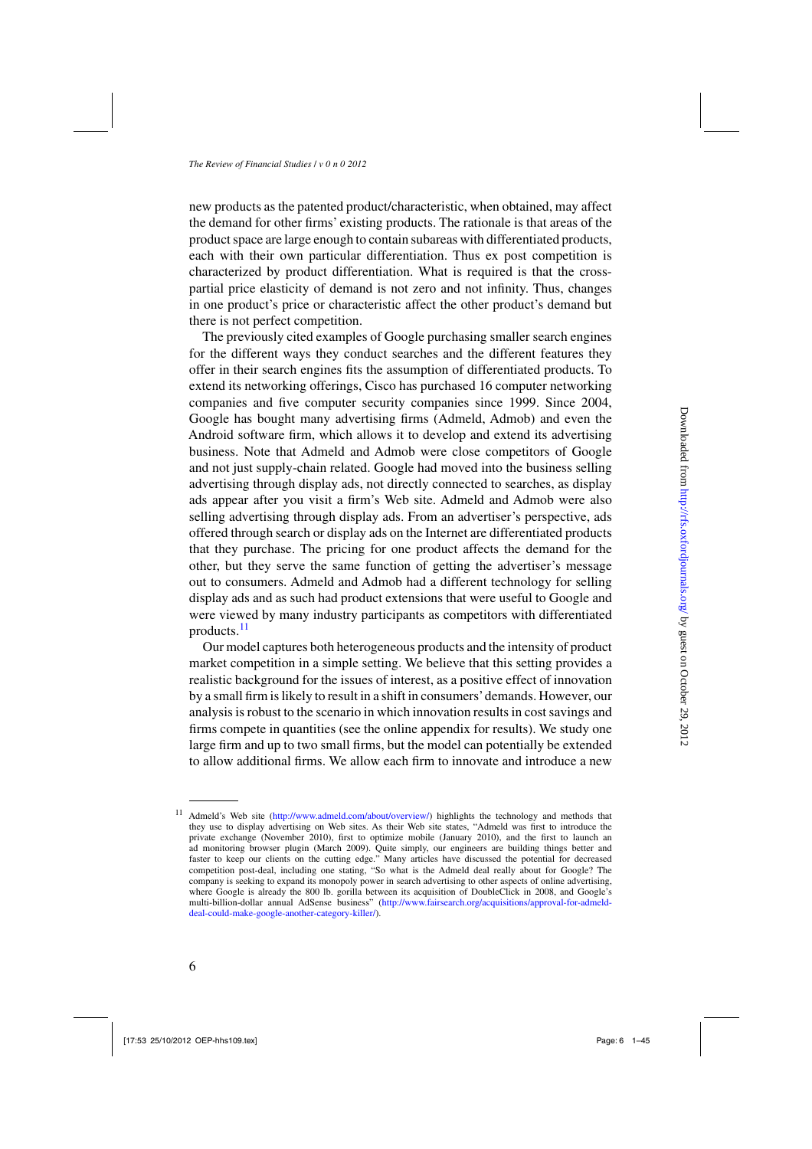new products as the patented product/characteristic, when obtained, may affect the demand for other firms' existing products. The rationale is that areas of the product space are large enough to contain subareas with differentiated products, each with their own particular differentiation. Thus ex post competition is characterized by product differentiation. What is required is that the crosspartial price elasticity of demand is not zero and not infinity. Thus, changes in one product's price or characteristic affect the other product's demand but there is not perfect competition.

The previously cited examples of Google purchasing smaller search engines for the different ways they conduct searches and the different features they offer in their search engines fits the assumption of differentiated products. To extend its networking offerings, Cisco has purchased 16 computer networking companies and five computer security companies since 1999. Since 2004, Google has bought many advertising firms (Admeld, Admob) and even the Android software firm, which allows it to develop and extend its advertising business. Note that Admeld and Admob were close competitors of Google and not just supply-chain related. Google had moved into the business selling advertising through display ads, not directly connected to searches, as display ads appear after you visit a firm's Web site. Admeld and Admob were also selling advertising through display ads. From an advertiser's perspective, ads offered through search or display ads on the Internet are differentiated products that they purchase. The pricing for one product affects the demand for the other, but they serve the same function of getting the advertiser's message out to consumers. Admeld and Admob had a different technology for selling display ads and as such had product extensions that were useful to Google and were viewed by many industry participants as competitors with differentiated products.<sup>11</sup>

Our model captures both heterogeneous products and the intensity of product market competition in a simple setting. We believe that this setting provides a realistic background for the issues of interest, as a positive effect of innovation by a small firm is likely to result in a shift in consumers'demands. However, our analysis is robust to the scenario in which innovation results in cost savings and firms compete in quantities (see the online appendix for results). We study one large firm and up to two small firms, but the model can potentially be extended to allow additional firms. We allow each firm to innovate and introduce a new

<sup>11</sup> Admeld's Web site [\(http://www.admeld.com/about/overview/\)](http://www.admeld.com/about/overview/) highlights the technology and methods that they use to display advertising on Web sites. As their Web site states, "Admeld was first to introduce the private exchange (November 2010), first to optimize mobile (January 2010), and the first to launch an ad monitoring browser plugin (March 2009). Quite simply, our engineers are building things better and faster to keep our clients on the cutting edge." Many articles have discussed the potential for decreased competition post-deal, including one stating, "So what is the Admeld deal really about for Google? The company is seeking to expand its monopoly power in search advertising to other aspects of online advertising, where Google is already the 800 lb. gorilla between its acquisition of DoubleClick in 2008, and Google's multi-billion-dollar annual AdSense business" (http://www.fairsearch.org/acquisitions/approval-for-admelddeal-could-make-google-another-category-killer/).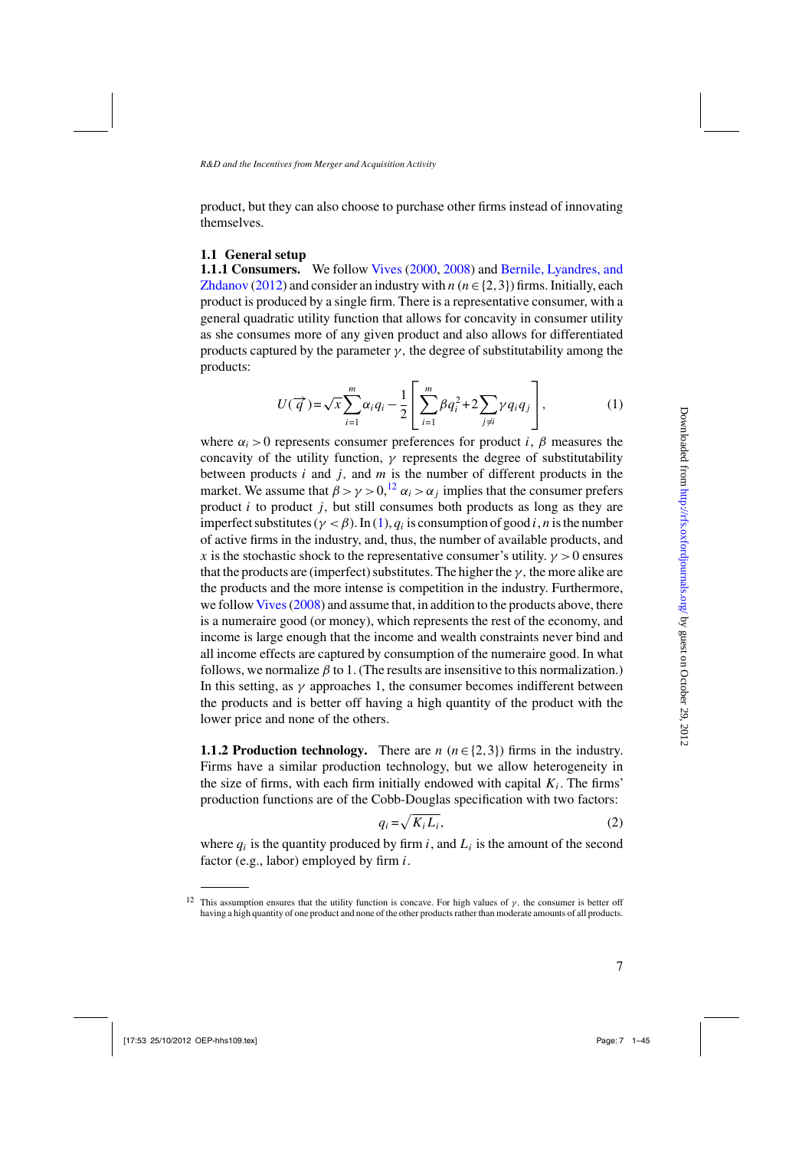product, but they can also choose to purchase other firms instead of innovating themselves.

# **1.1 General setup**

**1.1.1 Consumers.** [We follow](#page-42-0) [Vives](#page-44-0) [\(2000](#page-44-0), [2008\)](#page-44-0) and Bernile, Lyandres, and Zhdanov [\(2012](#page-42-0)) and consider an industry with  $n (n \in \{2, 3\})$  firms. Initially, each product is produced by a single firm. There is a representative consumer, with a general quadratic utility function that allows for concavity in consumer utility as she consumes more of any given product and also allows for differentiated products captured by the parameter  $\gamma$ , the degree of substitutability among the products:

$$
U(\overrightarrow{q}) = \sqrt{x} \sum_{i=1}^{m} \alpha_i q_i - \frac{1}{2} \left[ \sum_{i=1}^{m} \beta q_i^2 + 2 \sum_{j \neq i} \gamma q_i q_j \right],
$$
 (1)

where  $\alpha_i > 0$  represents consumer preferences for product *i*,  $\beta$  measures the concavity of the utility function,  $\gamma$  represents the degree of substitutability between products *i* and *j,* and *m* is the number of different products in the market. We assume that  $\beta > \gamma > 0,$ <sup>12</sup>  $\alpha_i > \alpha_j$  implies that the consumer prefers product *i* to product *j,* but still consumes both products as long as they are imperfect substitutes ( $\gamma < \beta$ ). In (1),  $q_i$  is consumption of good *i*, *n* is the number of active firms in the industry, and, thus, the number of available products, and *x* is the stochastic shock to the representative consumer's utility.  $\gamma > 0$  ensures that the products are (imperfect) substitutes. The higher the  $\gamma$ , the more alike are the products and the more intense is competition in the industry. Furthermore, we follow Vives (2008) and assume that, in addition to the products above, there is a numeraire good (or money), which represents the rest of the economy, and income is large enough that the income and wealth constraints never bind and all income effects are captured by consumption of the numeraire good. In what follows, we normalize  $\beta$  to 1. (The results are insensitive to this normalization.) In this setting, as  $\gamma$  approaches 1, the consumer becomes indifferent between the products and is better off having a high quantity of the product with the lower price and none of the others.

**1.1.2 Production technology.** There are  $n (n \in \{2, 3\})$  firms in the industry. Firms have a similar production technology, but we allow heterogeneity in the size of firms, with each firm initially endowed with capital  $K_i$ . The firms' production functions are of the Cobb-Douglas specification with two factors:

$$
q_i = \sqrt{K_i L_i},\tag{2}
$$

where  $q_i$  is the quantity produced by firm *i*, and  $L_i$  is the amount of the second factor (e.g., labor) employed by firm *i*.

<sup>&</sup>lt;sup>12</sup> This assumption ensures that the utility function is concave. For high values of  $\gamma$ , the consumer is better off having a high quantity of one product and none of the other products rather than moderate amounts of all products.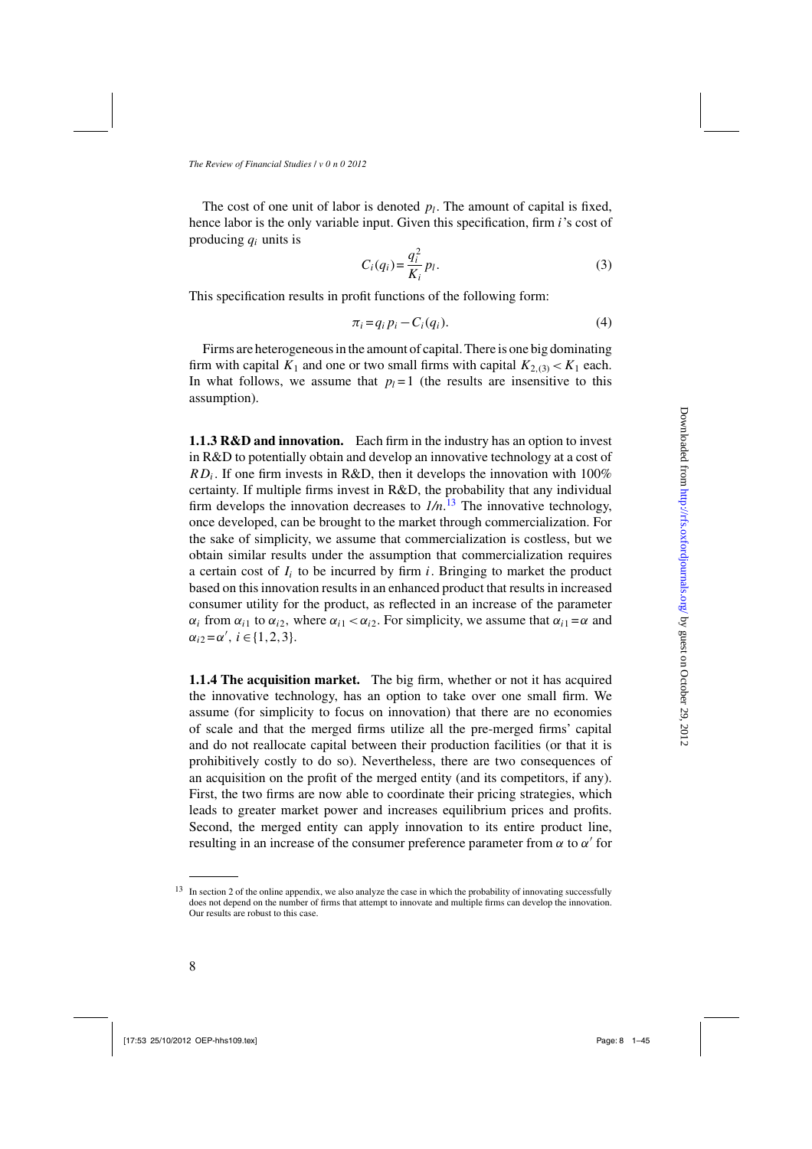<span id="page-7-0"></span>The cost of one unit of labor is denoted  $p_l$ . The amount of capital is fixed, hence labor is the only variable input. Given this specification, firm *i*'s cost of producing *qi* units is

$$
C_i(q_i) = \frac{q_i^2}{K_i} p_l.
$$
\n<sup>(3)</sup>

This specification results in profit functions of the following form:

$$
\pi_i = q_i p_i - C_i(q_i). \tag{4}
$$

Firms are heterogeneous in the amount of capital. There is one big dominating firm with capital  $K_1$  and one or two small firms with capital  $K_{2,(3)} < K_1$  each. In what follows, we assume that  $p_l = 1$  (the results are insensitive to this assumption).

**1.1.3 R&D and innovation.** Each firm in the industry has an option to invest in R&D to potentially obtain and develop an innovative technology at a cost of  $RD<sub>i</sub>$ . If one firm invests in R&D, then it develops the innovation with 100% certainty. If multiple firms invest in R&D, the probability that any individual firm develops the innovation decreases to  $1/n$ .<sup>13</sup> The innovative technology, once developed, can be brought to the market through commercialization. For the sake of simplicity, we assume that commercialization is costless, but we obtain similar results under the assumption that commercialization requires a certain cost of *Ii* to be incurred by firm *i*. Bringing to market the product based on this innovation results in an enhanced product that results in increased consumer utility for the product, as reflected in an increase of the parameter *α<sub>i</sub>* from  $\alpha_{i1}$  to  $\alpha_{i2}$ , where  $\alpha_{i1} < \alpha_{i2}$ . For simplicity, we assume that  $\alpha_{i1} = \alpha$  and  $\alpha_{i2} = \alpha'$ ,  $i \in \{1, 2, 3\}.$ 

**1.1.4 The acquisition market.** The big firm, whether or not it has acquired the innovative technology, has an option to take over one small firm. We assume (for simplicity to focus on innovation) that there are no economies of scale and that the merged firms utilize all the pre-merged firms' capital and do not reallocate capital between their production facilities (or that it is prohibitively costly to do so). Nevertheless, there are two consequences of an acquisition on the profit of the merged entity (and its competitors, if any). First, the two firms are now able to coordinate their pricing strategies, which leads to greater market power and increases equilibrium prices and profits. Second, the merged entity can apply innovation to its entire product line, resulting in an increase of the consumer preference parameter from  $\alpha$  to  $\alpha'$  for

<sup>13</sup> In section 2 of the online appendix, we also analyze the case in which the probability of innovating successfully does not depend on the number of firms that attempt to innovate and multiple firms can develop the innovation. Our results are robust to this case.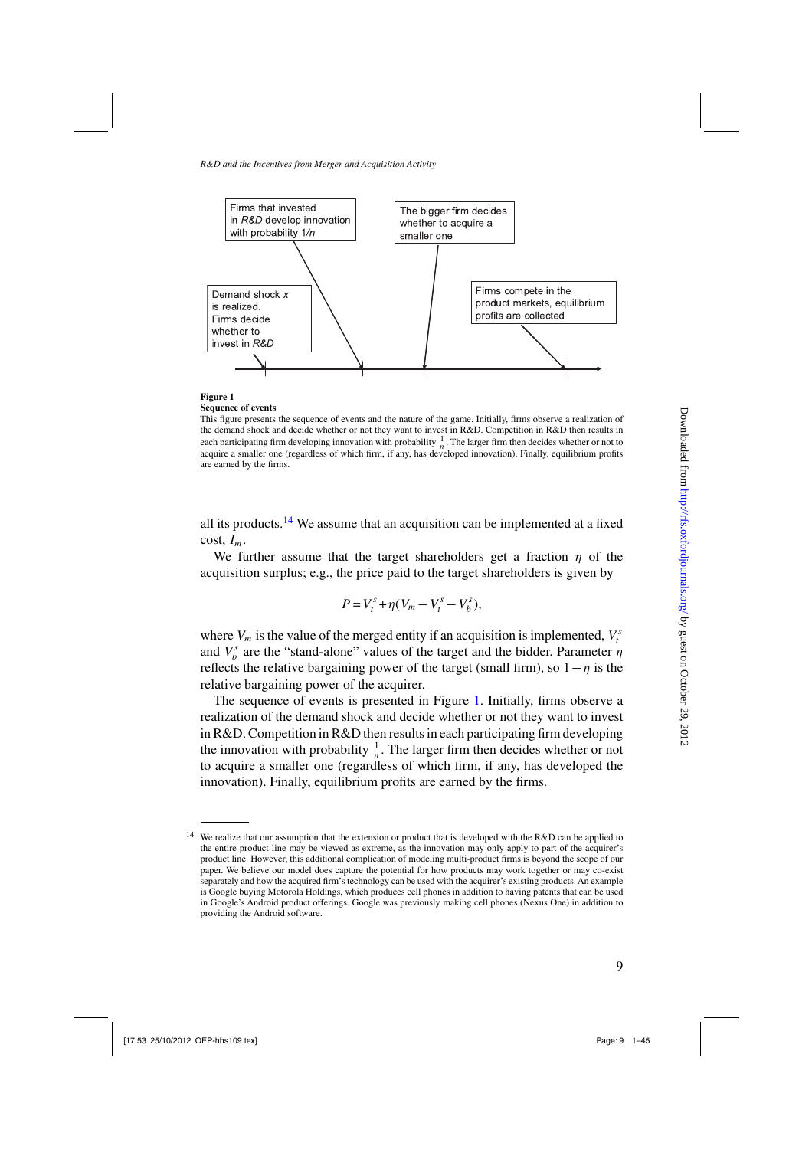<span id="page-8-0"></span>

**Figure 1 Sequence of events**

This figure presents the sequence of events and the nature of the game. Initially, firms observe a realization of the demand shock and decide whether or not they want to invest in R&D. Competition in R&D then results in each participating firm developing innovation with probability  $\frac{1}{n}$ . The larger firm then decides whether or not to acquire a smaller one (regardless of which firm, if any, has developed innovation). Finally, equilibrium profits are earned by the firms.

all its products.<sup>14</sup> We assume that an acquisition can be implemented at a fixed  $cost, I_m$ .

We further assume that the target shareholders get a fraction *η* of the acquisition surplus; e.g., the price paid to the target shareholders is given by

$$
P=V_t^s+\eta(V_m-V_t^s-V_b^s),
$$

where  $V_m$  is the value of the merged entity if an acquisition is implemented,  $V_t^s$ and  $V_b^s$  are the "stand-alone" values of the target and the bidder. Parameter  $\eta$ reflects the relative bargaining power of the target (small firm), so  $1-\eta$  is the relative bargaining power of the acquirer.

The sequence of events is presented in Figure 1. Initially, firms observe a realization of the demand shock and decide whether or not they want to invest in R&D. Competition in R&D then results in each participating firm developing the innovation with probability  $\frac{1}{n}$ . The larger firm then decides whether or not to acquire a smaller one (regardless of which firm, if any, has developed the innovation). Finally, equilibrium profits are earned by the firms.

<sup>&</sup>lt;sup>14</sup> We realize that our assumption that the extension or product that is developed with the R&D can be applied to the entire product line may be viewed as extreme, as the innovation may only apply to part of the acquirer's product line. However, this additional complication of modeling multi-product firms is beyond the scope of our paper. We believe our model does capture the potential for how products may work together or may co-exist separately and how the acquired firm's technology can be used with the acquirer's existing products. An example is Google buying Motorola Holdings, which produces cell phones in addition to having patents that can be used in Google's Android product offerings. Google was previously making cell phones (Nexus One) in addition to providing the Android software.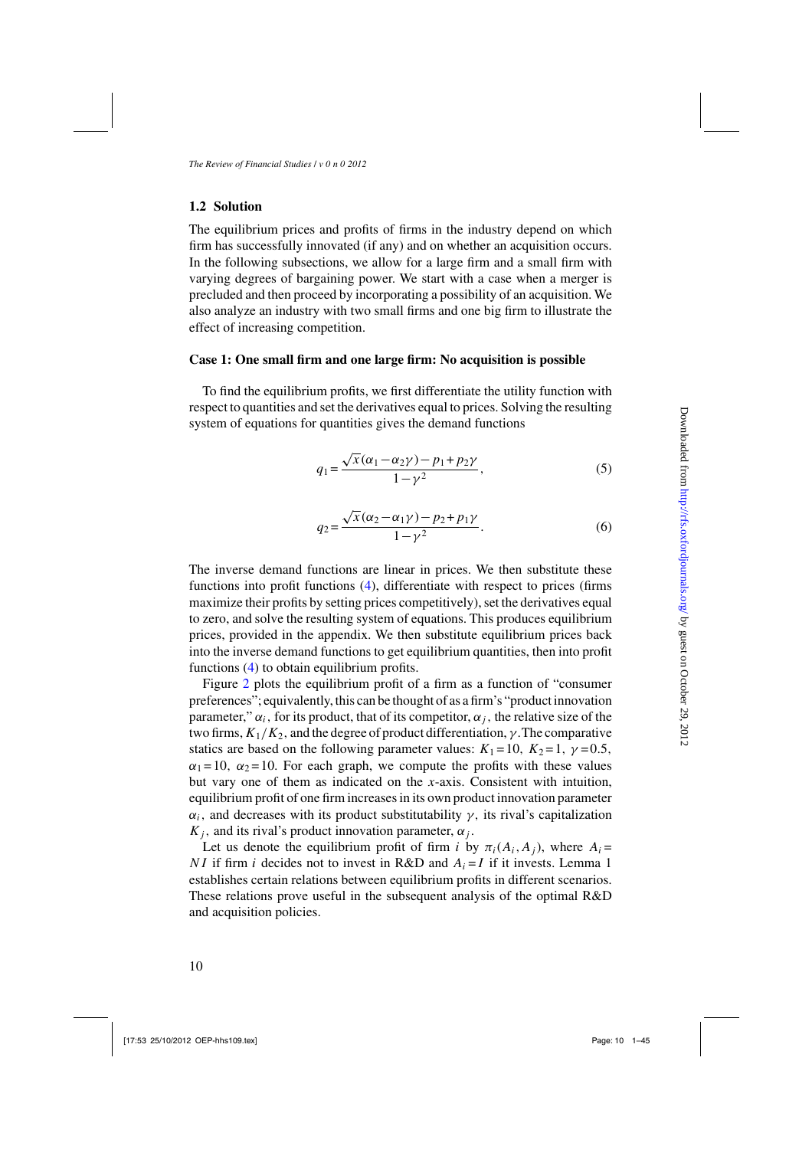# <span id="page-9-0"></span>**1.2 Solution**

The equilibrium prices and profits of firms in the industry depend on which firm has successfully innovated (if any) and on whether an acquisition occurs. In the following subsections, we allow for a large firm and a small firm with varying degrees of bargaining power. We start with a case when a merger is precluded and then proceed by incorporating a possibility of an acquisition. We also analyze an industry with two small firms and one big firm to illustrate the effect of increasing competition.

### **Case 1: One small firm and one large firm: No acquisition is possible**

To find the equilibrium profits, we first differentiate the utility function with respect to quantities and set the derivatives equal to prices. Solving the resulting system of equations for quantities gives the demand functions

$$
q_1 = \frac{\sqrt{x}(\alpha_1 - \alpha_2 \gamma) - p_1 + p_2 \gamma}{1 - \gamma^2},
$$
\n(5)

$$
q_2 = \frac{\sqrt{x}(\alpha_2 - \alpha_1 \gamma) - p_2 + p_1 \gamma}{1 - \gamma^2}.
$$
 (6)

The inverse demand functions are linear in prices. We then substitute these functions into profit functions [\(4\)](#page-7-0), differentiate with respect to prices (firms maximize their profits by setting prices competitively), set the derivatives equal to zero, and solve the resulting system of equations. This produces equilibrium prices, provided in the appendix. We then substitute equilibrium prices back into the inverse demand functions to get equilibrium quantities, then into profit functions [\(4\)](#page-7-0) to obtain equilibrium profits.

Figure [2](#page-10-0) plots the equilibrium profit of a firm as a function of "consumer preferences"; equivalently, this can be thought of as a firm's "product innovation parameter,"  $\alpha_i$ , for its product, that of its competitor,  $\alpha_i$ , the relative size of the two firms,  $K_1/K_2$ , and the degree of product differentiation,  $\gamma$ . The comparative statics are based on the following parameter values:  $K_1 = 10$ ,  $K_2 = 1$ ,  $\gamma = 0.5$ ,  $\alpha_1 = 10$ ,  $\alpha_2 = 10$ . For each graph, we compute the profits with these values but vary one of them as indicated on the *x*-axis. Consistent with intuition, equilibrium profit of one firm increases in its own product innovation parameter *α<sub>i</sub>*, and decreases with its product substitutability *γ*, its rival's capitalization  $K_i$ , and its rival's product innovation parameter,  $\alpha_i$ .

Let us denote the equilibrium profit of firm *i* by  $\pi_i(A_i, A_j)$ , where  $A_i =$ *NI* if firm *i* decides not to invest in R&D and  $A_i = I$  if it invests. Lemma 1 establishes certain relations between equilibrium profits in different scenarios. These relations prove useful in the subsequent analysis of the optimal R&D and acquisition policies.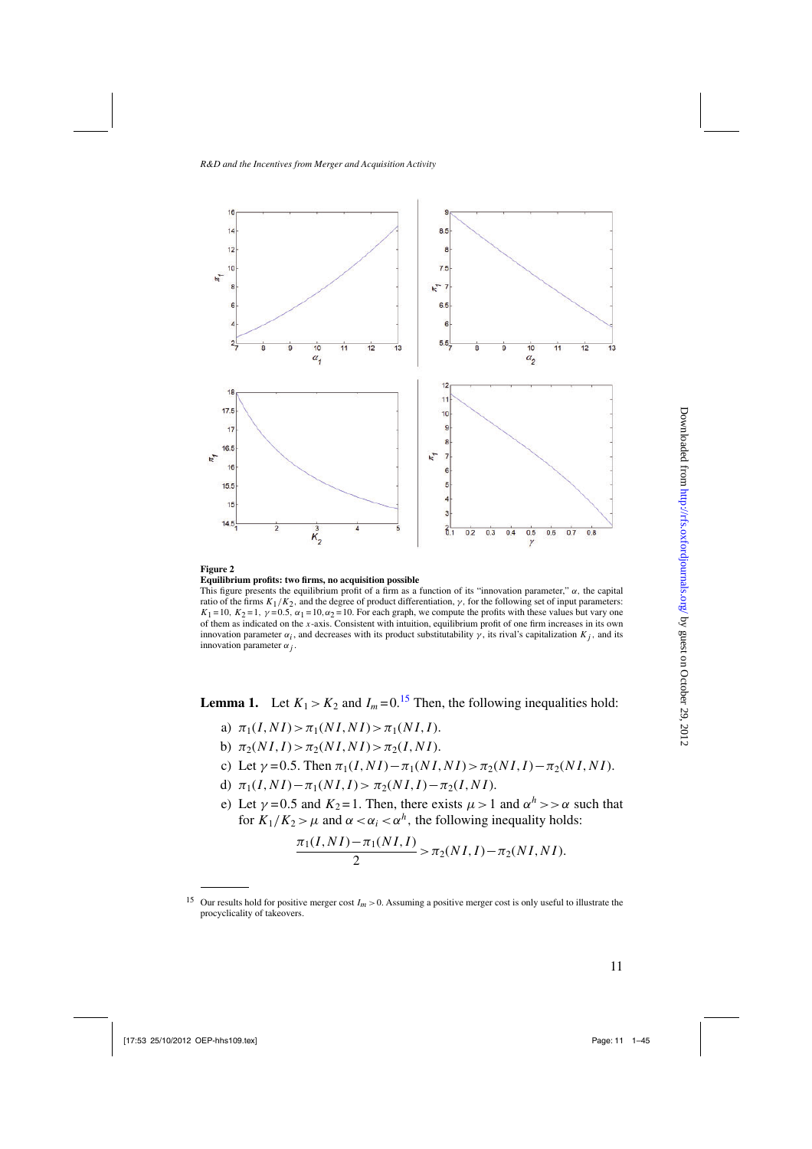<span id="page-10-0"></span>

#### **Figure 2 Equilibrium profits: two firms, no acquisition possible**

This figure presents the equilibrium profit of a firm as a function of its "innovation parameter," *α,* the capital ratio of the firms  $K_1/K_2$ , and the degree of product differentiation,  $\gamma$ , for the following set of input parameters:  $K_1 = 10$ ,  $K_2 = 1$ ,  $\gamma = 0.5$ ,  $\alpha_1 = 10, \alpha_2 = 10$ . For each graph, we compute the profits with these values but vary one of them as indicated on the *x*-axis. Consistent with intuition, equilibrium profit of one firm increases in its own innovation parameter  $\alpha_i$ , and decreases with its product substitutability  $\gamma$ , its rival's capitalization  $K_i$ , and its innovation parameter *αj* .

**Lemma 1.** Let  $K_1 > K_2$  and  $I_m = 0.15$  Then, the following inequalities hold:

- a)  $\pi_1(I, NI) > \pi_1(NI, NI) > \pi_1(NI, I)$ .
- b)  $\pi_2(NI, I) > \pi_2(NI, NI) > \pi_2(I, NI)$ .
- c) Let  $\gamma = 0.5$ . Then  $\pi_1(I, NI) \pi_1(NI, NI) > \pi_2(NI, I) \pi_2(NI, NI)$ .
- d)  $\pi_1(I, NI) \pi_1(NI, I) > \pi_2(NI, I) \pi_2(I, NI)$ .
- e) Let  $\gamma = 0.5$  and  $K_2 = 1$ . Then, there exists  $\mu > 1$  and  $\alpha^h > \alpha$  such that for  $K_1/K_2 > \mu$  and  $\alpha < \alpha_i < \alpha^h$ , the following inequality holds:

$$
\frac{\pi_1(I,NI) - \pi_1(NI, I)}{2} > \pi_2(NI, I) - \pi_2(NI, NI).
$$

<sup>&</sup>lt;sup>15</sup> Our results hold for positive merger cost  $I_m > 0$ . Assuming a positive merger cost is only useful to illustrate the procyclicality of takeovers.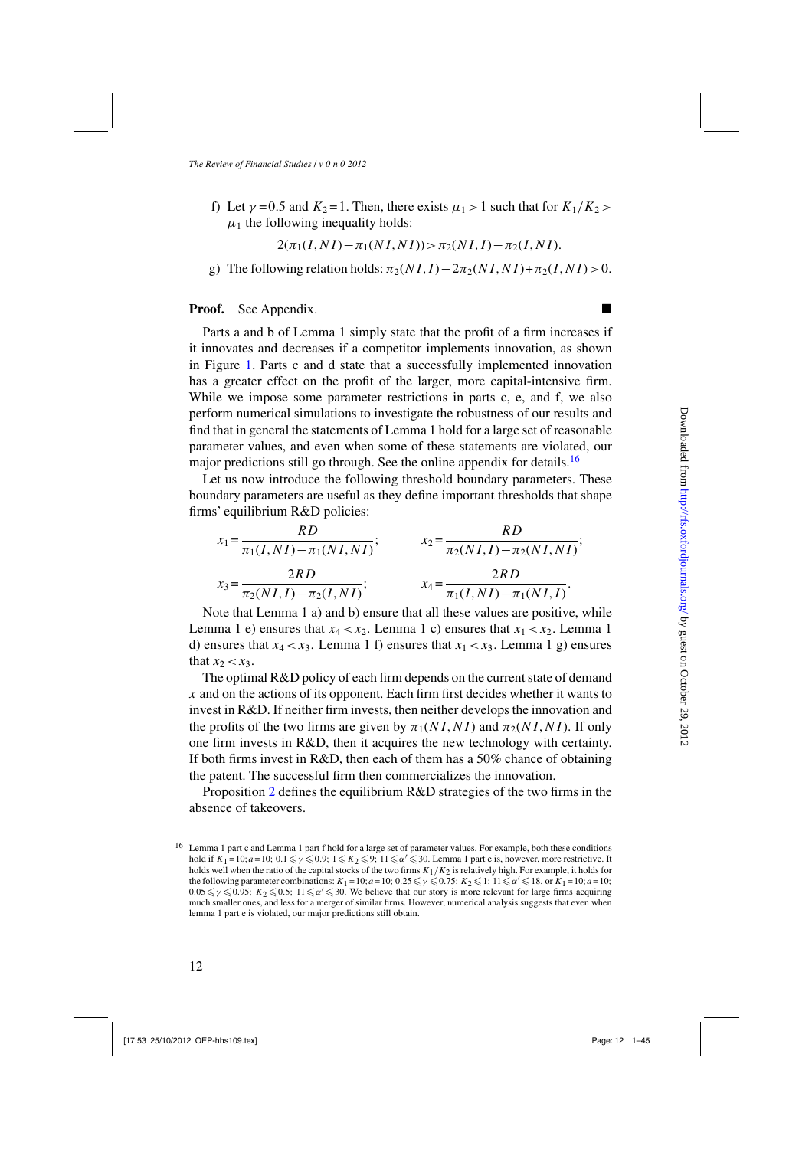<span id="page-11-0"></span>f) Let  $\gamma = 0.5$  and  $K_2 = 1$ . Then, there exists  $\mu_1 > 1$  such that for  $K_1/K_2 >$  $\mu_1$  the following inequality holds:

$$
2(\pi_1(I, NI) - \pi_1(NI, NI)) > \pi_2(NI, I) - \pi_2(I, NI).
$$

g) The following relation holds:  $\pi_2(NI, I) - 2\pi_2(NI, NI) + \pi_2(I, NI) > 0$ .

### **Proof.** See Appendix.

Parts a and b of Lemma 1 simply state that the profit of a firm increases if it innovates and decreases if a competitor implements innovation, as shown in Figure [1.](#page-8-0) Parts c and d state that a successfully implemented innovation has a greater effect on the profit of the larger, more capital-intensive firm. While we impose some parameter restrictions in parts c, e, and f, we also perform numerical simulations to investigate the robustness of our results and find that in general the statements of Lemma 1 hold for a large set of reasonable parameter values, and even when some of these statements are violated, our major predictions still go through. See the online appendix for details.<sup>16</sup>

Let us now introduce the following threshold boundary parameters. These boundary parameters are useful as they define important thresholds that shape firms' equilibrium R&D policies:

$$
x_1 = \frac{RD}{\pi_1(I, NI) - \pi_1(NI, NI)}; \qquad x_2 = \frac{RD}{\pi_2(NI, I) - \pi_2(NI, NI)}; x_3 = \frac{2RD}{\pi_2(NI, I) - \pi_2(I, NI)}; \qquad x_4 = \frac{2RD}{\pi_1(I, NI) - \pi_1(NI, I)}.
$$

Note that Lemma 1 a) and b) ensure that all these values are positive, while Lemma 1 e) ensures that  $x_4 < x_2$ . Lemma 1 c) ensures that  $x_1 < x_2$ . Lemma 1 d) ensures that  $x_4 < x_3$ . Lemma 1 f) ensures that  $x_1 < x_3$ . Lemma 1 g) ensures that  $x_2 < x_3$ .

The optimal R&D policy of each firm depends on the current state of demand *x* and on the actions of its opponent. Each firm first decides whether it wants to invest in R&D. If neither firm invests, then neither develops the innovation and the profits of the two firms are given by  $\pi_1(NI,NI)$  and  $\pi_2(NI,NI)$ . If only one firm invests in R&D, then it acquires the new technology with certainty. If both firms invest in R&D, then each of them has a 50% chance of obtaining the patent. The successful firm then commercializes the innovation.

Proposition 2 defines the equilibrium R&D strategies of the two firms in the absence of takeovers.

<sup>16</sup> Lemma 1 part c and Lemma 1 part f hold for a large set of parameter values. For example, both these conditions hold if  $K_1 = 10$ ;  $a = 10$ ;  $0.1 \le \gamma \le 0.9$ ;  $1 \le K_2 \le 9$ ;  $11 \le \alpha' \le 30$ . Lemma 1 part e is, however, more restrictive. It holds well when the ratio of the capital stocks of the two firms *K*1*/K*2 is relatively high. For example, it holds for the following parameter combinations:  $K_1 = 10$ ;  $a = 10$ ;  $0.25 \le \gamma \le 0.75$ ;  $K_2 \le 1$ ;  $11 \le a' \le 18$ , or  $K_1 = 10$ ;  $a = 10$ ;  $0.05 \le \gamma \le 0.95$ ;  $K_2 \le 0.5$ ;  $11 \le \alpha' \le 30$ . We believe that our story is more relevant for large firms acquiring much smaller ones, and less for a merger of similar firms. However, numerical analysis suggests that even when lemma 1 part e is violated, our major predictions still obtain.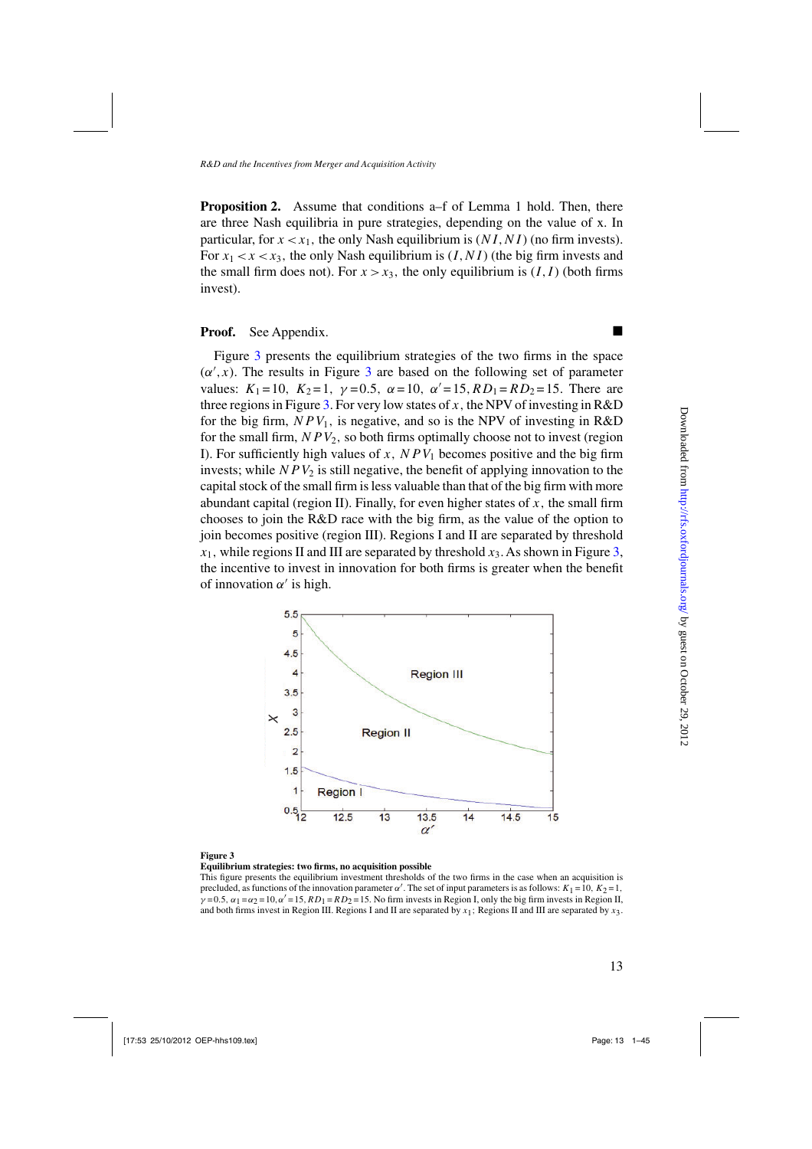<span id="page-12-0"></span>**Proposition 2.** Assume that conditions a–f of Lemma 1 hold. Then, there are three Nash equilibria in pure strategies, depending on the value of x. In particular, for  $x \le x_1$ , the only Nash equilibrium is  $(NI, NI)$  (no firm invests). For  $x_1 < x < x_3$ , the only Nash equilibrium is  $(I, NI)$  (the big firm invests and the small firm does not). For  $x > x_3$ , the only equilibrium is  $(I, I)$  (both firms invest).

### **Proof.** See Appendix.

Figure 3 presents the equilibrium strategies of the two firms in the space  $(\alpha', x)$ . The results in Figure 3 are based on the following set of parameter values:  $K_1 = 10$ ,  $K_2 = 1$ ,  $\gamma = 0.5$ ,  $\alpha = 10$ ,  $\alpha' = 15$ ,  $RD_1 = RD_2 = 15$ . There are three regions in Figure 3. For very low states of *x,* the NPV of investing in R&D for the big firm,  $NPV_1$ , is negative, and so is the NPV of investing in R&D for the small firm,  $NPV_2$ , so both firms optimally choose not to invest (region I). For sufficiently high values of  $x$ ,  $NPV<sub>1</sub>$  becomes positive and the big firm invests; while  $NPV_2$  is still negative, the benefit of applying innovation to the capital stock of the small firm is less valuable than that of the big firm with more abundant capital (region II). Finally, for even higher states of  $x$ , the small firm chooses to join the R&D race with the big firm, as the value of the option to join becomes positive (region III). Regions I and II are separated by threshold  $x_1$ , while regions II and III are separated by threshold  $x_3$ . As shown in Figure 3, the incentive to invest in innovation for both firms is greater when the benefit of innovation  $\alpha'$  is high.



#### **Figure 3**

**Equilibrium strategies: two firms, no acquisition possible**

This figure presents the equilibrium investment thresholds of the two firms in the case when an acquisition is precluded, as functions of the innovation parameter  $\alpha'$ . The set of input parameters is as follows:  $K_1 = 10$ ,  $K_2 = 1$ ,  $\gamma = 0.5$ ,  $\alpha_1 = \alpha_2 = 10$ ,  $\alpha' = 15$ ,  $RD_1 = RD_2 = 15$ . No firm invests in Region I, only the big firm invests in Region II, and both firms invest in Region III. Regions I and II are separated by  $x_1$ ; Regions II and III are separated by  $x_3$ .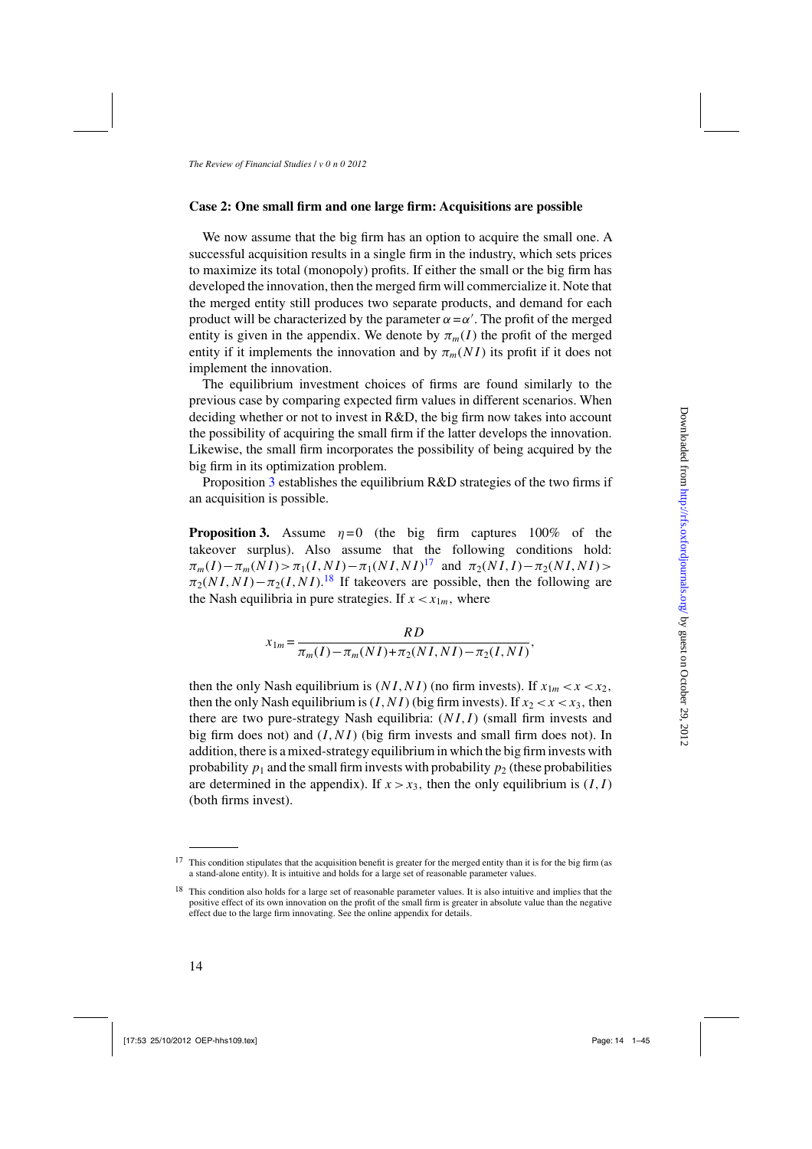### <span id="page-13-0"></span>**Case 2: One small firm and one large firm: Acquisitions are possible**

We now assume that the big firm has an option to acquire the small one*.* A successful acquisition results in a single firm in the industry, which sets prices to maximize its total (monopoly) profits. If either the small or the big firm has developed the innovation, then the merged firm will commercialize it. Note that the merged entity still produces two separate products, and demand for each product will be characterized by the parameter  $\alpha = \alpha'$ . The profit of the merged entity is given in the appendix. We denote by  $\pi_m(I)$  the profit of the merged entity if it implements the innovation and by  $\pi_m(NI)$  its profit if it does not implement the innovation.

The equilibrium investment choices of firms are found similarly to the previous case by comparing expected firm values in different scenarios. When deciding whether or not to invest in R&D, the big firm now takes into account the possibility of acquiring the small firm if the latter develops the innovation. Likewise, the small firm incorporates the possibility of being acquired by the big firm in its optimization problem.

Proposition 3 establishes the equilibrium R&D strategies of the two firms if an acquisition is possible.

**Proposition 3.** Assume  $\eta = 0$  (the big firm captures 100% of the takeover surplus). Also assume that the following conditions hold:  $\pi_m(I) - \pi_m(NI) > \pi_1(I, NI) - \pi_1(NI, NI)^{17}$  and  $\pi_2(NI, I) - \pi_2(NI, NI) >$  $\pi_2(NI, NI) - \pi_2(I, NI)$ .<sup>18</sup> If takeovers are possible, then the following are the Nash equilibria in pure strategies. If  $x < x_{1m}$ , where

$$
x_{1m} = \frac{RD}{\pi_m(I) - \pi_m(NI) + \pi_2(NI, NI) - \pi_2(I, NI)},
$$

then the only Nash equilibrium is  $(NI, NI)$  (no firm invests). If  $x_{1m} < x < x_2$ , then the only Nash equilibrium is  $(I, NI)$  (big firm invests). If  $x_2 < x < x_3$ , then there are two pure-strategy Nash equilibria: (*NI,I* ) (small firm invests and big firm does not) and  $(I, NI)$  (big firm invests and small firm does not). In addition, there is a mixed-strategy equilibrium in which the big firm invests with probability  $p_1$  and the small firm invests with probability  $p_2$  (these probabilities are determined in the appendix). If  $x > x_3$ , then the only equilibrium is  $(I, I)$ (both firms invest).

<sup>&</sup>lt;sup>17</sup> This condition stipulates that the acquisition benefit is greater for the merged entity than it is for the big firm (as a stand-alone entity). It is intuitive and holds for a large set of reasonable parameter values.

<sup>18</sup> This condition also holds for a large set of reasonable parameter values. It is also intuitive and implies that the positive effect of its own innovation on the profit of the small firm is greater in absolute value than the negative effect due to the large firm innovating. See the online appendix for details.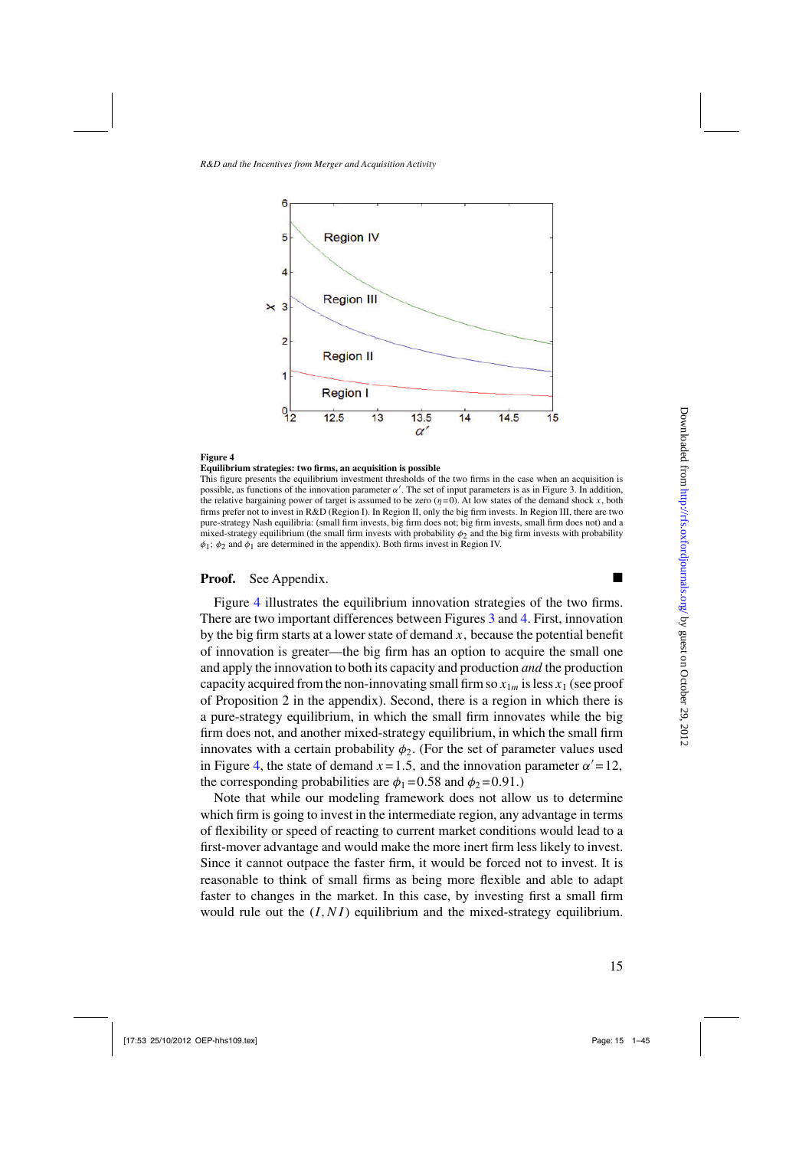<span id="page-14-0"></span>

#### **Figure 4**

#### **Equilibrium strategies: two firms, an acquisition is possible**

This figure presents the equilibrium investment thresholds of the two firms in the case when an acquisition is possible, as functions of the innovation parameter *α .* The set of input parameters is as in Figure 3. In addition, the relative bargaining power of target is assumed to be zero  $(\eta = 0)$ . At low states of the demand shock *x*, both firms prefer not to invest in R&D (Region I). In Region II, only the big firm invests. In Region III, there are two pure-strategy Nash equilibria: (small firm invests, big firm does not; big firm invests, small firm does not) and a mixed-strategy equilibrium (the small firm invests with probability  $\phi_2$  and the big firm invests with probability  $\phi_1$ ;  $\phi_2$  and  $\phi_1$  are determined in the appendix). Both firms invest in Region IV.

#### **Proof.** See Appendix.

Figure 4 illustrates the equilibrium innovation strategies of the two firms. There are two important differences between Figures [3](#page-12-0) and 4. First, innovation by the big firm starts at a lower state of demand *x,* because the potential benefit of innovation is greater—the big firm has an option to acquire the small one and apply the innovation to both its capacity and production *and* the production capacity acquired from the non-innovating small firm so  $x_{1m}$  is less  $x_1$  (see proof of Proposition 2 in the appendix). Second, there is a region in which there is a pure-strategy equilibrium, in which the small firm innovates while the big firm does not, and another mixed-strategy equilibrium, in which the small firm innovates with a certain probability  $\phi_2$ . (For the set of parameter values used in Figure 4, the state of demand  $x = 1.5$ , and the innovation parameter  $\alpha' = 12$ , the corresponding probabilities are  $\phi_1 = 0.58$  and  $\phi_2 = 0.91$ .)

Note that while our modeling framework does not allow us to determine which firm is going to invest in the intermediate region, any advantage in terms of flexibility or speed of reacting to current market conditions would lead to a first-mover advantage and would make the more inert firm less likely to invest. Since it cannot outpace the faster firm, it would be forced not to invest. It is reasonable to think of small firms as being more flexible and able to adapt faster to changes in the market. In this case, by investing first a small firm would rule out the  $(I, NI)$  equilibrium and the mixed-strategy equilibrium.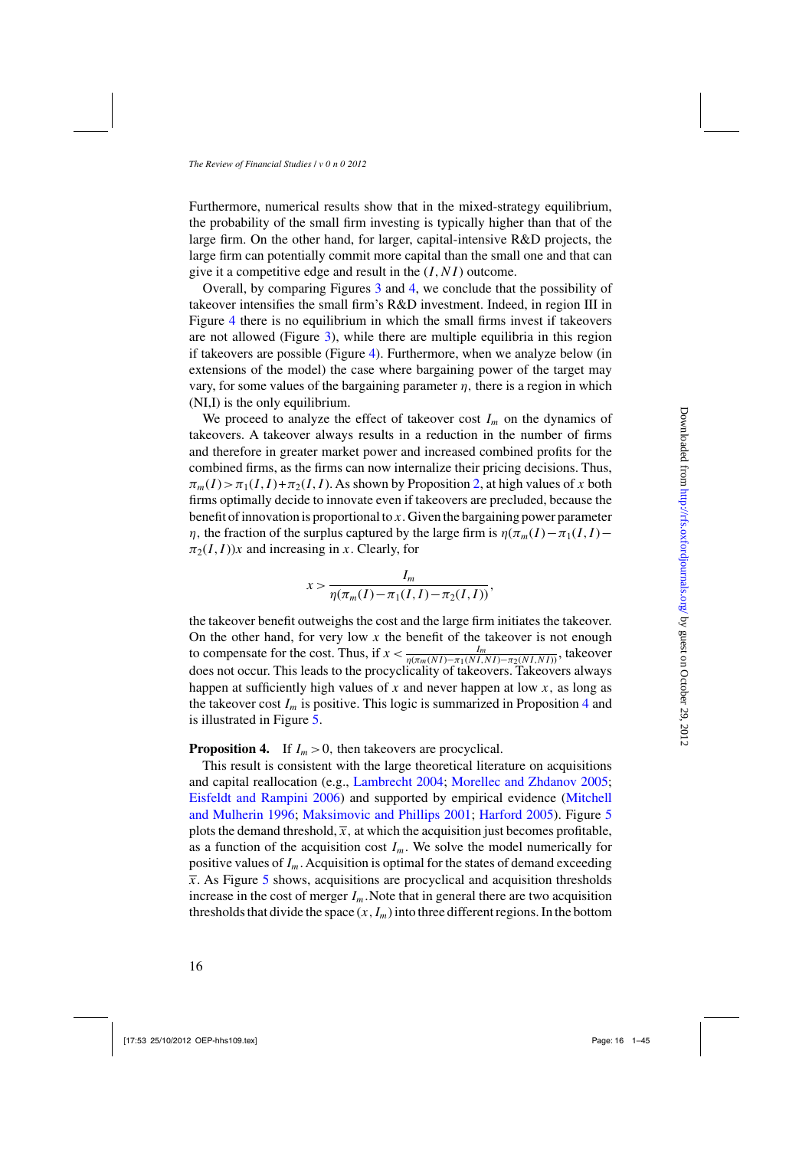<span id="page-15-0"></span>Furthermore, numerical results show that in the mixed-strategy equilibrium, the probability of the small firm investing is typically higher than that of the large firm. On the other hand, for larger, capital-intensive R&D projects, the large firm can potentially commit more capital than the small one and that can give it a competitive edge and result in the (*I,NI* ) outcome.

Overall, by comparing Figures [3](#page-12-0) and [4,](#page-14-0) we conclude that the possibility of takeover intensifies the small firm's R&D investment. Indeed, in region III in Figure [4](#page-14-0) there is no equilibrium in which the small firms invest if takeovers are not allowed (Figure [3\)](#page-12-0), while there are multiple equilibria in this region if takeovers are possible (Figure [4\)](#page-14-0). Furthermore, when we analyze below (in extensions of the model) the case where bargaining power of the target may vary, for some values of the bargaining parameter *η,* there is a region in which (NI,I) is the only equilibrium.

We proceed to analyze the effect of takeover cost  $I_m$  on the dynamics of takeovers. A takeover always results in a reduction in the number of firms and therefore in greater market power and increased combined profits for the combined firms, as the firms can now internalize their pricing decisions. Thus,  $\pi_m(I) > \pi_1(I, I) + \pi_2(I, I)$ . As shown by Proposition [2,](#page-11-0) at high values of *x* both firms optimally decide to innovate even if takeovers are precluded, because the benefit of innovation is proportional to *x.* Given the bargaining power parameter *η*, the fraction of the surplus captured by the large firm is  $\eta(\pi_m(I) - \pi_1(I, I) \pi_2(I, I)$ )*x* and increasing in *x*. Clearly, for

$$
x > \frac{I_m}{\eta(\pi_m(I) - \pi_1(I, I) - \pi_2(I, I))},
$$

the takeover benefit outweighs the cost and the large firm initiates the takeover. On the other hand, for very low  $x$  the benefit of the takeover is not enough to compensate for the cost. Thus, if  $x < \frac{I_m}{\eta(\pi_m(NI) - \pi_1(NI, NI) - \pi_2(NI, NI))}$ , takeover does not occur. This leads to the procyclicality of takeovers. Takeovers always happen at sufficiently high values of *x* and never happen at low *x,* as long as the takeover cost  $I_m$  is positive. This logic is summarized in Proposition 4 and is illustrated in Figure [5.](#page-16-0)

**Proposition 4.** If  $I_m > 0$ , then takeovers are procyclical.

This result is consistent with the large theoretical literature on acquisitions and capital reallocation (e.g., [Lambrecht 2004;](#page-43-0) [Morellec and Zhdanov 2005;](#page-43-0) [Eisfeldt and Rampini 2006](#page-42-0)[\) and supported by empirical evidence \(](#page-43-0)Mitchell and Mulherin [1996;](#page-43-0) [Maksimovic and Phillips 2001](#page-43-0); [Harford 2005\)](#page-43-0). Figure [5](#page-16-0) plots the demand threshold,  $\bar{x}$ , at which the acquisition just becomes profitable, as a function of the acquisition cost  $I_m$ . We solve the model numerically for positive values of  $I_m$ . Acquisition is optimal for the states of demand exceeding  $\bar{x}$ . As Figure [5](#page-16-0) shows, acquisitions are procyclical and acquisition thresholds increase in the cost of merger  $I_m$ . Note that in general there are two acquisition thresholds that divide the space  $(x, I_m)$  into three different regions. In the bottom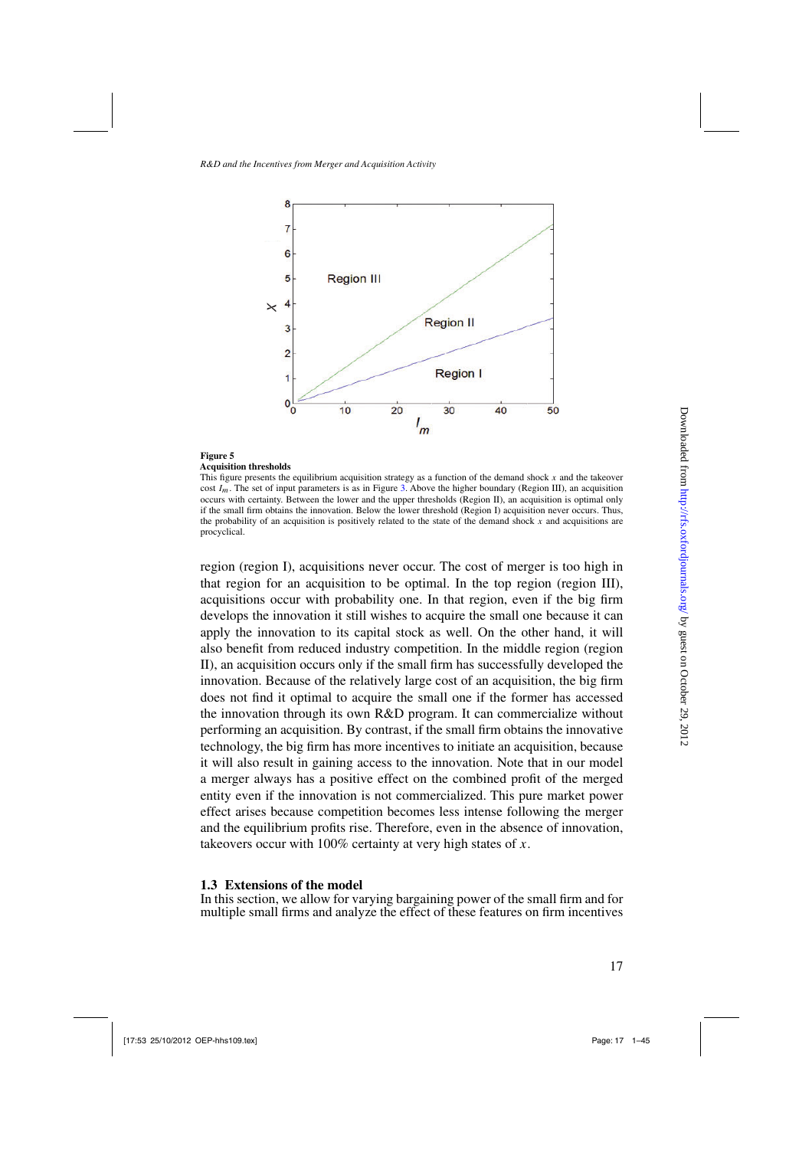<span id="page-16-0"></span>

#### **Figure 5 Acquisition thresholds**

This figure presents the equilibrium acquisition strategy as a function of the demand shock *x* and the takeover cost *I<sub>m</sub>*. The set of input parameters is as in Figure [3.](#page-12-0) Above the higher boundary (Region III), an acquisition occurs with certainty. Between the lower and the upper thresholds (Region II), an acquisition is optimal only if the small firm obtains the innovation. Below the lower threshold (Region I) acquisition never occurs. Thus, the probability of an acquisition is positively related to the state of the demand shock *x* and acquisitions are procyclical.

region (region I), acquisitions never occur. The cost of merger is too high in that region for an acquisition to be optimal. In the top region (region III), acquisitions occur with probability one. In that region, even if the big firm develops the innovation it still wishes to acquire the small one because it can apply the innovation to its capital stock as well. On the other hand, it will also benefit from reduced industry competition. In the middle region (region II), an acquisition occurs only if the small firm has successfully developed the innovation. Because of the relatively large cost of an acquisition, the big firm does not find it optimal to acquire the small one if the former has accessed the innovation through its own R&D program. It can commercialize without performing an acquisition. By contrast, if the small firm obtains the innovative technology, the big firm has more incentives to initiate an acquisition, because it will also result in gaining access to the innovation. Note that in our model a merger always has a positive effect on the combined profit of the merged entity even if the innovation is not commercialized. This pure market power effect arises because competition becomes less intense following the merger and the equilibrium profits rise. Therefore, even in the absence of innovation, takeovers occur with 100% certainty at very high states of *x*.

#### **1.3 Extensions of the model**

In this section, we allow for varying bargaining power of the small firm and for multiple small firms and analyze the effect of these features on firm incentives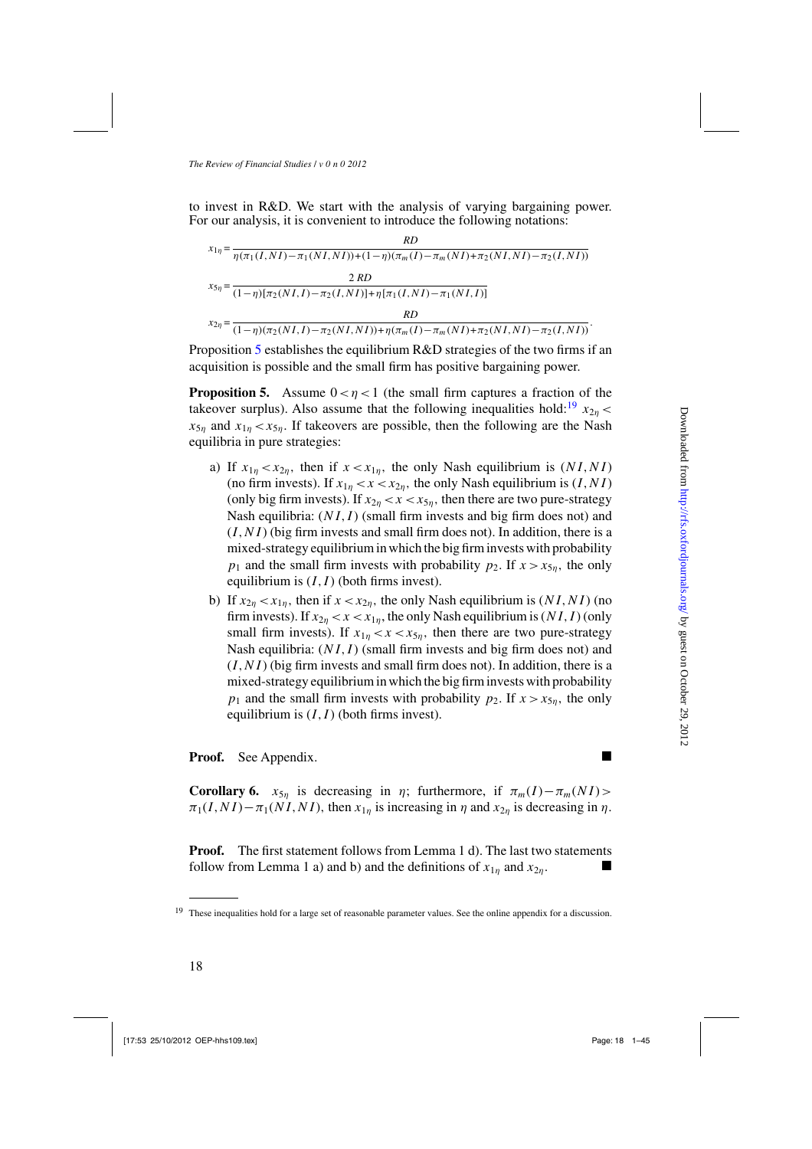<span id="page-17-0"></span>to invest in R&D. We start with the analysis of varying bargaining power. For our analysis, it is convenient to introduce the following notations:

$$
RD
$$
\n
$$
x_{1\eta} = \frac{RD}{\eta(\pi_1(I, NI) - \pi_1(NI, NI)) + (1 - \eta)(\pi_m(I) - \pi_m(NI) + \pi_2(NI, NI) - \pi_2(I, NI))}
$$
\n
$$
x_{5\eta} = \frac{2 \, RD}{(1 - \eta)[\pi_2(NI, I) - \pi_2(I, NI)] + \eta[\pi_1(I, NI) - \pi_1(NI, I)]}
$$
\n
$$
x_{2\eta} = \frac{RD}{(1 - \eta)(\pi_2(NI, I) - \pi_2(NI, NI)) + \eta(\pi_m(I) - \pi_m(NI) + \pi_2(NI, NI) - \pi_2(I, NI))}.
$$

Proposition 5 establishes the equilibrium R&D strategies of the two firms if an acquisition is possible and the small firm has positive bargaining power.

**Proposition 5.** Assume  $0 < \eta < 1$  (the small firm captures a fraction of the takeover surplus). Also assume that the following inequalities hold:<sup>19</sup>  $x_{2n}$  <  $x_{5n}$  and  $x_{1n} < x_{5n}$ . If takeovers are possible, then the following are the Nash equilibria in pure strategies:

- a) If  $x_{1\eta} < x_{2\eta}$ , then if  $x < x_{1\eta}$ , the only Nash equilibrium is  $(NI, NI)$ (no firm invests). If  $x_{1n} < x < x_{2n}$ , the only Nash equilibrium is  $(I, NI)$ (only big firm invests). If  $x_{2n} < x < x_{5n}$ , then there are two pure-strategy Nash equilibria:  $(NI, I)$  (small firm invests and big firm does not) and  $(I, NI)$  (big firm invests and small firm does not). In addition, there is a mixed-strategy equilibrium in which the big firm invests with probability *p*<sub>1</sub> and the small firm invests with probability *p*<sub>2</sub>. If  $x > x_{5n}$ , the only equilibrium is  $(I, I)$  (both firms invest).
- b) If  $x_{2n} < x_{1n}$ , then if  $x < x_{2n}$ , the only Nash equilibrium is  $(NI, NI)$  (no firm invests). If  $x_{2\eta} < x < x_{1\eta}$ , the only Nash equilibrium is  $(NI, I)$  (only small firm invests). If  $x_{1n} < x < x_{5n}$ , then there are two pure-strategy Nash equilibria:  $(NI, I)$  (small firm invests and big firm does not) and  $(I, NI)$  (big firm invests and small firm does not). In addition, there is a mixed-strategy equilibrium in which the big firm invests with probability *p*<sub>1</sub> and the small firm invests with probability *p*<sub>2</sub>. If  $x > x_{5n}$ , the only equilibrium is  $(I, I)$  (both firms invest).

### **Proof.** See Appendix.

**Corollary 6.**  $x_{5n}$  is decreasing in *η*; furthermore, if  $\pi_m(I) - \pi_m(NI)$  $\pi_1(I, NI) - \pi_1(NI, NI)$ , then  $x_{1\eta}$  is increasing in  $\eta$  and  $x_{2\eta}$  is decreasing in  $\eta$ .

**Proof.** The first statement follows from Lemma 1 d). The last two statements follow from Lemma 1 a) and b) and the definitions of  $x_{1n}$  and  $x_{2n}$ . ■

<sup>&</sup>lt;sup>19</sup> These inequalities hold for a large set of reasonable parameter values. See the online appendix for a discussion.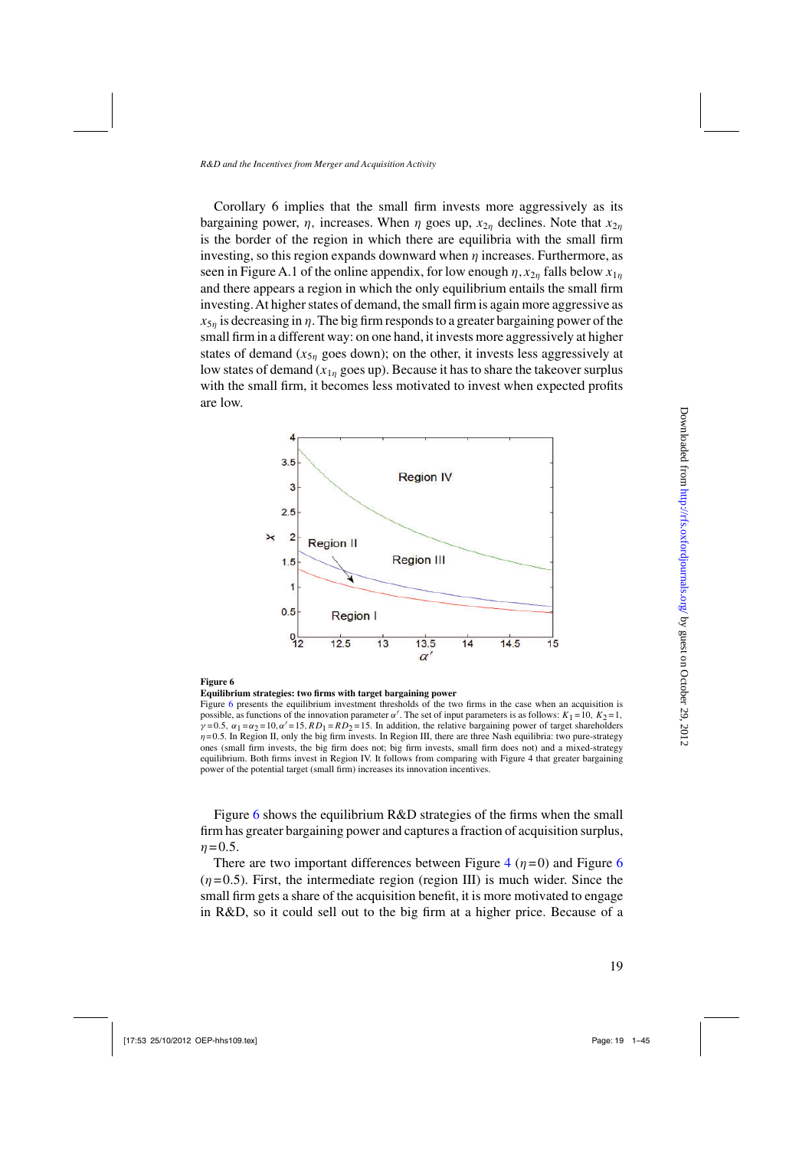<span id="page-18-0"></span>Corollary 6 implies that the small firm invests more aggressively as its bargaining power, *η*, increases. When *η* goes up,  $x_{2n}$  declines. Note that  $x_{2n}$ is the border of the region in which there are equilibria with the small firm investing, so this region expands downward when *η* increases. Furthermore, as seen in Figure A.1 of the online appendix, for low enough  $\eta$ ,  $x_{2n}$  falls below  $x_{1n}$ and there appears a region in which the only equilibrium entails the small firm investing.At higher states of demand, the small firm is again more aggressive as  $x_{5n}$  is decreasing in *η*. The big firm responds to a greater bargaining power of the small firm in a different way: on one hand, it invests more aggressively at higher states of demand  $(x_{5n}$  goes down); on the other, it invests less aggressively at low states of demand  $(x_{1n}$  goes up). Because it has to share the takeover surplus with the small firm, it becomes less motivated to invest when expected profits are low.



#### **Figure 6**

#### **Equilibrium strategies: two firms with target bargaining power**

Figure 6 presents the equilibrium investment thresholds of the two firms in the case when an acquisition is possible, as functions of the innovation parameter  $\alpha'$ . The set of input parameters is as follows:  $K_1 = 10$ ,  $K_2 = 1$ ,  $\gamma = 0.5$ ,  $\alpha_1 = \alpha_2 = 10$ ,  $\alpha' = 15$ ,  $RD_1 = RD_2 = 15$ . In addition, the relative bargaining power of target shareholders *η*= 0*.*5. In Region II, only the big firm invests. In Region III, there are three Nash equilibria: two pure-strategy ones (small firm invests, the big firm does not; big firm invests, small firm does not) and a mixed-strategy equilibrium. Both firms invest in Region IV. It follows from comparing with Figure 4 that greater bargaining power of the potential target (small firm) increases its innovation incentives.

Figure 6 shows the equilibrium R&D strategies of the firms when the small firm has greater bargaining power and captures a fraction of acquisition surplus,  $\eta = 0.5$ .

There are two important differences between Figure  $4 (n=0)$  $4 (n=0)$  and Figure 6 (*η*= 0*.*5). First, the intermediate region (region III) is much wider. Since the small firm gets a share of the acquisition benefit, it is more motivated to engage in R&D, so it could sell out to the big firm at a higher price. Because of a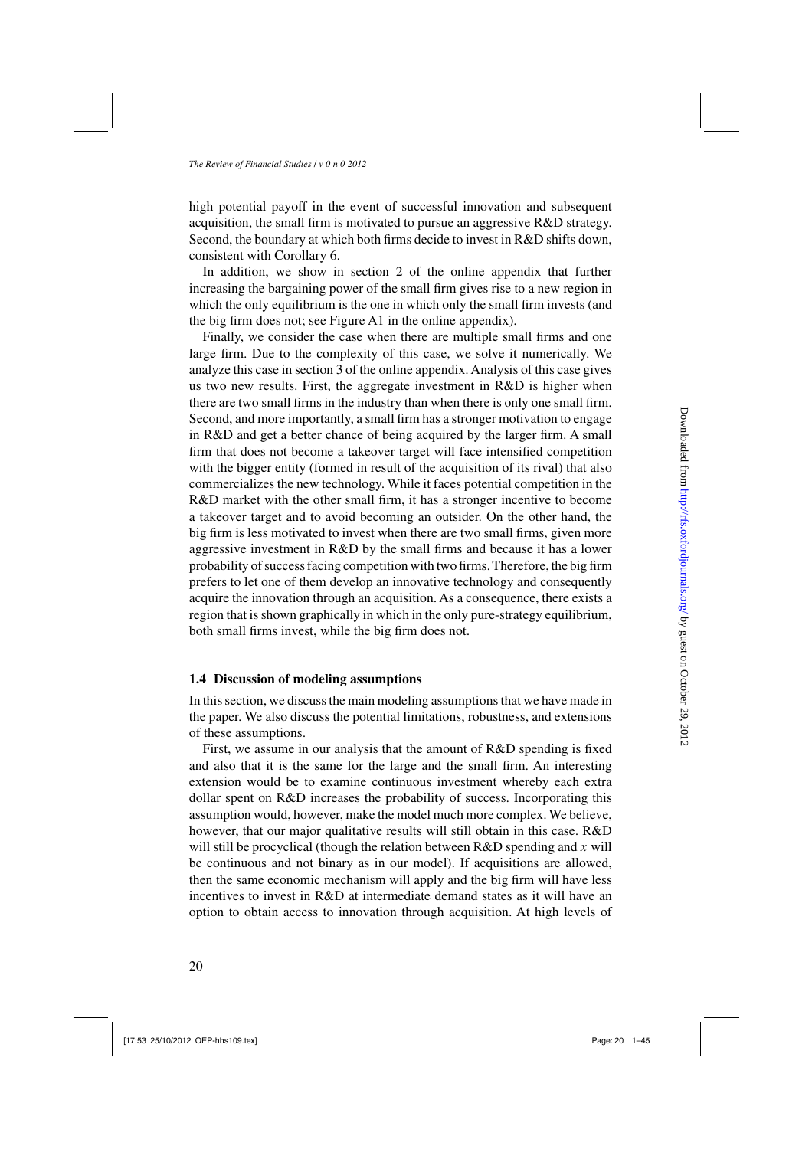high potential payoff in the event of successful innovation and subsequent acquisition, the small firm is motivated to pursue an aggressive R&D strategy. Second, the boundary at which both firms decide to invest in R&D shifts down, consistent with Corollary 6.

In addition, we show in section 2 of the online appendix that further increasing the bargaining power of the small firm gives rise to a new region in which the only equilibrium is the one in which only the small firm invests (and the big firm does not; see Figure A1 in the online appendix).

Finally, we consider the case when there are multiple small firms and one large firm. Due to the complexity of this case, we solve it numerically. We analyze this case in section 3 of the online appendix. Analysis of this case gives us two new results. First, the aggregate investment in R&D is higher when there are two small firms in the industry than when there is only one small firm. Second, and more importantly, a small firm has a stronger motivation to engage in R&D and get a better chance of being acquired by the larger firm. A small firm that does not become a takeover target will face intensified competition with the bigger entity (formed in result of the acquisition of its rival) that also commercializes the new technology. While it faces potential competition in the R&D market with the other small firm, it has a stronger incentive to become a takeover target and to avoid becoming an outsider. On the other hand, the big firm is less motivated to invest when there are two small firms, given more aggressive investment in R&D by the small firms and because it has a lower probability of success facing competition with two firms. Therefore, the big firm prefers to let one of them develop an innovative technology and consequently acquire the innovation through an acquisition. As a consequence, there exists a region that is shown graphically in which in the only pure-strategy equilibrium, both small firms invest, while the big firm does not.

#### **1.4 Discussion of modeling assumptions**

In this section, we discuss the main modeling assumptions that we have made in the paper. We also discuss the potential limitations, robustness, and extensions of these assumptions.

First, we assume in our analysis that the amount of R&D spending is fixed and also that it is the same for the large and the small firm. An interesting extension would be to examine continuous investment whereby each extra dollar spent on R&D increases the probability of success. Incorporating this assumption would, however, make the model much more complex. We believe, however, that our major qualitative results will still obtain in this case. R&D will still be procyclical (though the relation between R&D spending and *x* will be continuous and not binary as in our model). If acquisitions are allowed, then the same economic mechanism will apply and the big firm will have less incentives to invest in R&D at intermediate demand states as it will have an option to obtain access to innovation through acquisition. At high levels of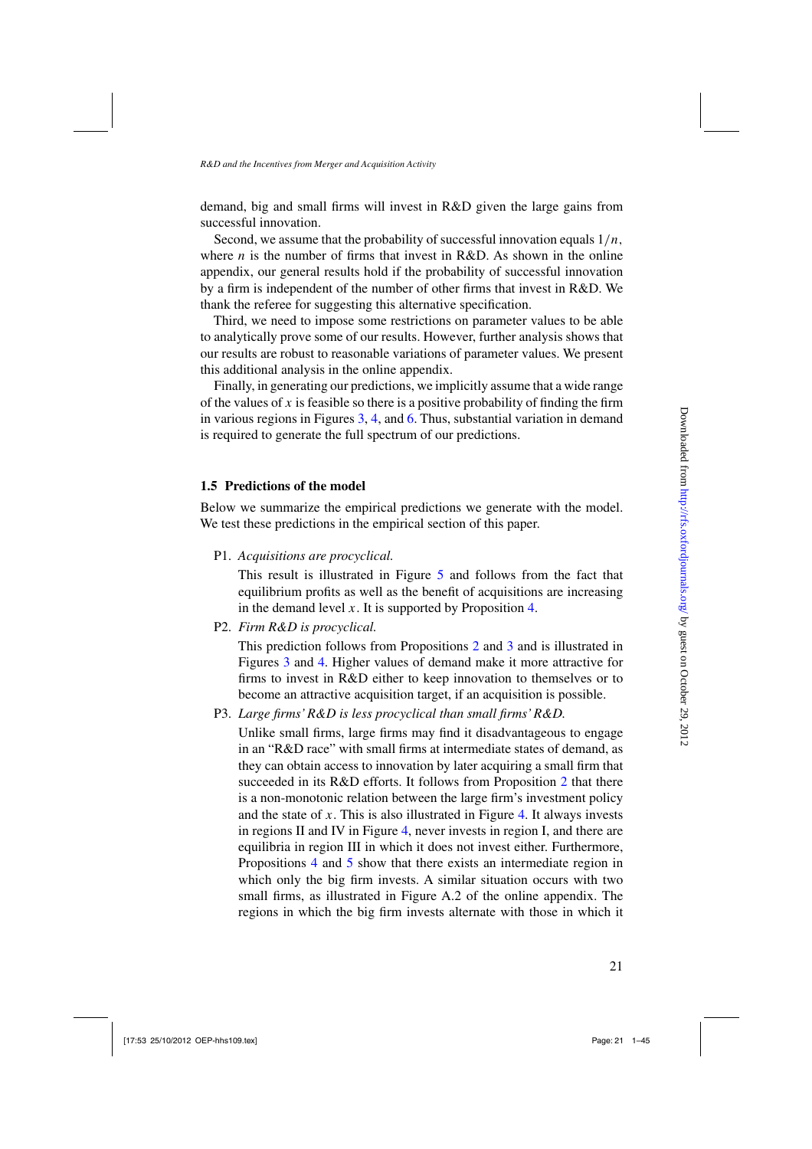demand, big and small firms will invest in R&D given the large gains from successful innovation.

Second, we assume that the probability of successful innovation equals 1*/n,* where *n* is the number of firms that invest in R&D. As shown in the online appendix, our general results hold if the probability of successful innovation by a firm is independent of the number of other firms that invest in R&D. We thank the referee for suggesting this alternative specification.

Third, we need to impose some restrictions on parameter values to be able to analytically prove some of our results. However, further analysis shows that our results are robust to reasonable variations of parameter values. We present this additional analysis in the online appendix.

Finally, in generating our predictions, we implicitly assume that a wide range of the values of  $x$  is feasible so there is a positive probability of finding the firm in various regions in Figures [3,](#page-12-0) [4,](#page-14-0) and [6.](#page-18-0) Thus, substantial variation in demand is required to generate the full spectrum of our predictions.

### **1.5 Predictions of the model**

Below we summarize the empirical predictions we generate with the model. We test these predictions in the empirical section of this paper.

P1. *Acquisitions are procyclical.*

This result is illustrated in Figure [5](#page-16-0) and follows from the fact that equilibrium profits as well as the benefit of acquisitions are increasing in the demand level *x.* It is supported by Proposition [4.](#page-15-0)

P2. *Firm R&D is procyclical.*

This prediction follows from Propositions [2](#page-11-0) and [3](#page-13-0) and is illustrated in Figures [3](#page-12-0) and [4.](#page-14-0) Higher values of demand make it more attractive for firms to invest in R&D either to keep innovation to themselves or to become an attractive acquisition target, if an acquisition is possible.

P3. *Large firms' R&D is less procyclical than small firms' R&D.*

Unlike small firms, large firms may find it disadvantageous to engage in an "R&D race" with small firms at intermediate states of demand, as they can obtain access to innovation by later acquiring a small firm that succeeded in its R&D efforts. It follows from Proposition [2](#page-11-0) that there is a non-monotonic relation between the large firm's investment policy and the state of *x*. This is also illustrated in Figure [4.](#page-14-0) It always invests in regions II and IV in Figure [4,](#page-14-0) never invests in region I, and there are equilibria in region III in which it does not invest either. Furthermore, Propositions [4](#page-15-0) and [5](#page-17-0) show that there exists an intermediate region in which only the big firm invests. A similar situation occurs with two small firms, as illustrated in Figure A.2 of the online appendix. The regions in which the big firm invests alternate with those in which it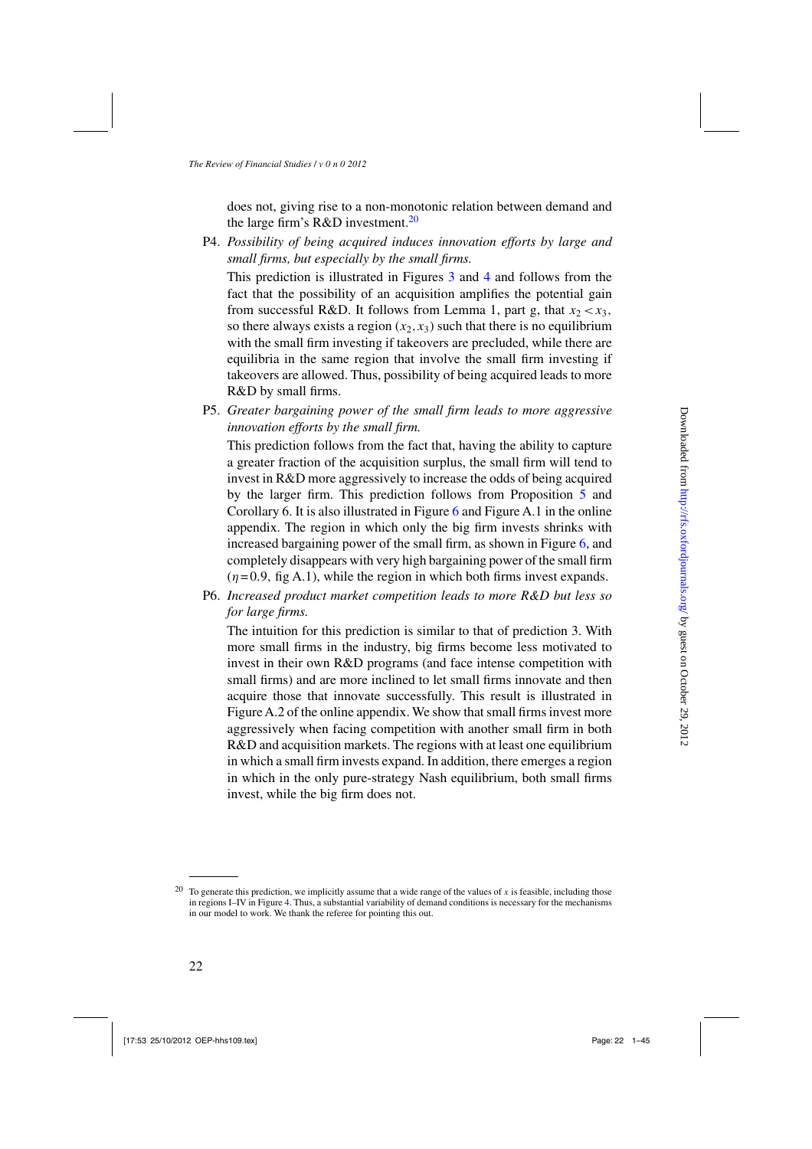does not, giving rise to a non-monotonic relation between demand and the large firm's R&D investment.<sup>20</sup>

P4. *Possibility of being acquired induces innovation efforts by large and small firms, but especially by the small firms.*

This prediction is illustrated in Figures [3](#page-12-0) and [4](#page-14-0) and follows from the fact that the possibility of an acquisition amplifies the potential gain from successful R&D. It follows from Lemma 1, part g, that  $x_2 < x_3$ , so there always exists a region  $(x_2, x_3)$  such that there is no equilibrium with the small firm investing if takeovers are precluded, while there are equilibria in the same region that involve the small firm investing if takeovers are allowed. Thus, possibility of being acquired leads to more R&D by small firms.

P5. *Greater bargaining power of the small firm leads to more aggressive innovation efforts by the small firm.*

This prediction follows from the fact that, having the ability to capture a greater fraction of the acquisition surplus, the small firm will tend to invest in R&D more aggressively to increase the odds of being acquired by the larger firm. This prediction follows from Proposition [5](#page-17-0) and Corollary 6. It is also illustrated in Figure [6](#page-18-0) and Figure A.1 in the online appendix. The region in which only the big firm invests shrinks with increased bargaining power of the small firm, as shown in Figure [6,](#page-18-0) and completely disappears with very high bargaining power of the small firm  $(\eta = 0.9, \text{fig A.1})$ , while the region in which both firms invest expands.

P6. *Increased product market competition leads to more R&D but less so for large firms.*

The intuition for this prediction is similar to that of prediction 3. With more small firms in the industry, big firms become less motivated to invest in their own R&D programs (and face intense competition with small firms) and are more inclined to let small firms innovate and then acquire those that innovate successfully. This result is illustrated in Figure A.2 of the online appendix. We show that small firms invest more aggressively when facing competition with another small firm in both R&D and acquisition markets. The regions with at least one equilibrium in which a small firm invests expand. In addition, there emerges a region in which in the only pure-strategy Nash equilibrium, both small firms invest, while the big firm does not.

<sup>&</sup>lt;sup>20</sup> To generate this prediction, we implicitly assume that a wide range of the values of  $x$  is feasible, including those in regions I–IV in Figure [4.](#page-14-0) Thus, a substantial variability of demand conditions is necessary for the mechanisms in our model to work. We thank the referee for pointing this out.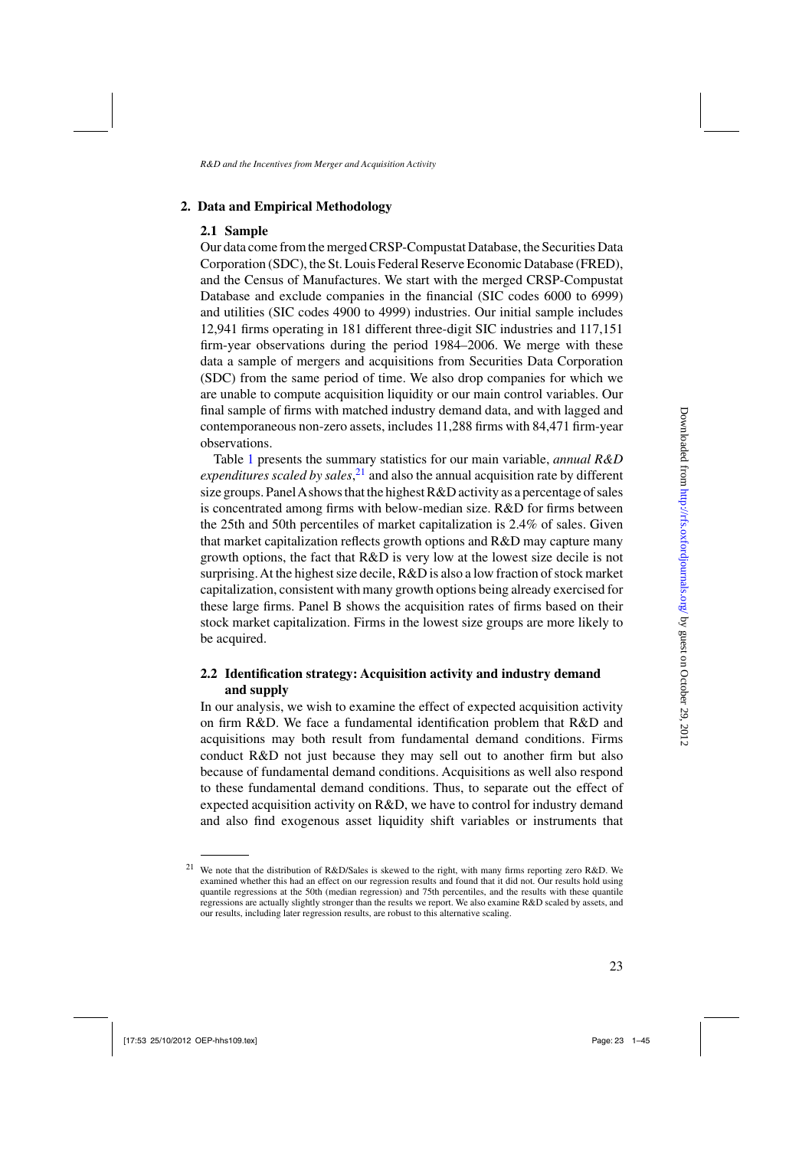# **2. Data and Empirical Methodology**

# **2.1 Sample**

Our data come from the merged CRSP-Compustat Database, the Securities Data Corporation (SDC), the St. Louis Federal Reserve Economic Database (FRED), and the Census of Manufactures. We start with the merged CRSP-Compustat Database and exclude companies in the financial (SIC codes 6000 to 6999) and utilities (SIC codes 4900 to 4999) industries. Our initial sample includes 12,941 firms operating in 181 different three-digit SIC industries and 117,151 firm-year observations during the period 1984–2006. We merge with these data a sample of mergers and acquisitions from Securities Data Corporation (SDC) from the same period of time. We also drop companies for which we are unable to compute acquisition liquidity or our main control variables. Our final sample of firms with matched industry demand data, and with lagged and contemporaneous non-zero assets, includes 11,288 firms with 84,471 firm-year observations.

Table [1](#page-23-0) presents the summary statistics for our main variable, *annual R&D expenditures scaled by sales*, <sup>21</sup> and also the annual acquisition rate by different size groups. Panel A shows that the highest R&D activity as a percentage of sales is concentrated among firms with below-median size. R&D for firms between the 25th and 50th percentiles of market capitalization is 2.4% of sales. Given that market capitalization reflects growth options and R&D may capture many growth options, the fact that R&D is very low at the lowest size decile is not surprising.At the highest size decile, R&D is also a low fraction of stock market capitalization, consistent with many growth options being already exercised for these large firms. Panel B shows the acquisition rates of firms based on their stock market capitalization. Firms in the lowest size groups are more likely to be acquired.

# **2.2 Identification strategy: Acquisition activity and industry demand and supply**

In our analysis, we wish to examine the effect of expected acquisition activity on firm R&D. We face a fundamental identification problem that R&D and acquisitions may both result from fundamental demand conditions. Firms conduct R&D not just because they may sell out to another firm but also because of fundamental demand conditions. Acquisitions as well also respond to these fundamental demand conditions. Thus, to separate out the effect of expected acquisition activity on R&D, we have to control for industry demand and also find exogenous asset liquidity shift variables or instruments that

<sup>&</sup>lt;sup>21</sup> We note that the distribution of R&D/Sales is skewed to the right, with many firms reporting zero R&D. We examined whether this had an effect on our regression results and found that it did not. Our results hold using quantile regressions at the 50th (median regression) and 75th percentiles, and the results with these quantile regressions are actually slightly stronger than the results we report. We also examine R&D scaled by assets, and our results, including later regression results, are robust to this alternative scaling.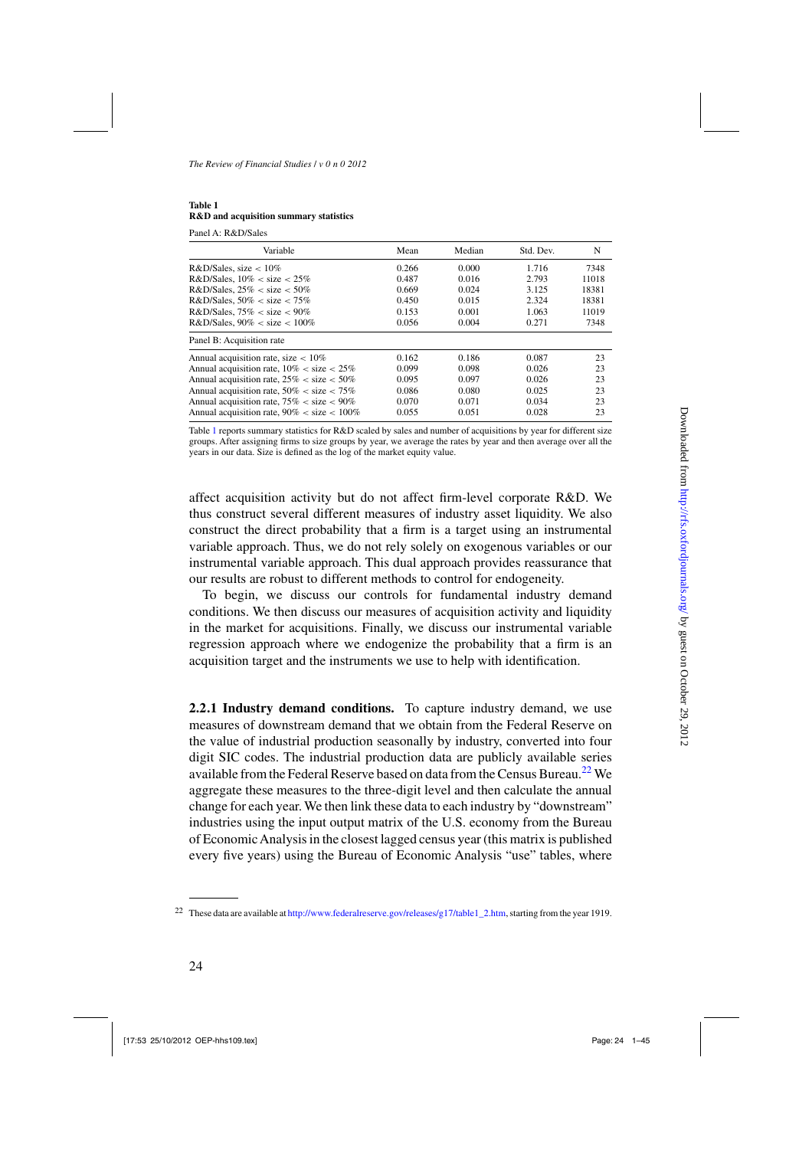<span id="page-23-0"></span>

| <b>Table 1</b> |                                                   |  |
|----------------|---------------------------------------------------|--|
|                | <b>R&amp;D</b> and acquisition summary statistics |  |

Panel A: R&D/Sales

| Variable                                         | Mean  | Median | Std. Dev. | N     |
|--------------------------------------------------|-------|--------|-----------|-------|
| R&D/Sales, size $< 10\%$                         | 0.266 | 0.000  | 1.716     | 7348  |
| R&D/Sales, $10\% <$ size $< 25\%$                | 0.487 | 0.016  | 2.793     | 11018 |
| R&D/Sales, $25\% <$ size $< 50\%$                | 0.669 | 0.024  | 3.125     | 18381 |
| R&D/Sales, $50\% <$ size $< 75\%$                | 0.450 | 0.015  | 2.324     | 18381 |
| R&D/Sales, $75\% <$ size $< 90\%$                | 0.153 | 0.001  | 1.063     | 11019 |
| R&D/Sales, $90\% <$ size $< 100\%$               | 0.056 | 0.004  | 0.271     | 7348  |
| Panel B: Acquisition rate                        |       |        |           |       |
| Annual acquisition rate, size $< 10\%$           | 0.162 | 0.186  | 0.087     | 23    |
| Annual acquisition rate, $10\% <$ size $< 25\%$  | 0.099 | 0.098  | 0.026     | 23    |
| Annual acquisition rate, $25\% <$ size $< 50\%$  | 0.095 | 0.097  | 0.026     | 23    |
| Annual acquisition rate, $50\% <$ size $< 75\%$  | 0.086 | 0.080  | 0.025     | 23    |
| Annual acquisition rate, $75\% <$ size $< 90\%$  | 0.070 | 0.071  | 0.034     | 23    |
| Annual acquisition rate, $90\% <$ size $< 100\%$ | 0.055 | 0.051  | 0.028     | 23    |

Table 1 reports summary statistics for R&D scaled by sales and number of acquisitions by year for different size groups. After assigning firms to size groups by year, we average the rates by year and then average over all the years in our data. Size is defined as the log of the market equity value.

affect acquisition activity but do not affect firm-level corporate R&D. We thus construct several different measures of industry asset liquidity. We also construct the direct probability that a firm is a target using an instrumental variable approach. Thus, we do not rely solely on exogenous variables or our instrumental variable approach. This dual approach provides reassurance that our results are robust to different methods to control for endogeneity.

To begin, we discuss our controls for fundamental industry demand conditions. We then discuss our measures of acquisition activity and liquidity in the market for acquisitions. Finally, we discuss our instrumental variable regression approach where we endogenize the probability that a firm is an acquisition target and the instruments we use to help with identification.

**2.2.1 Industry demand conditions.** To capture industry demand, we use measures of downstream demand that we obtain from the Federal Reserve on the value of industrial production seasonally by industry, converted into four digit SIC codes. The industrial production data are publicly available series available from the Federal Reserve based on data from the Census Bureau.<sup>22</sup> We aggregate these measures to the three-digit level and then calculate the annual change for each year. We then link these data to each industry by "downstream" industries using the input output matrix of the U.S. economy from the Bureau of EconomicAnalysis in the closest lagged census year (this matrix is published every five years) using the Bureau of Economic Analysis "use" tables, where

<sup>&</sup>lt;sup>22</sup> These data are available at [http://www.federalreserve.gov/releases/g17/table1\\_2.htm,](http://www.federalreserve.gov/releases/g17/table1protect LY1	extunderscore 2.htm) starting from the year 1919.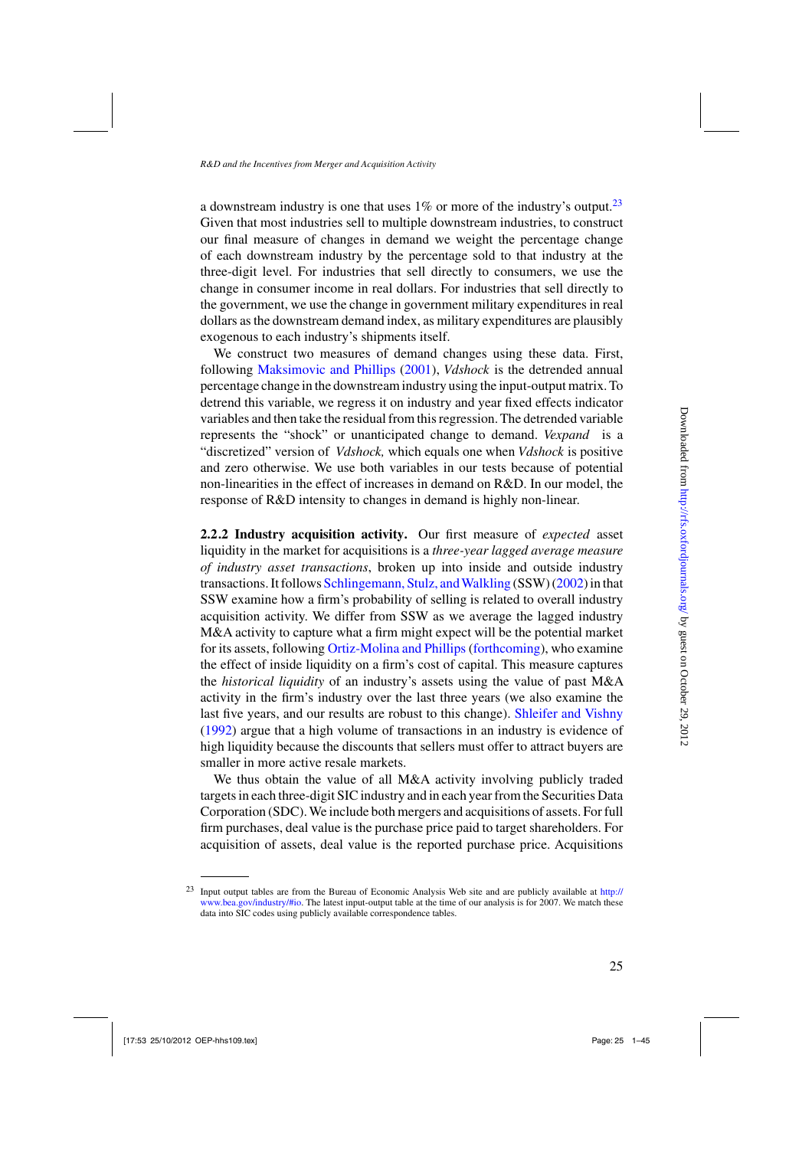a downstream industry is one that uses  $1\%$  or more of the industry's output.<sup>23</sup> Given that most industries sell to multiple downstream industries, to construct our final measure of changes in demand we weight the percentage change of each downstream industry by the percentage sold to that industry at the three-digit level. For industries that sell directly to consumers, we use the change in consumer income in real dollars. For industries that sell directly to the government, we use the change in government military expenditures in real dollars as the downstream demand index, as military expenditures are plausibly exogenous to each industry's shipments itself.

We construct two measures of demand changes using these data. First, following [Maksimovic and Phillips](#page-43-0) [\(2001](#page-43-0)), *Vdshock* is the detrended annual percentage change in the downstream industry using the input-output matrix. To detrend this variable, we regress it on industry and year fixed effects indicator variables and then take the residual from this regression. The detrended variable represents the "shock" or unanticipated change to demand. *Vexpand* is a "discretized" version of *Vdshock,* which equals one when *Vdshock* is positive and zero otherwise. We use both variables in our tests because of potential non-linearities in the effect of increases in demand on R&D. In our model, the response of R&D intensity to changes in demand is highly non-linear.

**2.2.2 Industry acquisition activity.** Our first measure of *expected* asset liquidity in the market for acquisitions is a *three-year lagged average measure of industry asset transactions*, broken up into inside and outside industry transactions. It follows Schlingemann, Stulz, and Walkling (SSW) [\(2002\)](#page-43-0) in that SSW examine how a firm's probability of selling is related to overall industry acquisition activity. We differ from SSW as we average the lagged industry M&A activity to capture what a firm might expect will be the potential market for its assets, following [Ortiz-Molina and Phillips](#page-43-0) [\(forthcoming\)](#page-43-0), who examine the effect of inside liquidity on a firm's cost of capital. This measure captures the *historical liquidity* of an industry's assets using the value of past M&A activity in the firm's industry over the last three years (we also examine the last five years, and our results are robust to this change). [Shleifer and Vishny](#page-44-0) [\(1992\)](#page-44-0) argue that a high volume of transactions in an industry is evidence of high liquidity because the discounts that sellers must offer to attract buyers are smaller in more active resale markets.

We thus obtain the value of all M&A activity involving publicly traded targets in each three-digit SIC industry and in each year from the Securities Data Corporation (SDC).We include both mergers and acquisitions of assets. For full firm purchases, deal value is the purchase price paid to target shareholders. For acquisition of assets, deal value is the reported purchase price. Acquisitions

<sup>&</sup>lt;sup>23</sup> Input output tables are from the Bureau of Economic Analysis Web site and are publicly available at http:// www.bea.gov/industry/#io. The latest input-output table at the time of our analysis is for 2007. We match these data into SIC codes using publicly available correspondence tables.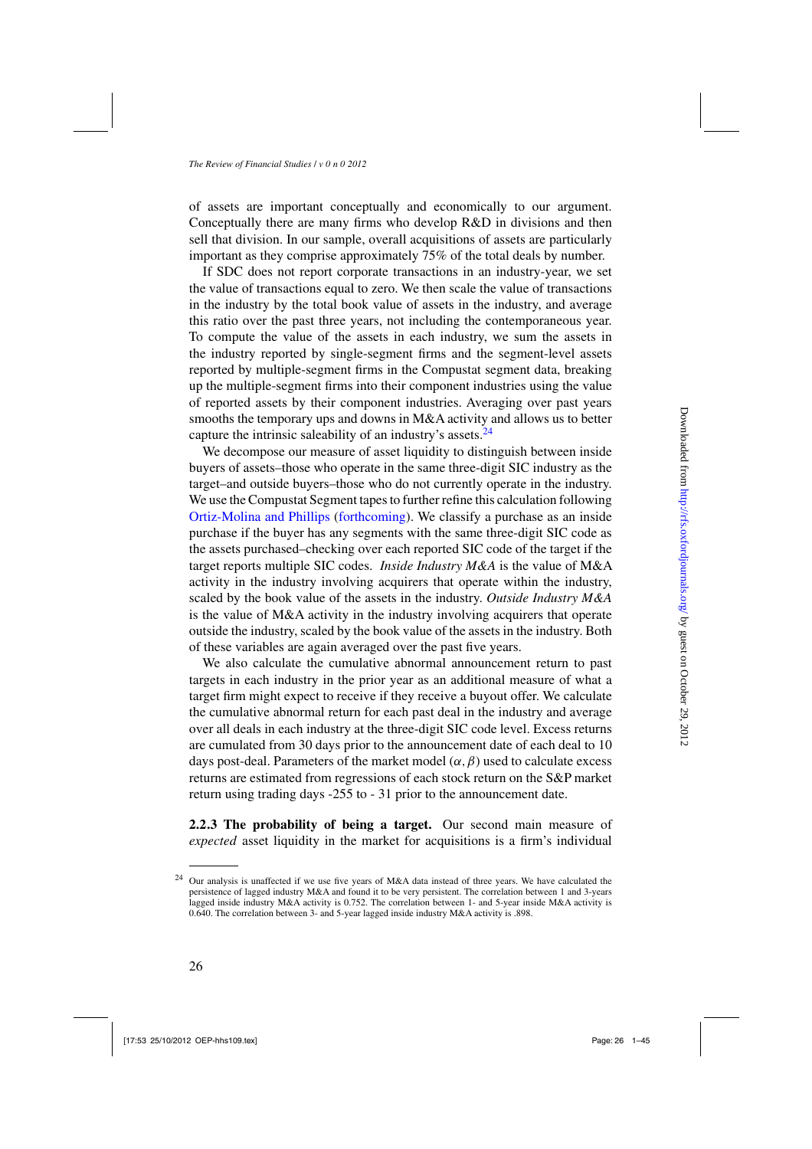of assets are important conceptually and economically to our argument. Conceptually there are many firms who develop R&D in divisions and then sell that division. In our sample, overall acquisitions of assets are particularly important as they comprise approximately 75% of the total deals by number.

If SDC does not report corporate transactions in an industry-year, we set the value of transactions equal to zero. We then scale the value of transactions in the industry by the total book value of assets in the industry, and average this ratio over the past three years, not including the contemporaneous year. To compute the value of the assets in each industry, we sum the assets in the industry reported by single-segment firms and the segment-level assets reported by multiple-segment firms in the Compustat segment data, breaking up the multiple-segment firms into their component industries using the value of reported assets by their component industries. Averaging over past years smooths the temporary ups and downs in M&A activity and allows us to better capture the intrinsic saleability of an industry's assets. $24$ 

We decompose our measure of asset liquidity to distinguish between inside buyers of assets–those who operate in the same three-digit SIC industry as the target–and outside buyers–those who do not currently operate in the industry. We use the Compustat Segment tapes to further refine this calculation following [Ortiz-Molina and Phillips](#page-43-0) [\(forthcoming](#page-43-0)). We classify a purchase as an inside purchase if the buyer has any segments with the same three-digit SIC code as the assets purchased–checking over each reported SIC code of the target if the target reports multiple SIC codes. *Inside Industry M&A* is the value of M&A activity in the industry involving acquirers that operate within the industry, scaled by the book value of the assets in the industry. *Outside Industry M&A* is the value of M&A activity in the industry involving acquirers that operate outside the industry, scaled by the book value of the assets in the industry. Both of these variables are again averaged over the past five years.

We also calculate the cumulative abnormal announcement return to past targets in each industry in the prior year as an additional measure of what a target firm might expect to receive if they receive a buyout offer. We calculate the cumulative abnormal return for each past deal in the industry and average over all deals in each industry at the three-digit SIC code level. Excess returns are cumulated from 30 days prior to the announcement date of each deal to 10 days post-deal. Parameters of the market model  $(\alpha, \beta)$  used to calculate excess returns are estimated from regressions of each stock return on the S&P market return using trading days -255 to - 31 prior to the announcement date.

**2.2.3 The probability of being a target.** Our second main measure of *expected* asset liquidity in the market for acquisitions is a firm's individual

<sup>24</sup> Our analysis is unaffected if we use five years of M&A data instead of three years. We have calculated the persistence of lagged industry M&A and found it to be very persistent. The correlation between 1 and 3-years lagged inside industry M&A activity is 0.752. The correlation between 1- and 5-year inside M&A activity is 0.640. The correlation between 3- and 5-year lagged inside industry M&A activity is .898.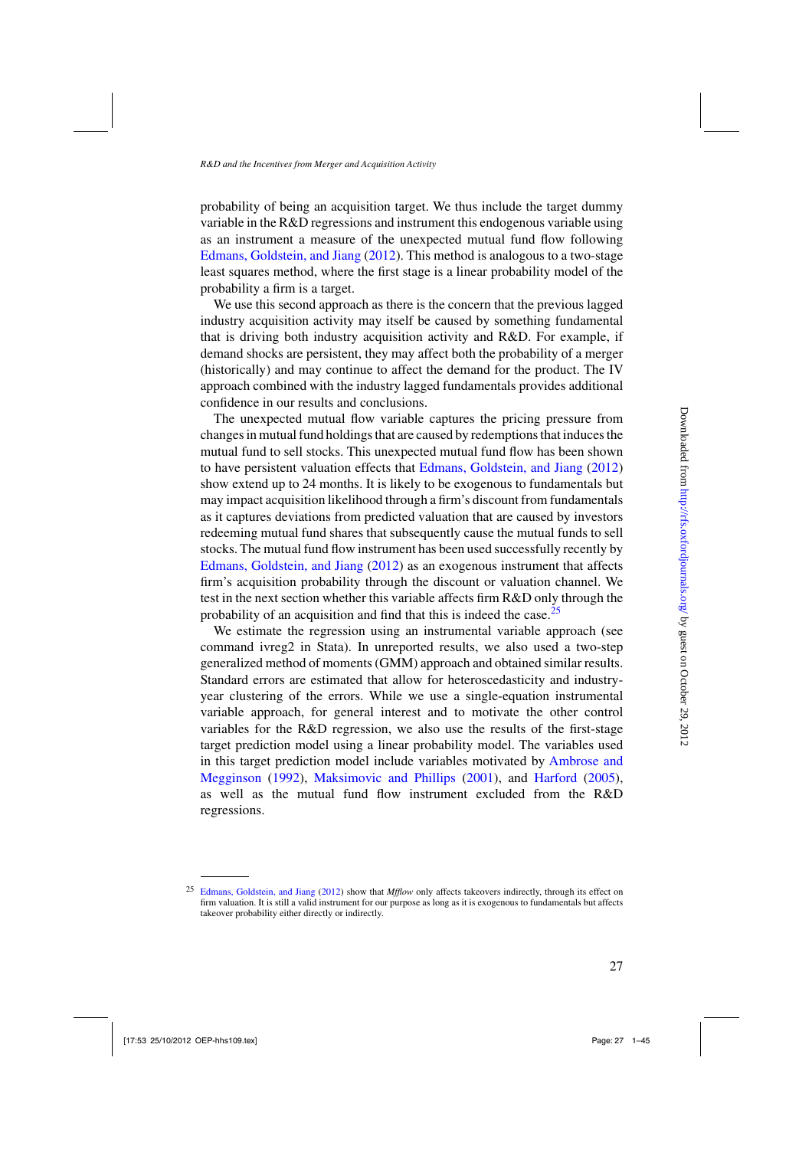probability of being an acquisition target. We thus include the target dummy variable in the R&D regressions and instrument this endogenous variable using as an instrument a measure of the unexpected mutual fund flow following [Edmans, Goldstein, and Jiang](#page-42-0) [\(2012](#page-42-0)). This method is analogous to a two-stage least squares method, where the first stage is a linear probability model of the probability a firm is a target.

We use this second approach as there is the concern that the previous lagged industry acquisition activity may itself be caused by something fundamental that is driving both industry acquisition activity and R&D. For example, if demand shocks are persistent, they may affect both the probability of a merger (historically) and may continue to affect the demand for the product. The IV approach combined with the industry lagged fundamentals provides additional confidence in our results and conclusions.

The unexpected mutual flow variable captures the pricing pressure from changes in mutual fund holdings that are caused by redemptions that induces the mutual fund to sell stocks. This unexpected mutual fund flow has been shown to have persistent valuation effects that [Edmans, Goldstein, and Jiang](#page-42-0) [\(2012](#page-42-0)) show extend up to 24 months. It is likely to be exogenous to fundamentals but may impact acquisition likelihood through a firm's discount from fundamentals as it captures deviations from predicted valuation that are caused by investors redeeming mutual fund shares that subsequently cause the mutual funds to sell stocks. The mutual fund flow instrument has been used successfully recently by [Edmans, Goldstein, and Jiang](#page-42-0) [\(2012](#page-42-0)) as an exogenous instrument that affects firm's acquisition probability through the discount or valuation channel. We test in the next section whether this variable affects firm R&D only through the probability of an acquisition and find that this is indeed the case. $25$ 

We estimate the regression using an instrumental variable approach (see command ivreg2 in Stata). In unreported results, we also used a two-step generalized method of moments (GMM) approach and obtained similar results. Standard errors are estimated that allow for heteroscedasticity and industryyear clustering of the errors. While we use a single-equation instrumental variable approach, for general interest and to motivate the other control variables for the R&D regression, we also use the results of the first-stage target prediction model using a linear probability model. The variables used in this targ[et prediction model include variables motivated by](#page-42-0) Ambrose and Megginson [\(1992](#page-42-0)), [Maksimovic and Phillips](#page-43-0) [\(2001\)](#page-43-0), and [Harford](#page-43-0) [\(2005\)](#page-43-0), as well as the mutual fund flow instrument excluded from the R&D regressions.

<sup>25</sup> [Edmans, Goldstein, and Jiang](#page-42-0) [\(2012](#page-42-0)) show that *Mfflow* only affects takeovers indirectly, through its effect on firm valuation. It is still a valid instrument for our purpose as long as it is exogenous to fundamentals but affects takeover probability either directly or indirectly.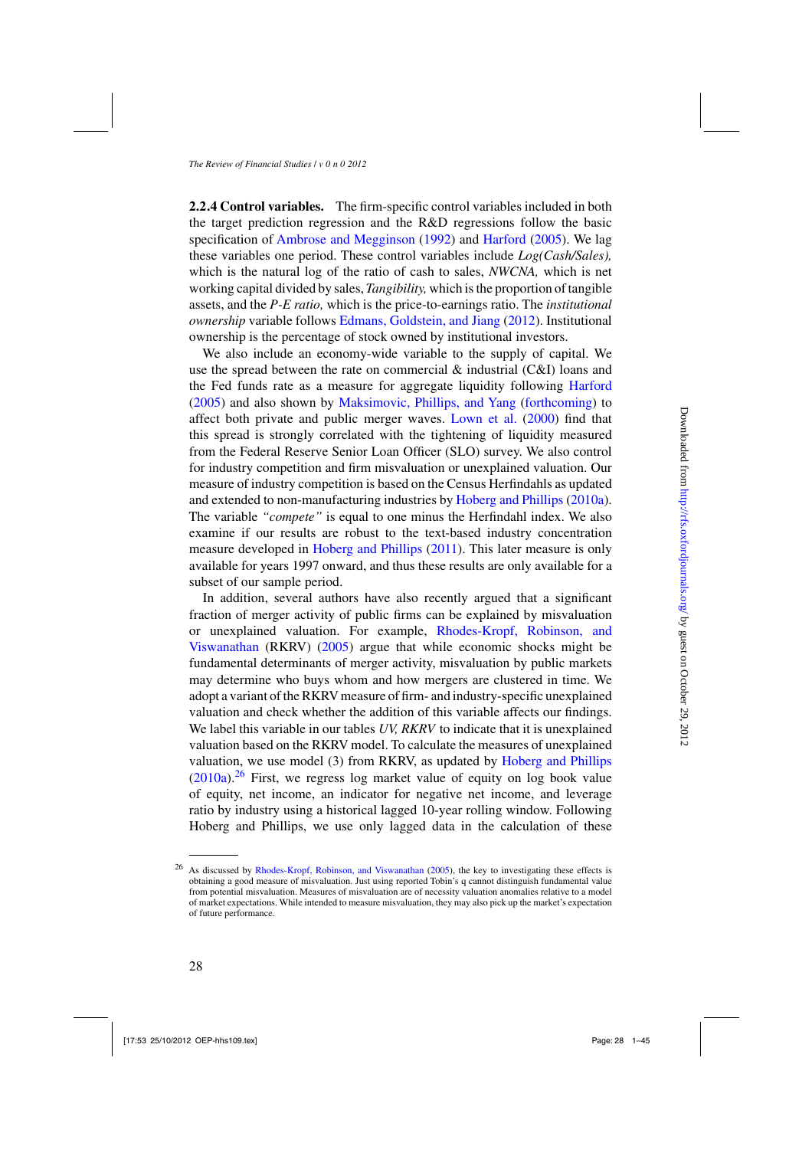**2.2.4 Control variables.** The firm-specific control variables included in both the target prediction regression and the R&D regressions follow the basic specification of [Ambrose and Megginson](#page-42-0) [\(1992](#page-42-0)) and [Harford](#page-43-0) [\(2005\)](#page-43-0). We lag these variables one period. These control variables include *Log(Cash/Sales),* which is the natural log of the ratio of cash to sales, *NWCNA,* which is net working capital divided by sales, *Tangibility,* which is the proportion of tangible assets, and the *P-E ratio,* which is the price-to-earnings ratio. The *institutional ownership* variable follows [Edmans, Goldstein, and Jiang](#page-42-0) [\(2012](#page-42-0)). Institutional ownership is the percentage of stock owned by institutional investors.

We also include an economy-wide variable to the supply of capital. We use the spread between the rate on commercial & industrial (C&I) loans and the Fed funds rate as a measure for aggregate liquidity following [Harford](#page-43-0) [\(2005\)](#page-43-0) and also shown by [Maksimovic, Phillips, and Yang](#page-43-0) [\(forthcoming\)](#page-43-0) to affect both private and public merger waves. [Lown et al.](#page-43-0) [\(2000](#page-43-0)) find that this spread is strongly correlated with the tightening of liquidity measured from the Federal Reserve Senior Loan Officer (SLO) survey. We also control for industry competition and firm misvaluation or unexplained valuation. Our measure of industry competition is based on the Census Herfindahls as updated and extended to non-manufacturing industries by [Hoberg and Phillips](#page-43-0) [\(2010a\)](#page-43-0). The variable *"compete"* is equal to one minus the Herfindahl index. We also examine if our results are robust to the text-based industry concentration measure developed in [Hoberg and Phillips](#page-43-0) [\(2011](#page-43-0)). This later measure is only available for years 1997 onward, and thus these results are only available for a subset of our sample period.

In addition, several authors have also recently argued that a significant fraction of merger activity of public firms can be explained by misvaluation or unexplai[ned valuation. For example,](#page-43-0) Rhodes-Kropf, Robinson, and Viswanathan (RKRV) [\(2005\)](#page-43-0) argue that while economic shocks might be fundamental determinants of merger activity, misvaluation by public markets may determine who buys whom and how mergers are clustered in time. We adopt a variant of the RKRV measure of firm- and industry-specific unexplained valuation and check whether the addition of this variable affects our findings. We label this variable in our tables *UV, RKRV* to indicate that it is unexplained valuation based on the RKRV model. To calculate the measures of unexplained valuation, we use model (3) from RKRV, as updated by [Hoberg and Phillips](#page-43-0)  $(2010a)$  $(2010a)$ <sup>26</sup> First, we regress log market value of equity on log book value of equity, net income, an indicator for negative net income, and leverage ratio by industry using a historical lagged 10-year rolling window. Following Hoberg and Phillips, we use only lagged data in the calculation of these

<sup>&</sup>lt;sup>26</sup> As discussed by [Rhodes-Kropf, Robinson, and Viswanathan](#page-43-0) [\(2005](#page-43-0)), the key to investigating these effects is obtaining a good measure of misvaluation. Just using reported Tobin's q cannot distinguish fundamental value from potential misvaluation. Measures of misvaluation are of necessity valuation anomalies relative to a model of market expectations. While intended to measure misvaluation, they may also pick up the market's expectation of future performance.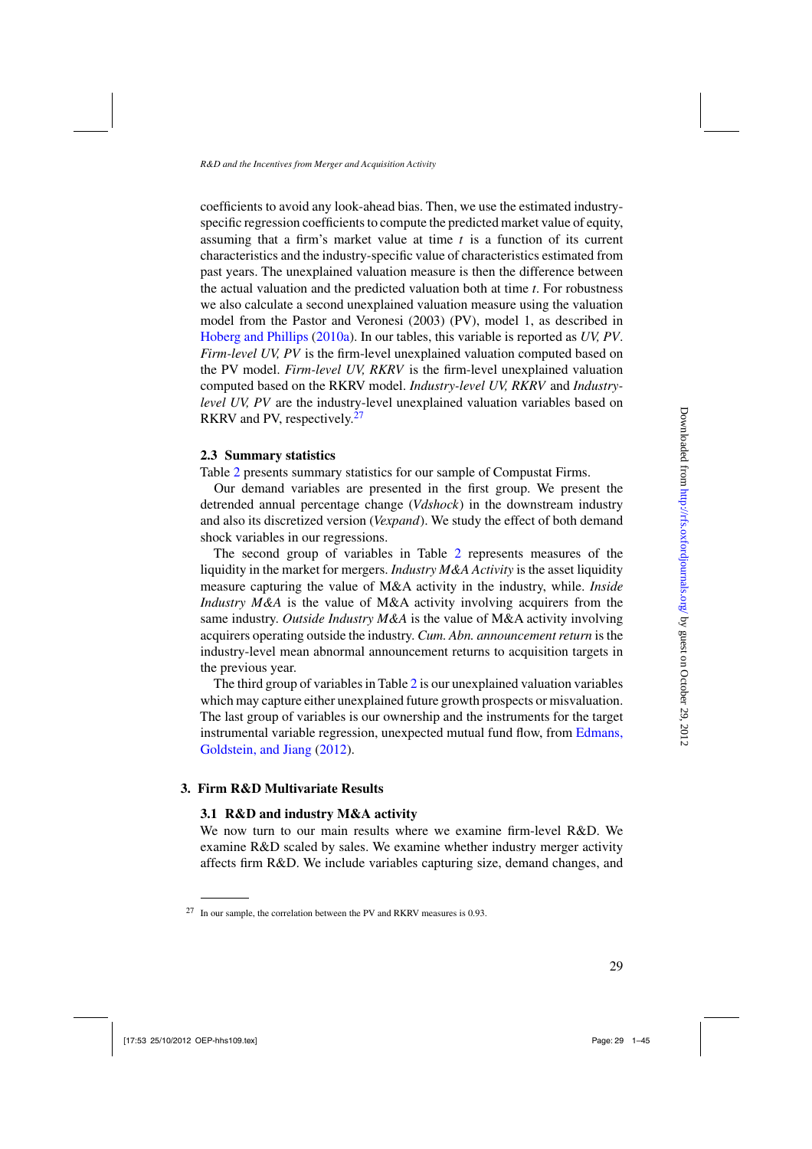coefficients to avoid any look-ahead bias. Then, we use the estimated industryspecific regression coefficients to compute the predicted market value of equity, assuming that a firm's market value at time *t* is a function of its current characteristics and the industry-specific value of characteristics estimated from past years. The unexplained valuation measure is then the difference between the actual valuation and the predicted valuation both at time *t*. For robustness we also calculate a second unexplained valuation measure using the valuation model from the Pastor and Veronesi (2003) (PV), model 1, as described in [Hoberg and Phillips](#page-43-0) [\(2010a](#page-43-0)). In our tables, this variable is reported as *UV, PV*. *Firm-level UV, PV* is the firm-level unexplained valuation computed based on the PV model. *Firm-level UV, RKRV* is the firm-level unexplained valuation computed based on the RKRV model. *Industry-level UV, RKRV* and *Industrylevel UV, PV* are the industry-level unexplained valuation variables based on RKRV and PV, respectively.<sup>27</sup>

### **2.3 Summary statistics**

Table [2](#page-29-0) presents summary statistics for our sample of Compustat Firms.

Our demand variables are presented in the first group. We present the detrended annual percentage change (*Vdshock*) in the downstream industry and also its discretized version (*Vexpand*). We study the effect of both demand shock variables in our regressions.

The second group of variables in Table [2](#page-29-0) represents measures of the liquidity in the market for mergers. *Industry M&A Activity* is the asset liquidity measure capturing the value of M&A activity in the industry, while. *Inside Industry M&A* is the value of M&A activity involving acquirers from the same industry. *Outside Industry M&A* is the value of M&A activity involving acquirers operating outside the industry. *Cum. Abn. announcement return* is the industry-level mean abnormal announcement returns to acquisition targets in the previous year.

The third group of variables in Table [2](#page-29-0) is our unexplained valuation variables which may capture either unexplained future growth prospects or misvaluation. The last group of variables is our ownership and the instruments for the target instrumental variabl[e regression, unexpected mutual fund flow, from](#page-42-0) Edmans, Goldstein, and Jiang [\(2012](#page-42-0)).

# **3. Firm R&D Multivariate Results**

### **3.1 R&D and industry M&A activity**

We now turn to our main results where we examine firm-level R&D. We examine R&D scaled by sales. We examine whether industry merger activity affects firm R&D. We include variables capturing size, demand changes, and

In our sample, the correlation between the PV and RKRV measures is 0.93.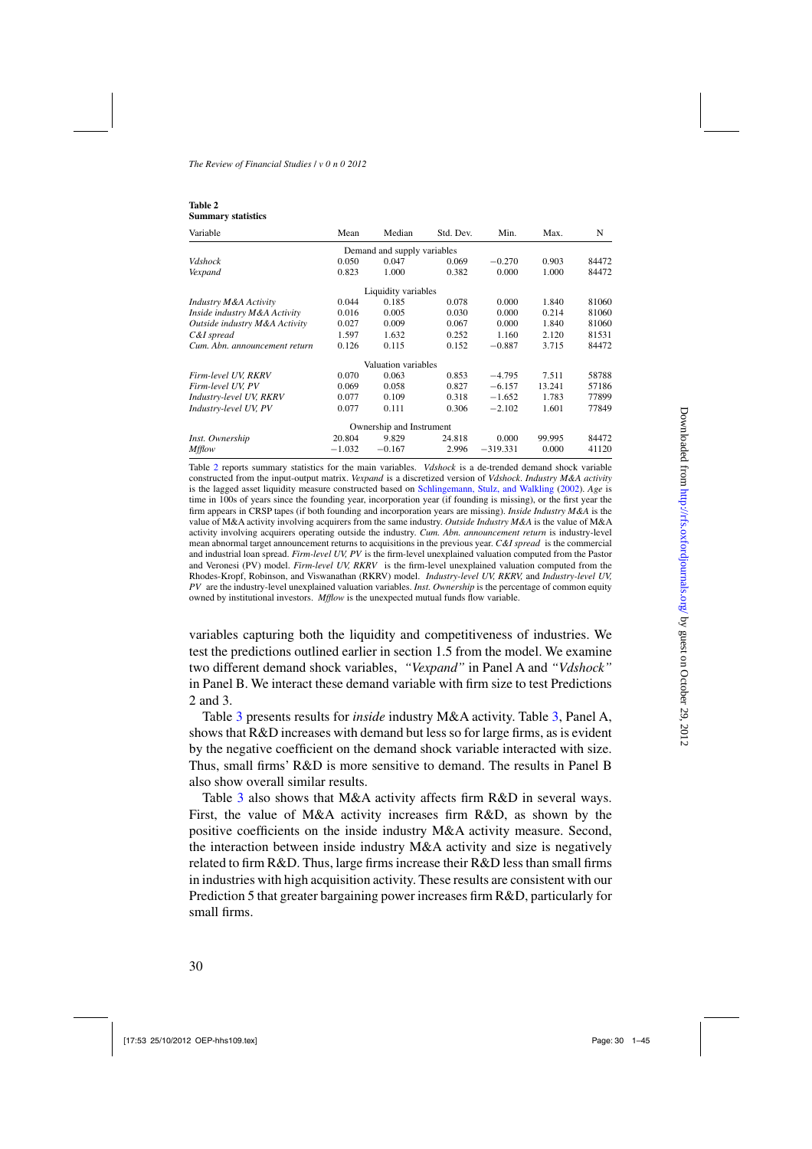<span id="page-29-0"></span>

| Table 2                   |  |
|---------------------------|--|
| <b>Summary statistics</b> |  |

| Variable                      | Mean     | Median                      | Std. Dev. | Min.       | Max.   | N     |
|-------------------------------|----------|-----------------------------|-----------|------------|--------|-------|
|                               |          | Demand and supply variables |           |            |        |       |
| Vdshock                       | 0.050    | 0.047                       | 0.069     | $-0.270$   | 0.903  | 84472 |
| Vexpand                       | 0.823    | 1.000                       | 0.382     | 0.000      | 1.000  | 84472 |
|                               |          | Liquidity variables         |           |            |        |       |
| Industry M&A Activity         | 0.044    | 0.185                       | 0.078     | 0.000      | 1.840  | 81060 |
| Inside industry M&A Activity  | 0.016    | 0.005                       | 0.030     | 0.000      | 0.214  | 81060 |
| Outside industry M&A Activity | 0.027    | 0.009                       | 0.067     | 0.000      | 1.840  | 81060 |
| C&I spread                    | 1.597    | 1.632                       | 0.252     | 1.160      | 2.120  | 81531 |
| Cum. Abn. announcement return | 0.126    | 0.115                       | 0.152     | $-0.887$   | 3.715  | 84472 |
|                               |          | Valuation variables         |           |            |        |       |
| Firm-level UV, RKRV           | 0.070    | 0.063                       | 0.853     | $-4.795$   | 7.511  | 58788 |
| Firm-level UV, PV             | 0.069    | 0.058                       | 0.827     | $-6.157$   | 13.241 | 57186 |
| Industry-level UV, RKRV       | 0.077    | 0.109                       | 0.318     | $-1.652$   | 1.783  | 77899 |
| Industry-level UV, PV         | 0.077    | 0.111                       | 0.306     | $-2.102$   | 1.601  | 77849 |
|                               |          | Ownership and Instrument    |           |            |        |       |
| Inst. Ownership               | 20.804   | 9.829                       | 24.818    | 0.000      | 99.995 | 84472 |
| <b>Mfflow</b>                 | $-1.032$ | $-0.167$                    | 2.996     | $-319.331$ | 0.000  | 41120 |

Table 2 reports summary statistics for the main variables. *Vdshock* is a de-trended demand shock variable constructed from the input-output matrix. *Vexpand* is a discretized version of *Vdshock*. *Industry M&A activity* is the lagged asset liquidity measure constructed based on [Schlingemann, Stulz, and Walkling](#page-43-0) [\(2002](#page-43-0)). *Age* is time in 100s of years since the founding year, incorporation year (if founding is missing), or the first year the firm appears in CRSP tapes (if both founding and incorporation years are missing). *Inside Industry M&A* is the value of M&A activity involving acquirers from the same industry. *Outside Industry M&A* is the value of M&A activity involving acquirers operating outside the industry. *Cum. Abn. announcement return* is industry-level mean abnormal target announcement returns to acquisitions in the previous year. *C&I spread* is the commercial and industrial loan spread. *Firm-level UV, PV* is the firm-level unexplained valuation computed from the Pastor and Veronesi (PV) model. *Firm-level UV, RKRV* is the firm-level unexplained valuation computed from the Rhodes-Kropf, Robinson, and Viswanathan (RKRV) model. *Industry-level UV, RKRV,* and *Industry-level UV, PV* are the industry-level unexplained valuation variables. *Inst. Ownership* is the percentage of common equity owned by institutional investors. *Mfflow* is the unexpected mutual funds flow variable.

variables capturing both the liquidity and competitiveness of industries. We test the predictions outlined earlier in section 1.5 from the model. We examine two different demand shock variables, *"Vexpand"* in Panel A and *"Vdshock"* in Panel B. We interact these demand variable with firm size to test Predictions 2 and 3.

Table [3](#page-30-0) presents results for *inside* industry M&A activity. Table [3,](#page-30-0) Panel A, shows that R&D increases with demand but less so for large firms, as is evident by the negative coefficient on the demand shock variable interacted with size. Thus, small firms' R&D is more sensitive to demand. The results in Panel B also show overall similar results.

Table [3](#page-30-0) also shows that M&A activity affects firm R&D in several ways. First, the value of M&A activity increases firm R&D, as shown by the positive coefficients on the inside industry M&A activity measure. Second, the interaction between inside industry M&A activity and size is negatively related to firm R&D. Thus, large firms increase their R&D less than small firms in industries with high acquisition activity. These results are consistent with our Prediction 5 that greater bargaining power increases firm R&D, particularly for small firms.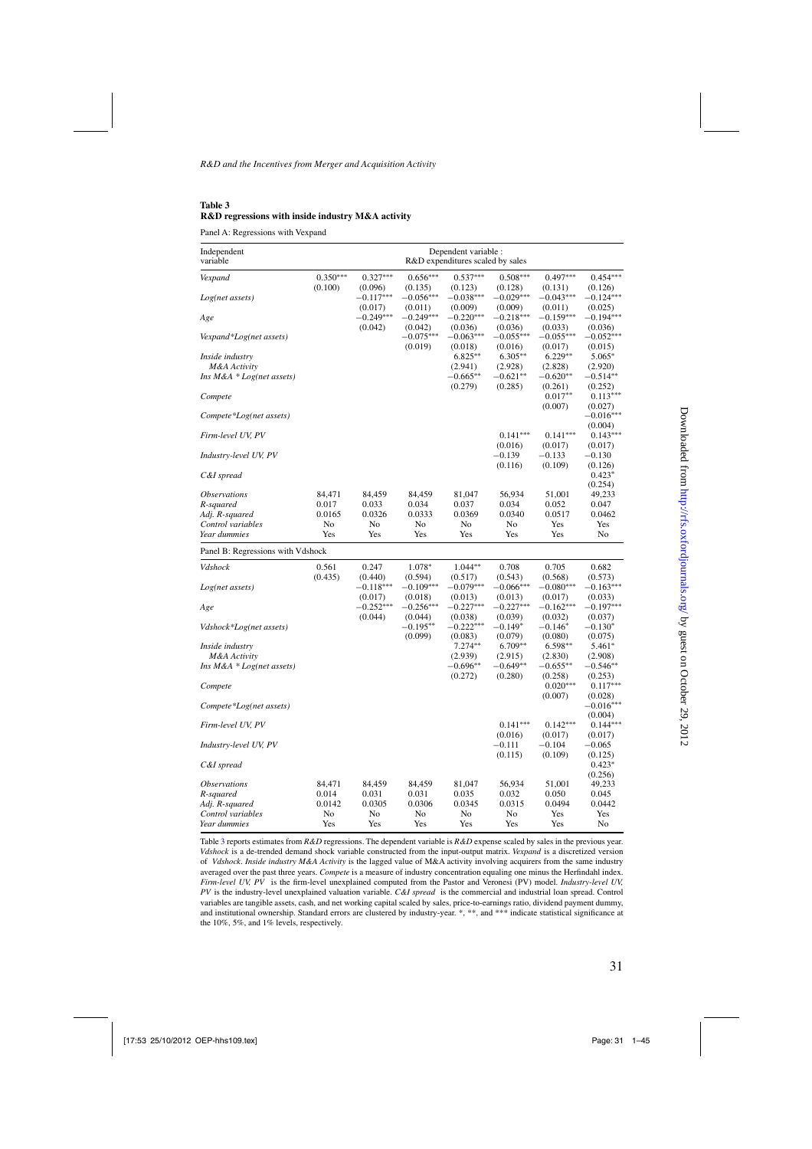#### <span id="page-30-0"></span>**Table 3 R&D regressions with inside industry M&A activity**

Panel A: Regressions with Vexpand

| Independent<br>variable           |                       |                        |                        | Dependent variable :<br>R&D expenditures scaled by sales |                        |                                 |                                  |
|-----------------------------------|-----------------------|------------------------|------------------------|----------------------------------------------------------|------------------------|---------------------------------|----------------------------------|
| Vexpand                           | $0.350***$<br>(0.100) | $0.327***$<br>(0.096)  | $0.656***$<br>(0.135)  | $0.537***$<br>(0.123)                                    | $0.508***$<br>(0.128)  | $0.497***$<br>(0.131)           | $0.454***$<br>(0.126)            |
| Log(net assets)                   |                       | $-0.117***$<br>(0.017) | $-0.056***$<br>(0.011) | $-0.038***$<br>(0.009)                                   | $-0.029***$<br>(0.009) | $-0.043***$<br>(0.011)          | $-0.124***$<br>(0.025)           |
| Age                               |                       | $-0.249***$<br>(0.042) | $-0.249***$<br>(0.042) | $-0.220***$<br>(0.036)                                   | $-0.218***$<br>(0.036) | $-0.159***$<br>(0.033)          | $-0.194***$<br>(0.036)           |
| Vexpand*Log(net assets)           |                       |                        | $-0.075***$<br>(0.019) | $-0.063***$<br>(0.018)                                   | $-0.055***$<br>(0.016) | $-0.055***$<br>(0.017)          | $-0.052***$<br>(0.015)           |
| Inside industry<br>M&A Activity   |                       |                        |                        | $6.825**$<br>(2.941)                                     | $6.305**$<br>(2.928)   | $6.229**$<br>(2.828)            | $5.065*$<br>(2.920)              |
| Ins $M&A * Log(net \; assets)$    |                       |                        |                        | $-0.665**$                                               | $-0.621**$             | $-0.620**$                      | $-0.514**$                       |
| Compete                           |                       |                        |                        | (0.279)                                                  | (0.285)                | (0.261)<br>$0.017**$<br>(0.007) | (0.252)<br>$0.113***$<br>(0.027) |
| Compete*Log(net assets)           |                       |                        |                        |                                                          |                        |                                 | $-0.016***$<br>(0.004)           |
| Firm-level UV, PV                 |                       |                        |                        |                                                          | $0.141***$<br>(0.016)  | $0.141***$<br>(0.017)           | $0.143***$<br>(0.017)            |
| Industry-level UV, PV             |                       |                        |                        |                                                          | $-0.139$<br>(0.116)    | $-0.133$<br>(0.109)             | $-0.130$<br>(0.126)              |
| C&I spread                        |                       |                        |                        |                                                          |                        |                                 | $0.423*$<br>(0.254)              |
| <i><b>Observations</b></i>        | 84,471                | 84,459                 | 84,459                 | 81,047                                                   | 56,934                 | 51,001                          | 49,233                           |
| R-squared                         | 0.017                 | 0.033                  | 0.034                  | 0.037                                                    | 0.034                  | 0.052                           | 0.047                            |
| Adj. R-squared                    | 0.0165                | 0.0326                 | 0.0333                 | 0.0369                                                   | 0.0340                 | 0.0517                          | 0.0462                           |
| Control variables                 | No                    | No                     | No                     | No                                                       | No                     | Yes                             | Yes                              |
| Year dummies                      | Yes                   | Yes                    | Yes                    | Yes                                                      | Yes                    | Yes                             | No                               |
| Panel B: Regressions with Vdshock |                       |                        |                        |                                                          |                        |                                 |                                  |
| Vdshock                           | 0.561                 | 0.247                  | 1.078*                 | $1.044**$                                                | 0.708                  | 0.705                           | 0.682                            |
| Log(net assets)                   | (0.435)               | (0.440)<br>$-0.118***$ | (0.594)<br>$-0.109***$ | (0.517)<br>$-0.079***$                                   | (0.543)<br>$-0.066***$ | (0.568)<br>$-0.080***$          | (0.573)<br>$-0.163***$           |
|                                   |                       | (0.017)                | (0.018)                | (0.013)                                                  | (0.013)                | (0.017)                         | (0.033)                          |
| Age                               |                       | $-0.252***$            | $-0.256***$            | $-0.227***$                                              | $-0.227***$            | $-0.162***$                     | $-0.197***$                      |
|                                   |                       | (0.044)                | (0.044)                | (0.038)                                                  | (0.039)                | (0.032)                         | (0.037)                          |
| Vdshock*Log(net assets)           |                       |                        | $-0.195**$<br>(0.099)  | $-0.222***$<br>(0.083)                                   | $-0.149*$<br>(0.079)   | $-0.146*$<br>(0.080)            | $-0.130*$<br>(0.075)             |
| Inside industry                   |                       |                        |                        | $7.274**$                                                | $6.709**$              | $6.598**$                       | 5.461*                           |
| M&A Activity                      |                       |                        |                        | (2.939)                                                  | (2.915)                | (2.830)                         | (2.908)                          |
| Ins $M\&A * Log(net \; assets)$   |                       |                        |                        | $-0.696**$                                               | $-0.649**$             | $-0.655**$                      | $-0.546**$                       |
| Compete                           |                       |                        |                        | (0.272)                                                  | (0.280)                | (0.258)<br>$0.020***$           | (0.253)<br>$0.117***$            |
| Compete*Log(net assets)           |                       |                        |                        |                                                          |                        | (0.007)                         | (0.028)<br>$-0.016***$           |
| Firm-level UV, PV                 |                       |                        |                        |                                                          | $0.141***$             | $0.142***$                      | (0.004)<br>$0.144***$            |
| Industry-level UV, PV             |                       |                        |                        |                                                          | (0.016)<br>$-0.111$    | (0.017)<br>$-0.104$             | (0.017)<br>$-0.065$              |
| C&I spread                        |                       |                        |                        |                                                          | (0.115)                | (0.109)                         | (0.125)<br>$0.423*$<br>(0.256)   |
| <i><b>Observations</b></i>        | 84,471                | 84,459                 | 84,459                 | 81,047                                                   | 56,934                 | 51,001                          | 49,233                           |
| R-squared                         | 0.014                 | 0.031                  | 0.031                  | 0.035                                                    | 0.032                  | 0.050                           | 0.045                            |
| Adj. R-squared                    | 0.0142                | 0.0305                 | 0.0306                 | 0.0345                                                   | 0.0315                 | 0.0494                          | 0.0442                           |
| Control variables                 | No                    | N <sub>o</sub>         | N <sub>o</sub>         | N <sub>o</sub>                                           | N <sub>o</sub>         | Yes                             | Yes                              |
| Year dummies                      | Yes                   | Yes                    | Yes                    | Yes                                                      | Yes                    | Yes                             | No                               |

Table 3 reports estimates from *R&D* regressions. The dependent variable is *R&D* expense scaled by sales in the previous year. *Vdshock* is a de-trended demand shock variable constructed from the input-output matrix. *Vexpand* is a discretized version of *Vdshock*. *Inside industry M&A Activity* is the lagged value of M&A activity involving acquirers from the same industry averaged over the past three years. *Compete* is a measure of industry concentration equaling one minus the Herfindahl index. *Firm-level UV, PV* is the firm-level unexplained computed from the Pastor and Veronesi (PV) model. *Industry-level UV, PV* is the industry-level unexplained valuation variable. *C&I spread* is the commercial and industrial loan spread. Control variables are tangible assets, cash, and net working capital scaled by sales, price-to-earnings ratio, dividend payment dummy, and institutional ownership. Standard errors are clustered by industry-year. \*, \*\*, and \*\*\* indicate statistical significance at the 10%, 5%, and 1% levels, respectively.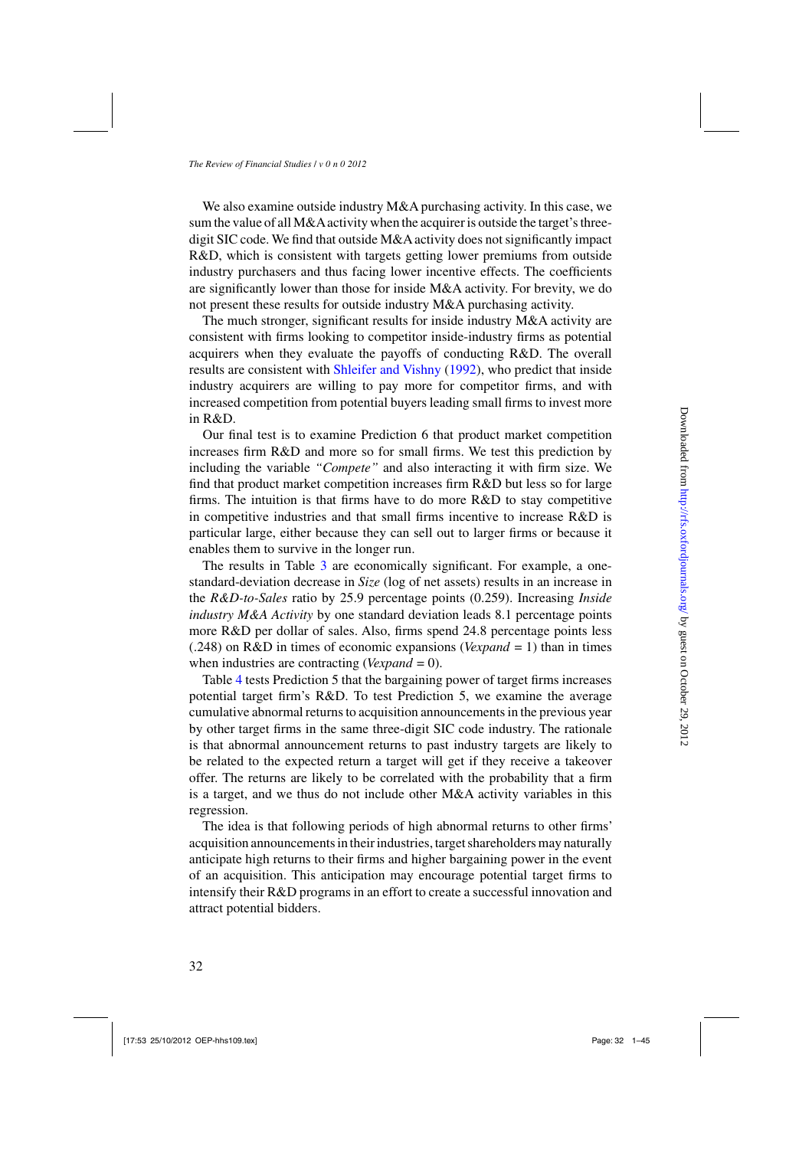We also examine outside industry M&A purchasing activity. In this case, we sum the value of all M&A activity when the acquirer is outside the target's threedigit SIC code. We find that outside M&A activity does not significantly impact R&D, which is consistent with targets getting lower premiums from outside industry purchasers and thus facing lower incentive effects. The coefficients are significantly lower than those for inside M&A activity. For brevity, we do not present these results for outside industry M&A purchasing activity.

The much stronger, significant results for inside industry M&A activity are consistent with firms looking to competitor inside-industry firms as potential acquirers when they evaluate the payoffs of conducting R&D. The overall results are consistent with [Shleifer and Vishny](#page-44-0) [\(1992\)](#page-44-0), who predict that inside industry acquirers are willing to pay more for competitor firms, and with increased competition from potential buyers leading small firms to invest more in R&D.

Our final test is to examine Prediction 6 that product market competition increases firm R&D and more so for small firms. We test this prediction by including the variable *"Compete"* and also interacting it with firm size. We find that product market competition increases firm R&D but less so for large firms. The intuition is that firms have to do more R&D to stay competitive in competitive industries and that small firms incentive to increase R&D is particular large, either because they can sell out to larger firms or because it enables them to survive in the longer run.

The results in Table [3](#page-30-0) are economically significant. For example, a onestandard-deviation decrease in *Size* (log of net assets) results in an increase in the *R&D-to-Sales* ratio by 25.9 percentage points (0.259). Increasing *Inside industry M&A Activity* by one standard deviation leads 8.1 percentage points more R&D per dollar of sales. Also, firms spend 24.8 percentage points less (.248) on R&D in times of economic expansions (*Vexpand* = 1) than in times when industries are contracting (*Vexpand* = 0).

Table [4](#page-32-0) tests Prediction 5 that the bargaining power of target firms increases potential target firm's R&D. To test Prediction 5, we examine the average cumulative abnormal returns to acquisition announcements in the previous year by other target firms in the same three-digit SIC code industry. The rationale is that abnormal announcement returns to past industry targets are likely to be related to the expected return a target will get if they receive a takeover offer. The returns are likely to be correlated with the probability that a firm is a target, and we thus do not include other M&A activity variables in this regression.

The idea is that following periods of high abnormal returns to other firms' acquisition announcements in their industries, target shareholders may naturally anticipate high returns to their firms and higher bargaining power in the event of an acquisition. This anticipation may encourage potential target firms to intensify their R&D programs in an effort to create a successful innovation and attract potential bidders.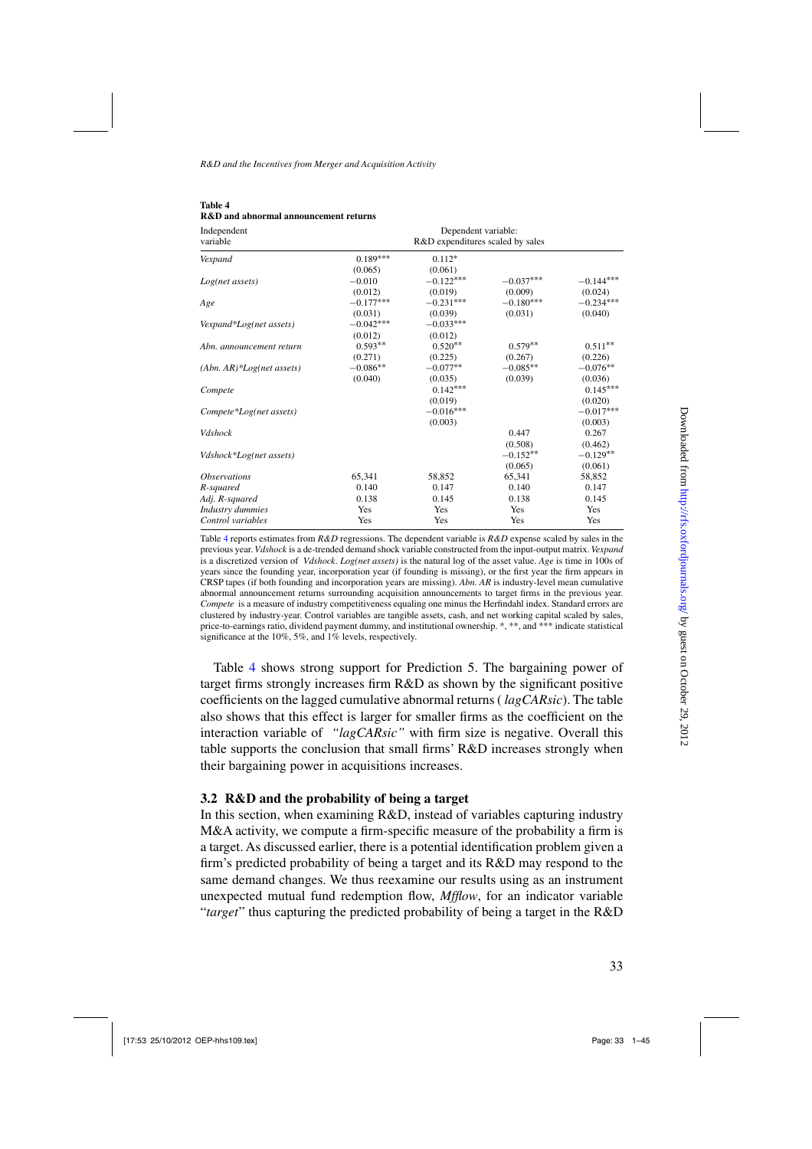| Independent<br>variable        | Dependent variable:<br>R&D expenditures scaled by sales |                        |                                  |                                  |  |
|--------------------------------|---------------------------------------------------------|------------------------|----------------------------------|----------------------------------|--|
| Vexpand                        | $0.189***$<br>(0.065)                                   | $0.112*$<br>(0.061)    |                                  |                                  |  |
| Log(net assets)                | $-0.010$<br>(0.012)                                     | $-0.122***$<br>(0.019) | $-0.037***$<br>(0.009)           | $-0.144***$<br>(0.024)           |  |
| Age                            | $-0.177***$                                             | $-0.231***$            | $-0.180***$                      | $-0.234***$                      |  |
| Vexpand*Log(net assets)        | (0.031)<br>$-0.042***$                                  | (0.039)<br>$-0.033***$ | (0.031)                          | (0.040)                          |  |
| Abn. announcement return       | (0.012)<br>$0.593**$                                    | (0.012)<br>$0.520**$   | $0.579**$<br>(0.267)             | $0.511**$                        |  |
| $(Abn. AR)*Log(net \, assets)$ | (0.271)<br>$-0.086**$                                   | (0.225)<br>$-0.077**$  | $-0.085**$                       | (0.226)<br>$-0.076**$            |  |
| Compete                        | (0.040)                                                 | (0.035)<br>$0.142***$  | (0.039)                          | (0.036)<br>$0.145***$            |  |
| Compete*Log(net assets)        |                                                         | (0.019)<br>$-0.016***$ |                                  | (0.020)<br>$-0.017***$           |  |
| Vdshock                        |                                                         | (0.003)                | 0.447                            | (0.003)<br>0.267                 |  |
| Vdshock*Log(net assets)        |                                                         |                        | (0.508)<br>$-0.152**$<br>(0.065) | (0.462)<br>$-0.129**$<br>(0.061) |  |
| <i><b>Observations</b></i>     | 65,341                                                  | 58,852                 | 65,341                           | 58,852                           |  |
| R-squared                      | 0.140                                                   | 0.147                  | 0.140                            | 0.147                            |  |
| Adj. R-squared                 | 0.138                                                   | 0.145                  | 0.138                            | 0.145                            |  |
| Industry dummies               | Yes                                                     | Yes                    | Yes                              | Yes                              |  |
| Control variables              | Yes                                                     | Yes                    | Yes                              | Yes                              |  |

#### <span id="page-32-0"></span>**Table 4 R&D and abnormal announcement returns**

Table 4 reports estimates from *R&D* regressions. The dependent variable is *R&D* expense scaled by sales in the previous year. *Vdshock* is a de-trended demand shock variable constructed from the input-output matrix. *Vexpand* is a discretized version of *Vdshock*. *Log(net assets)* is the natural log of the asset value. *Age* is time in 100s of years since the founding year, incorporation year (if founding is missing), or the first year the firm appears in CRSP tapes (if both founding and incorporation years are missing). *Abn. AR* is industry-level mean cumulative abnormal announcement returns surrounding acquisition announcements to target firms in the previous year. *Compete* is a measure of industry competitiveness equaling one minus the Herfindahl index. Standard errors are clustered by industry-year. Control variables are tangible assets, cash, and net working capital scaled by sales, price-to-earnings ratio, dividend payment dummy, and institutional ownership. \*, \*\*, and \*\*\* indicate statistical significance at the 10%, 5%, and 1% levels, respectively.

Table 4 shows strong support for Prediction 5. The bargaining power of target firms strongly increases firm R&D as shown by the significant positive coefficients on the lagged cumulative abnormal returns ( *lagCARsic*). The table also shows that this effect is larger for smaller firms as the coefficient on the interaction variable of *"lagCARsic"* with firm size is negative. Overall this table supports the conclusion that small firms' R&D increases strongly when their bargaining power in acquisitions increases.

# **3.2 R&D and the probability of being a target**

In this section, when examining R&D, instead of variables capturing industry M&A activity, we compute a firm-specific measure of the probability a firm is a target. As discussed earlier, there is a potential identification problem given a firm's predicted probability of being a target and its R&D may respond to the same demand changes. We thus reexamine our results using as an instrument unexpected mutual fund redemption flow, *Mfflow*, for an indicator variable "*target*" thus capturing the predicted probability of being a target in the R&D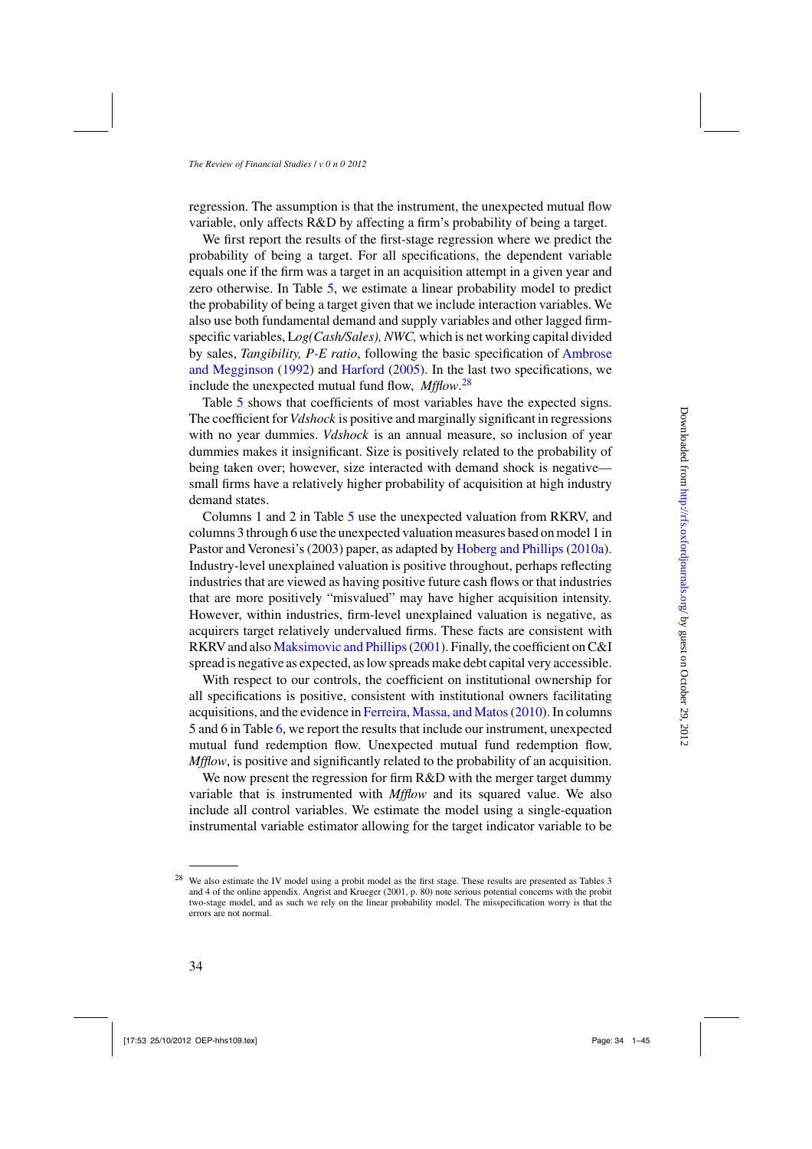regression. The assumption is that the instrument, the unexpected mutual flow variable, only affects R&D by affecting a firm's probability of being a target.

We first report the results of the first-stage regression where we predict the probability of being a target. For all specifications, the dependent variable equals one if the firm was a target in an acquisition attempt in a given year and zero otherwise. In Table [5,](#page-34-0) we estimate a linear probability model to predict the probability of being a target given that we include interaction variables. We also use both fundamental demand and supply variables and other lagged firmspecific variables, L*og(Cash/Sales), NWC,* which is net working capital divided by sales, *Tangibility, P-E ratio*[, following the basic specification of](#page-42-0) Ambrose and Megginson [\(1992\)](#page-42-0) and [Harford](#page-43-0) [\(2005\)](#page-43-0). In the last two specifications, we include the unexpected mutual fund flow, *Mfflow*. 28

Table [5](#page-34-0) shows that coefficients of most variables have the expected signs. The coefficient for*Vdshock* is positive and marginally significant in regressions with no year dummies. *Vdshock* is an annual measure, so inclusion of year dummies makes it insignificant. Size is positively related to the probability of being taken over; however, size interacted with demand shock is negative small firms have a relatively higher probability of acquisition at high industry demand states.

Columns 1 and 2 in Table [5](#page-34-0) use the unexpected valuation from RKRV, and columns 3 through 6 use the unexpected valuation measures based on model 1 in Pastor and Veronesi's (2003) paper, as adapted by [Hoberg and Phillips\(2010a\)](#page-43-0). Industry-level unexplained valuation is positive throughout, perhaps reflecting industries that are viewed as having positive future cash flows or that industries that are more positively "misvalued" may have higher acquisition intensity. However, within industries, firm-level unexplained valuation is negative, as acquirers target relatively undervalued firms. These facts are consistent with RKRV and also [Maksimovic and Phillips\(2001\)](#page-43-0). Finally, the coefficient on C&I spread is negative as expected, as low spreads make debt capital very accessible.

With respect to our controls, the coefficient on institutional ownership for all specifications is positive, consistent with institutional owners facilitating acquisitions, and the evidence in [Ferreira, Massa, and Matos\(2010](#page-42-0)). In columns 5 and 6 in Table [6,](#page-35-0) we report the results that include our instrument, unexpected mutual fund redemption flow. Unexpected mutual fund redemption flow, *Mfflow*, is positive and significantly related to the probability of an acquisition.

We now present the regression for firm R&D with the merger target dummy variable that is instrumented with *Mfflow* and its squared value. We also include all control variables. We estimate the model using a single-equation instrumental variable estimator allowing for the target indicator variable to be

<sup>&</sup>lt;sup>28</sup> We also estimate the IV model using a probit model as the first stage. These results are presented as Tables 3 and 4 of the online appendix. Angrist and Krueger (2001, p. 80) note serious potential concerns with the probit two-stage model, and as such we rely on the linear probability model. The misspecification worry is that the errors are not normal.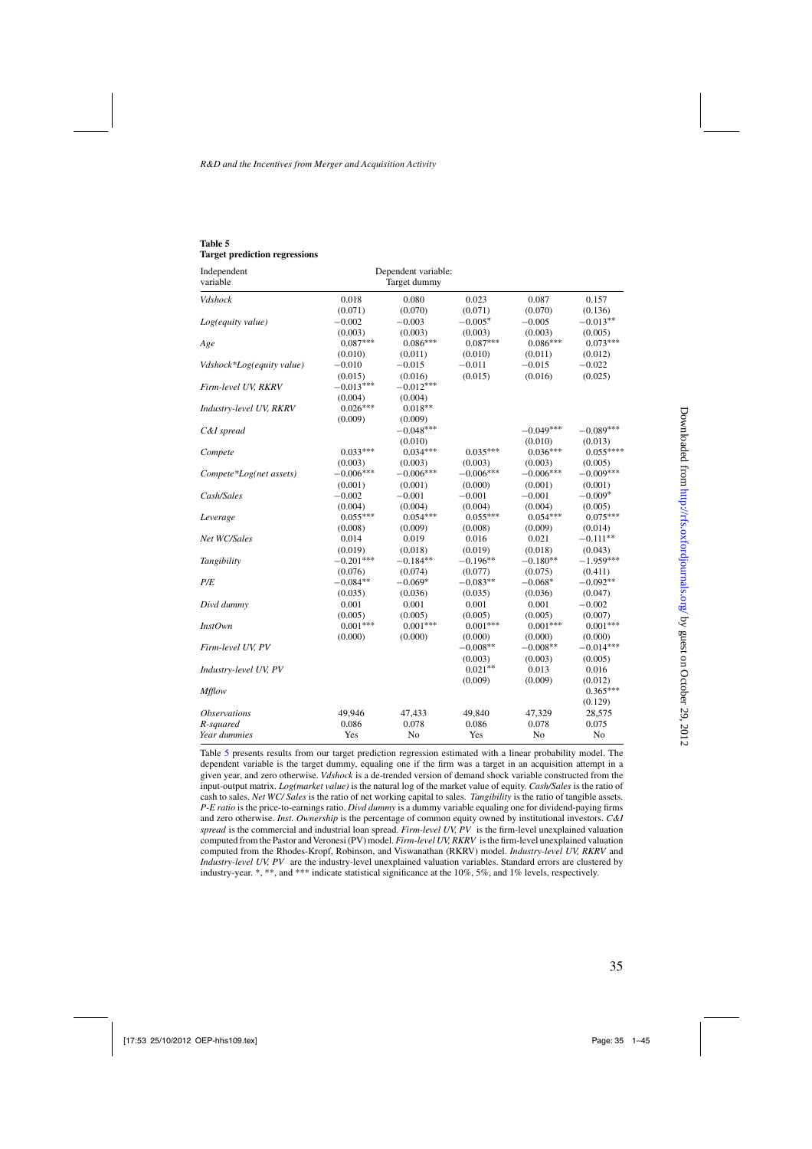<span id="page-34-0"></span>**Table 5 Target prediction regressions**

| Independent<br>variable    |                  | Dependent variable:<br>Target dummy |                  |                  |                  |
|----------------------------|------------------|-------------------------------------|------------------|------------------|------------------|
|                            |                  |                                     |                  |                  |                  |
| Vdshock                    | 0.018<br>(0.071) | 0.080<br>(0.070)                    | 0.023<br>(0.071) | 0.087<br>(0.070) | 0.157<br>(0.136) |
| Log(equity value)          | $-0.002$         | $-0.003$                            | $-0.005*$        | $-0.005$         | $-0.013**$       |
|                            | (0.003)          | (0.003)                             | (0.003)          | (0.003)          | (0.005)          |
| Age                        | $0.087***$       | $0.086***$                          | $0.087***$       | $0.086***$       | $0.073***$       |
|                            | (0.010)          | (0.011)                             | (0.010)          | (0.011)          | (0.012)          |
| Vdshock*Log(equity value)  | $-0.010$         | $-0.015$                            | $-0.011$         | $-0.015$         | $-0.022$         |
|                            | (0.015)          | (0.016)                             | (0.015)          | (0.016)          | (0.025)          |
| Firm-level UV, RKRV        | $-0.013***$      | $-0.012***$                         |                  |                  |                  |
|                            | (0.004)          | (0.004)                             |                  |                  |                  |
| Industry-level UV, RKRV    | $0.026***$       | $0.018**$                           |                  |                  |                  |
|                            | (0.009)          | (0.009)                             |                  |                  |                  |
| C&I spread                 |                  | $-0.048***$                         |                  | $-0.049***$      | $-0.089***$      |
|                            |                  | (0.010)                             |                  | (0.010)          | (0.013)          |
| Compete                    | $0.033***$       | $0.034***$                          | $0.035***$       | $0.036***$       | $0.055***$       |
|                            | (0.003)          | (0.003)                             | (0.003)          | (0.003)          | (0.005)          |
| Compete*Log(net assets)    | $-0.006***$      | $-0.006***$                         | $-0.006***$      | $-0.006***$      | $-0.009***$      |
|                            | (0.001)          | (0.001)                             | (0.000)          | (0.001)          | (0.001)          |
| Cash/Sales                 | $-0.002$         | $-0.001$                            | $-0.001$         | $-0.001$         | $-0.009*$        |
|                            | (0.004)          | (0.004)                             | (0.004)          | (0.004)          | (0.005)          |
| Leverage                   | $0.055***$       | $0.054***$                          | $0.055***$       | $0.054***$       | $0.075***$       |
|                            | (0.008)          | (0.009)                             | (0.008)          | (0.009)          | (0.014)          |
| Net WC/Sales               | 0.014            | 0.019                               | 0.016            | 0.021            | $-0.111**$       |
|                            | (0.019)          | (0.018)                             | (0.019)          | (0.018)          | (0.043)          |
| Tangibility                | $-0.201***$      | $-0.184**$                          | $-0.196**$       | $-0.180**$       | $-1.959***$      |
|                            | (0.076)          | (0.074)                             | (0.077)          | (0.075)          | (0.411)          |
| P/E                        | $-0.084**$       | $-0.069*$                           | $-0.083**$       | $-0.068*$        | $-0.092**$       |
|                            | (0.035)          | (0.036)                             | (0.035)          | (0.036)          | (0.047)          |
| Divd dummy                 | 0.001            | 0.001                               | 0.001            | 0.001            | $-0.002$         |
|                            | (0.005)          | (0.005)                             | (0.005)          | (0.005)          | (0.007)          |
| <b>InstOwn</b>             | $0.001***$       | $0.001***$                          | $0.001***$       | $0.001***$       | $0.001***$       |
|                            | (0.000)          | (0.000)                             | (0.000)          | (0.000)          | (0.000)          |
| Firm-level UV, PV          |                  |                                     | $-0.008**$       | $-0.008**$       | $-0.014***$      |
|                            |                  |                                     | (0.003)          | (0.003)          | (0.005)          |
| Industry-level UV, PV      |                  |                                     | $0.021**$        | 0.013            | 0.016            |
|                            |                  |                                     | (0.009)          | (0.009)          | (0.012)          |
| <b>Mfflow</b>              |                  |                                     |                  |                  | $0.365***$       |
|                            |                  |                                     |                  |                  | (0.129)          |
| <i><b>Observations</b></i> | 49,946           | 47,433                              | 49,840           | 47,329           | 28,575           |
| R-squared                  | 0.086            | 0.078                               | 0.086            | 0.078            | 0.075            |
| Year dummies               | Yes              | No                                  | Yes              | No               | No               |

Table 5 presents results from our target prediction regression estimated with a linear probability model. The dependent variable is the target dummy, equaling one if the firm was a target in an acquisition attempt in a given year, and zero otherwise. *Vdshock* is a de-trended version of demand shock variable constructed from the input-output matrix. *Log(market value)* is the natural log of the market value of equity. *Cash/Sales* is the ratio of cash to sales. *Net WC/ Sales* is the ratio of net working capital to sales. *Tangibility* is the ratio of tangible assets. *P-E ratio* is the price-to-earnings ratio. *Divd dummy* is a dummy variable equaling one for dividend-paying firms and zero otherwise. *Inst. Ownership* is the percentage of common equity owned by institutional investors. *C&I spread* is the commercial and industrial loan spread. *Firm-level UV, PV* is the firm-level unexplained valuation computed from the Pastor and Veronesi (PV) model. *Firm-level UV, RKRV* is the firm-level unexplained valuation computed from the Rhodes-Kropf, Robinson, and Viswanathan (RKRV) model. *Industry-level UV, RKRV* and *Industry-level UV, PV* are the industry-level unexplained valuation variables. Standard errors are clustered by industry-year. \*, \*\*, and \*\*\* indicate statistical significance at the 10%, 5%, and 1% levels, respectively.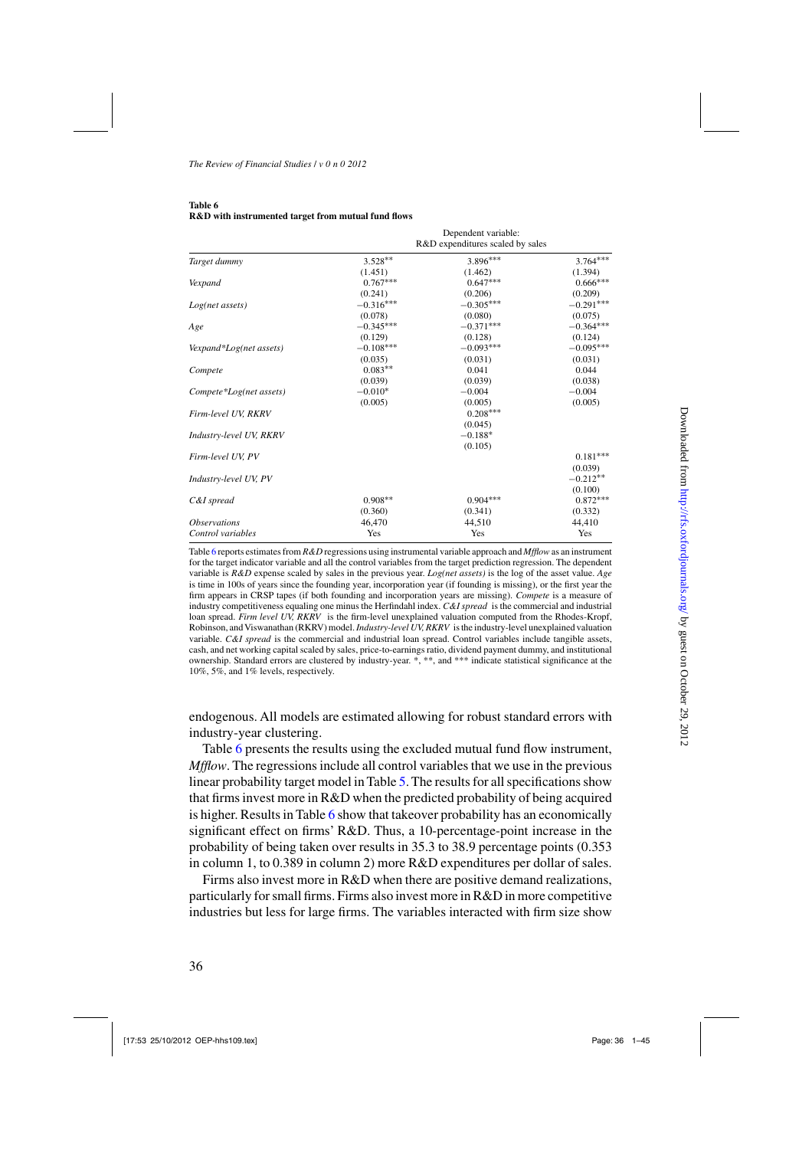<span id="page-35-0"></span>

| Table 6                                                        |  |
|----------------------------------------------------------------|--|
| <b>R&amp;D</b> with instrumented target from mutual fund flows |  |

|                            |             | Dependent variable:<br>R&D expenditures scaled by sales |             |
|----------------------------|-------------|---------------------------------------------------------|-------------|
| Target dummy               | $3.528**$   | 3.896***                                                | $3.764***$  |
|                            | (1.451)     | (1.462)                                                 | (1.394)     |
| Vexpand                    | $0.767***$  | $0.647***$                                              | $0.666***$  |
|                            | (0.241)     | (0.206)                                                 | (0.209)     |
| Log(net assets)            | $-0.316***$ | $-0.305***$                                             | $-0.291***$ |
|                            | (0.078)     | (0.080)                                                 | (0.075)     |
| Age                        | $-0.345***$ | $-0.371***$                                             | $-0.364***$ |
|                            | (0.129)     | (0.128)                                                 | (0.124)     |
| Vexpand*Log(net assets)    | $-0.108***$ | $-0.093***$                                             | $-0.095***$ |
|                            | (0.035)     | (0.031)                                                 | (0.031)     |
| Compete                    | $0.083**$   | 0.041                                                   | 0.044       |
|                            | (0.039)     | (0.039)                                                 | (0.038)     |
| Compete*Log(net assets)    | $-0.010*$   | $-0.004$                                                | $-0.004$    |
|                            | (0.005)     | (0.005)                                                 | (0.005)     |
| Firm-level UV, RKRV        |             | $0.208***$                                              |             |
|                            |             | (0.045)                                                 |             |
| Industry-level UV, RKRV    |             | $-0.188*$                                               |             |
|                            |             | (0.105)                                                 |             |
| Firm-level UV, PV          |             |                                                         | $0.181***$  |
|                            |             |                                                         | (0.039)     |
| Industry-level UV, PV      |             |                                                         | $-0.212**$  |
|                            |             |                                                         | (0.100)     |
| C&I spread                 | $0.908**$   | $0.904***$                                              | $0.872***$  |
|                            | (0.360)     | (0.341)                                                 | (0.332)     |
| <i><b>Observations</b></i> | 46,470      | 44,510                                                  | 44,410      |
| Control variables          | Yes         | Yes                                                     | Yes         |

Table 6 reports estimates from *R&D* regressions using instrumental variable approach and *Mfflow* as an instrument for the target indicator variable and all the control variables from the target prediction regression. The dependent variable is *R&D* expense scaled by sales in the previous year. *Log(net assets)* is the log of the asset value. *Age* is time in 100s of years since the founding year, incorporation year (if founding is missing), or the first year the firm appears in CRSP tapes (if both founding and incorporation years are missing). *Compete* is a measure of industry competitiveness equaling one minus the Herfindahl index. *C&I spread* is the commercial and industrial loan spread. *Firm level UV, RKRV* is the firm-level unexplained valuation computed from the Rhodes-Kropf, Robinson, and Viswanathan (RKRV) model.*Industry-level UV, RKRV* is the industry-level unexplained valuation variable. *C&I spread* is the commercial and industrial loan spread. Control variables include tangible assets, cash, and net working capital scaled by sales, price-to-earnings ratio, dividend payment dummy, and institutional ownership. Standard errors are clustered by industry-year. \*, \*\*, and \*\*\* indicate statistical significance at the 10%, 5%, and 1% levels, respectively.

endogenous. All models are estimated allowing for robust standard errors with industry-year clustering.

Table 6 presents the results using the excluded mutual fund flow instrument, *Mfflow*. The regressions include all control variables that we use in the previous linear probability target model in Table [5.](#page-34-0) The results for all specifications show that firms invest more in R&D when the predicted probability of being acquired is higher. Results in Table 6 show that takeover probability has an economically significant effect on firms' R&D. Thus, a 10-percentage-point increase in the probability of being taken over results in 35.3 to 38.9 percentage points (0.353 in column 1, to 0.389 in column 2) more R&D expenditures per dollar of sales.

Firms also invest more in R&D when there are positive demand realizations, particularly for small firms. Firms also invest more in R&D in more competitive industries but less for large firms. The variables interacted with firm size show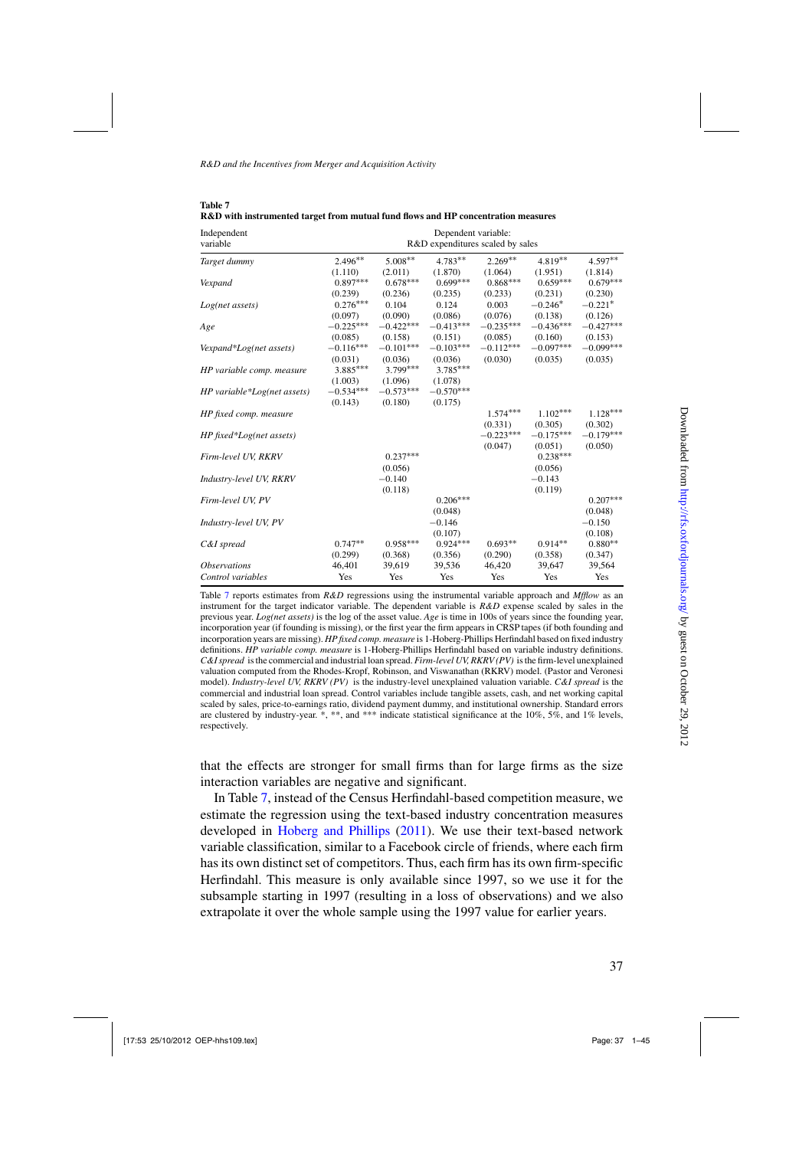| Independent                      |             |             | Dependent variable:              |             |             |             |
|----------------------------------|-------------|-------------|----------------------------------|-------------|-------------|-------------|
| variable                         |             |             | R&D expenditures scaled by sales |             |             |             |
| Target dummy                     | $2.496**$   | $5.008**$   | $4.783**$                        | $2.269**$   | 4.819**     | 4.597**     |
|                                  | (1.110)     | (2.011)     | (1.870)                          | (1.064)     | (1.951)     | (1.814)     |
| Vexpand                          | $0.897***$  | $0.678***$  | $0.699***$                       | $0.868***$  | $0.659***$  | $0.679***$  |
|                                  | (0.239)     | (0.236)     | (0.235)                          | (0.233)     | (0.231)     | (0.230)     |
| Log(net assets)                  | $0.276***$  | 0.104       | 0.124                            | 0.003       | $-0.246*$   | $-0.221*$   |
|                                  | (0.097)     | (0.090)     | (0.086)                          | (0.076)     | (0.138)     | (0.126)     |
| Age                              | $-0.225***$ | $-0.422***$ | $-0.413***$                      | $-0.235***$ | $-0.436***$ | $-0.427***$ |
|                                  | (0.085)     | (0.158)     | (0.151)                          | (0.085)     | (0.160)     | (0.153)     |
| Vexpand*Log(net assets)          | $-0.116***$ | $-0.101***$ | $-0.103***$                      | $-0.112***$ | $-0.097***$ | $-0.099***$ |
|                                  | (0.031)     | (0.036)     | (0.036)                          | (0.030)     | (0.035)     | (0.035)     |
| HP variable comp. measure        | $3.885***$  | $3.799***$  | $3.785***$                       |             |             |             |
|                                  | (1.003)     | (1.096)     | (1.078)                          |             |             |             |
| $HP$ variable* $Log(net$ assets) | $-0.534***$ | $-0.573***$ | $-0.570***$                      |             |             |             |
|                                  | (0.143)     | (0.180)     | (0.175)                          |             |             |             |
| HP fixed comp. measure           |             |             |                                  | $1.574***$  | $1.102***$  | $1.128***$  |
|                                  |             |             |                                  | (0.331)     | (0.305)     | (0.302)     |
| HP fixed*Log(net assets)         |             |             |                                  | $-0.223***$ | $-0.175***$ | $-0.179***$ |
|                                  |             |             |                                  | (0.047)     | (0.051)     | (0.050)     |
| Firm-level UV, RKRV              |             | $0.237***$  |                                  |             | $0.238***$  |             |
|                                  |             | (0.056)     |                                  |             | (0.056)     |             |
| Industry-level UV, RKRV          |             | $-0.140$    |                                  |             | $-0.143$    |             |
|                                  |             | (0.118)     |                                  |             | (0.119)     |             |
| Firm-level UV, PV                |             |             | $0.206***$                       |             |             | $0.207***$  |
|                                  |             |             | (0.048)                          |             |             | (0.048)     |
| Industry-level UV, PV            |             |             | $-0.146$                         |             |             | $-0.150$    |
|                                  |             |             | (0.107)                          |             |             | (0.108)     |
| C&I spread                       | $0.747**$   | $0.958***$  | $0.924***$                       | $0.693**$   | $0.914**$   | $0.880**$   |
|                                  | (0.299)     | (0.368)     | (0.356)                          | (0.290)     | (0.358)     | (0.347)     |
| <i><b>Observations</b></i>       | 46,401      | 39,619      | 39,536                           | 46,420      | 39,647      | 39,564      |
| Control variables                | Yes         | Yes         | Yes                              | Yes         | Yes         | Yes         |

<span id="page-36-0"></span>

| Table 7 |                                                                                   |  |
|---------|-----------------------------------------------------------------------------------|--|
|         | R&D with instrumented target from mutual fund flows and HP concentration measures |  |

Table 7 reports estimates from *R&D* regressions using the instrumental variable approach and *Mfflow* as an instrument for the target indicator variable. The dependent variable is *R&D* expense scaled by sales in the previous year. *Log(net assets)* is the log of the asset value. *Age* is time in 100s of years since the founding year, incorporation year (if founding is missing), or the first year the firm appears in CRSP tapes (if both founding and incorporation years are missing). *HP fixed comp. measure* is 1-Hoberg-Phillips Herfindahl based on fixed industry definitions. *HP variable comp. measure* is 1-Hoberg-Phillips Herfindahl based on variable industry definitions. *C&I spread* is the commercial and industrial loan spread. *Firm-level UV, RKRV (PV)* is the firm-level unexplained valuation computed from the Rhodes-Kropf, Robinson, and Viswanathan (RKRV) model. (Pastor and Veronesi model). *Industry-level UV, RKRV (PV)* is the industry-level unexplained valuation variable. *C&I spread* is the commercial and industrial loan spread. Control variables include tangible assets, cash, and net working capital scaled by sales, price-to-earnings ratio, dividend payment dummy, and institutional ownership. Standard errors are clustered by industry-year. \*, \*\*, and \*\*\* indicate statistical significance at the 10%, 5%, and 1% levels, respectively.

that the effects are stronger for small firms than for large firms as the size interaction variables are negative and significant.

In Table 7, instead of the Census Herfindahl-based competition measure, we estimate the regression using the text-based industry concentration measures developed in [Hoberg and Phillips](#page-43-0) [\(2011\)](#page-43-0). We use their text-based network variable classification, similar to a Facebook circle of friends, where each firm has its own distinct set of competitors. Thus, each firm has its own firm-specific Herfindahl. This measure is only available since 1997, so we use it for the subsample starting in 1997 (resulting in a loss of observations) and we also extrapolate it over the whole sample using the 1997 value for earlier years.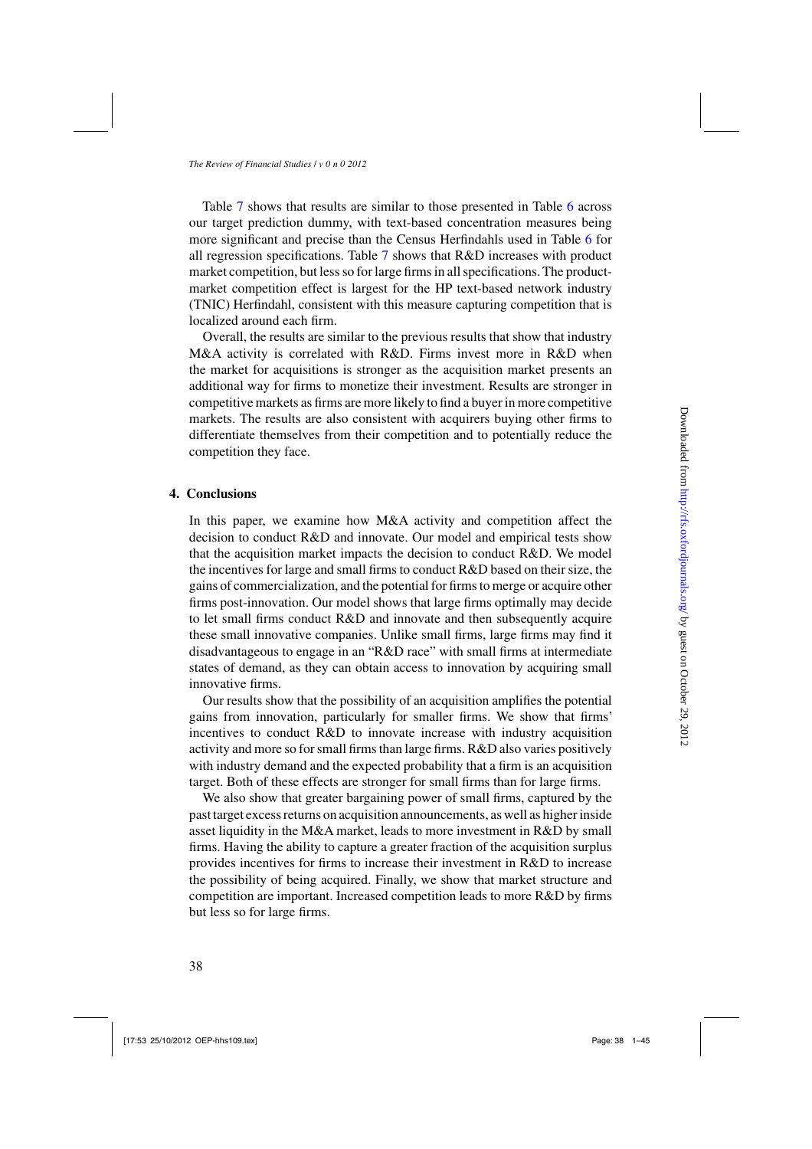Table [7](#page-36-0) shows that results are similar to those presented in Table [6](#page-35-0) across our target prediction dummy, with text-based concentration measures being more significant and precise than the Census Herfindahls used in Table [6](#page-35-0) for all regression specifications. Table [7](#page-36-0) shows that R&D increases with product market competition, but less so for large firms in all specifications. The productmarket competition effect is largest for the HP text-based network industry (TNIC) Herfindahl, consistent with this measure capturing competition that is localized around each firm.

Overall, the results are similar to the previous results that show that industry M&A activity is correlated with R&D. Firms invest more in R&D when the market for acquisitions is stronger as the acquisition market presents an additional way for firms to monetize their investment. Results are stronger in competitive markets as firms are more likely to find a buyer in more competitive markets. The results are also consistent with acquirers buying other firms to differentiate themselves from their competition and to potentially reduce the competition they face.

# **4. Conclusions**

In this paper, we examine how M&A activity and competition affect the decision to conduct R&D and innovate. Our model and empirical tests show that the acquisition market impacts the decision to conduct R&D. We model the incentives for large and small firms to conduct R&D based on their size, the gains of commercialization, and the potential for firms to merge or acquire other firms post-innovation. Our model shows that large firms optimally may decide to let small firms conduct R&D and innovate and then subsequently acquire these small innovative companies. Unlike small firms, large firms may find it disadvantageous to engage in an "R&D race" with small firms at intermediate states of demand, as they can obtain access to innovation by acquiring small innovative firms.

Our results show that the possibility of an acquisition amplifies the potential gains from innovation, particularly for smaller firms. We show that firms' incentives to conduct R&D to innovate increase with industry acquisition activity and more so for small firms than large firms. R&D also varies positively with industry demand and the expected probability that a firm is an acquisition target. Both of these effects are stronger for small firms than for large firms.

We also show that greater bargaining power of small firms, captured by the past target excess returns on acquisition announcements, as well as higher inside asset liquidity in the M&A market, leads to more investment in R&D by small firms. Having the ability to capture a greater fraction of the acquisition surplus provides incentives for firms to increase their investment in R&D to increase the possibility of being acquired. Finally, we show that market structure and competition are important. Increased competition leads to more R&D by firms but less so for large firms.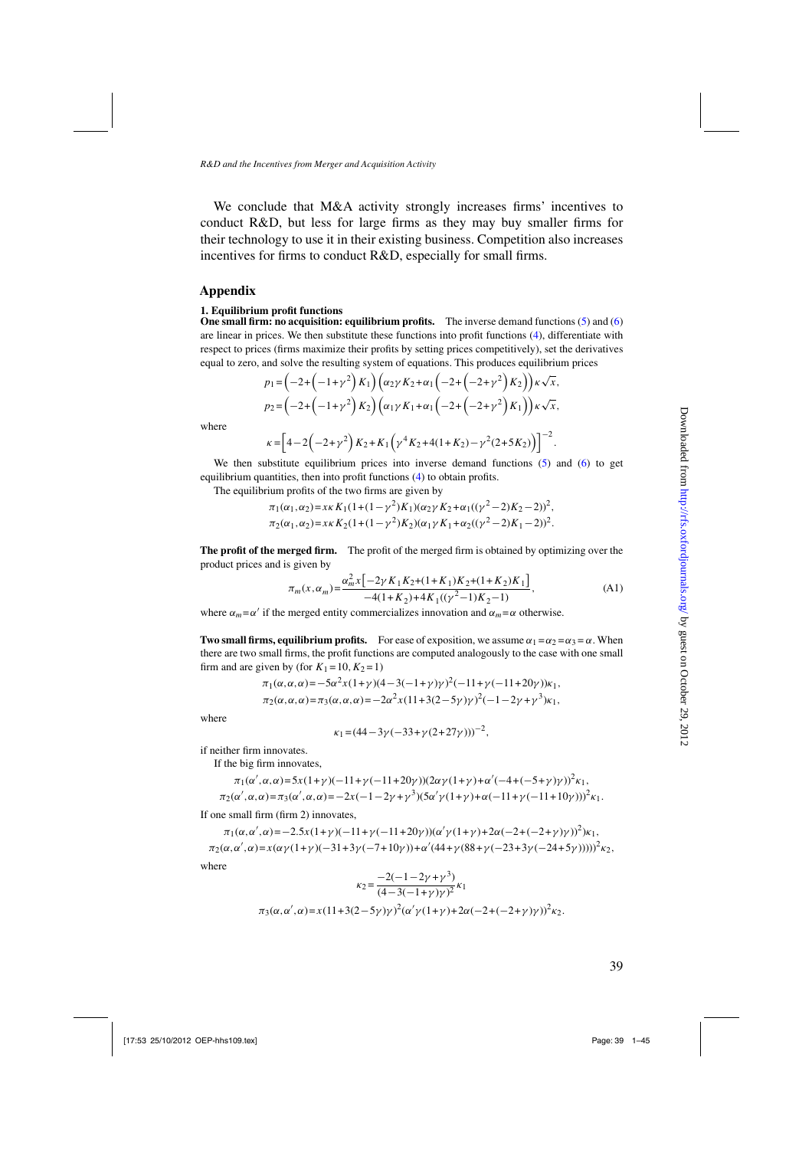We conclude that M&A activity strongly increases firms' incentives to conduct R&D, but less for large firms as they may buy smaller firms for their technology to use it in their existing business. Competition also increases incentives for firms to conduct R&D, especially for small firms.

#### **Appendix**

#### **1. Equilibrium profit functions**

**One small firm: no acquisition: equilibrium profits.** The inverse demand functions [\(5\)](#page-9-0) and [\(6\)](#page-9-0) are linear in prices. We then substitute these functions into profit functions [\(4\)](#page-7-0), differentiate with respect to prices (firms maximize their profits by setting prices competitively), set the derivatives equal to zero, and solve the resulting system of equations. This produces equilibrium prices

$$
p_1 = (-2 + (-1 + \gamma^2) K_1) (\alpha_2 \gamma K_2 + \alpha_1 (-2 + (-2 + \gamma^2) K_2)) \kappa \sqrt{x},
$$
  
\n
$$
p_2 = (-2 + (-1 + \gamma^2) K_2) (\alpha_1 \gamma K_1 + \alpha_1 (-2 + (-2 + \gamma^2) K_1)) \kappa \sqrt{x},
$$

where

$$
\kappa = \left[4 - 2\left(-2 + \gamma^2\right)K_2 + K_1\left(\gamma^4 K_2 + 4(1 + K_2) - \gamma^2(2 + 5K_2)\right)\right]^{-2}.
$$

We then substitute equilibrium prices into inverse demand functions [\(5\)](#page-9-0) and [\(6\)](#page-9-0) to get equilibrium quantities, then into profit functions [\(4\)](#page-7-0) to obtain profits.

The equilibrium profits of the two firms are given by

$$
\pi_1(\alpha_1,\alpha_2) = x\kappa K_1(1+(1-\gamma^2)K_1)(\alpha_2\gamma K_2 + \alpha_1((\gamma^2-2)K_2-2))^2,
$$
  
\n
$$
\pi_2(\alpha_1,\alpha_2) = x\kappa K_2(1+(1-\gamma^2)K_2)(\alpha_1\gamma K_1 + \alpha_2((\gamma^2-2)K_1-2))^2.
$$

**The profit of the merged firm.** The profit of the merged firm is obtained by optimizing over the product prices and is given by

$$
\pi_m(x, \alpha_m) = \frac{\alpha_m^2 x \left[ -2\gamma K_1 K_2 + (1 + K_1) K_2 + (1 + K_2) K_1 \right]}{-4(1 + K_2) + 4K_1((\gamma^2 - 1) K_2 - 1)},
$$
\n(A1)

where  $\alpha_m = \alpha'$  if the merged entity commercializes innovation and  $\alpha_m = \alpha$  otherwise.

**Two small firms, equilibrium profits.** For ease of exposition, we assume  $\alpha_1 = \alpha_2 = \alpha_3 = \alpha$ . When there are two small firms, the profit functions are computed analogously to the case with one small firm and are given by (for  $K_1 = 10, K_2 = 1$ )

$$
\pi_1(\alpha,\alpha,\alpha) = -5\alpha^2 x (1+\gamma)(4-3(-1+\gamma)\gamma)^2(-11+\gamma(-11+20\gamma))\kappa_1,\pi_2(\alpha,\alpha,\alpha) = \pi_3(\alpha,\alpha,\alpha) = -2\alpha^2 x (11+3(2-5\gamma)\gamma)^2(-1-2\gamma+\gamma^3)\kappa_1,
$$

where

$$
\kappa_1 = (44 - 3\gamma(-33 + \gamma(2 + 27\gamma)))^{-2},
$$

if neither firm innovates.

If the big firm innovates,

$$
\pi_1(\alpha', \alpha, \alpha) = 5x(1+\gamma)(-11+\gamma(-11+20\gamma))(2\alpha\gamma(1+\gamma)+\alpha'(-4+(-5+\gamma)\gamma))^2\kappa_1,\pi_2(\alpha', \alpha, \alpha) = \pi_3(\alpha', \alpha, \alpha) = -2x(-1-2\gamma+\gamma^3)(5\alpha'\gamma(1+\gamma)+\alpha(-11+\gamma(-11+10\gamma)))^2\kappa_1.
$$

If one small firm (firm 2) innovates,

$$
\pi_1(\alpha,\alpha',\alpha) = -2.5x(1+\gamma)(-11+\gamma(-11+20\gamma))( \alpha'\gamma(1+\gamma) + 2\alpha(-2+(-2+\gamma)\gamma))^2)\kappa_1,
$$
  
\n
$$
\pi_2(\alpha,\alpha',\alpha) = x(\alpha\gamma(1+\gamma)(-31+3\gamma(-7+10\gamma)) + \alpha'(44+\gamma(88+\gamma(-23+3\gamma(-24+5\gamma))))^2\kappa_2,
$$

where

$$
\kappa_2 = \frac{-2(-1-2\gamma + \gamma^3)}{(4-3(-1+\gamma)\gamma)^2} \kappa_1
$$
  

$$
\pi_3(\alpha, \alpha', \alpha) = x(11+3(2-5\gamma)\gamma)^2 (\alpha'\gamma(1+\gamma) + 2\alpha(-2+(-2+\gamma)\gamma))^2 \kappa_2.
$$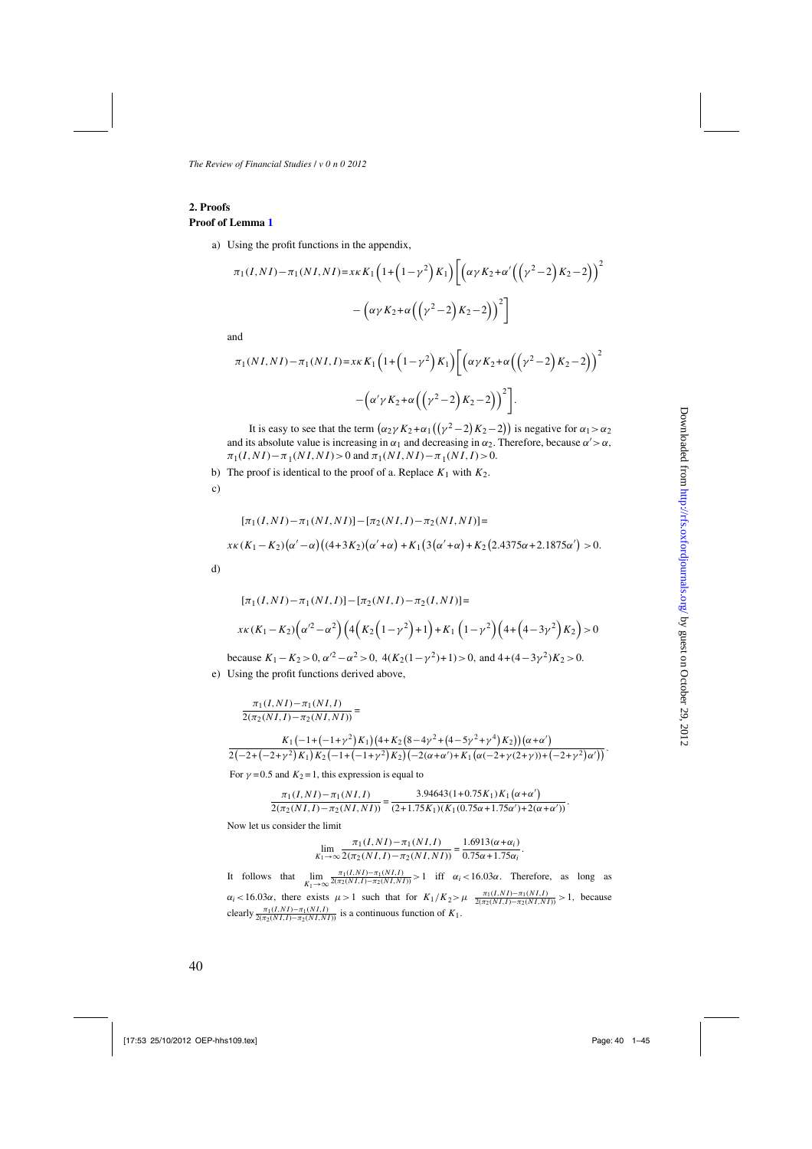#### **2. Proofs Proof of Lemma [1](#page-10-0)**

a) Using the profit functions in the appendix,

$$
\pi_1(I, NI) - \pi_1(NI, NI) = x\kappa K_1 \left( 1 + \left( 1 - \gamma^2 \right) K_1 \right) \left[ \left( \alpha \gamma K_2 + \alpha' \left( \left( \gamma^2 - 2 \right) K_2 - 2 \right) \right)^2 - \left( \alpha \gamma K_2 + \alpha \left( \left( \gamma^2 - 2 \right) K_2 - 2 \right) \right)^2 \right]
$$

and

$$
\pi_1(NI, NI) - \pi_1(NI, I) = x\kappa K_1 \left( 1 + \left( 1 - \gamma^2 \right) K_1 \right) \left[ \left( \alpha \gamma K_2 + \alpha \left( \left( \gamma^2 - 2 \right) K_2 - 2 \right) \right)^2 - \left( \alpha' \gamma K_2 + \alpha \left( \left( \gamma^2 - 2 \right) K_2 - 2 \right) \right)^2 \right].
$$

It is easy to see that the term  $(\alpha_2 \gamma K_2 + \alpha_1 ((\gamma^2 - 2) K_2 - 2))$  is negative for  $\alpha_1 > \alpha_2$ and its absolute value is increasing in  $\alpha_1$  and decreasing in  $\alpha_2$ . Therefore, because  $\alpha' > \alpha$ ,  $\pi_1(I, NI) - \pi_1(NI, NI) > 0$  and  $\pi_1(NI, NI) - \pi_1(NI, I) > 0$ .

b) The proof is identical to the proof of a. Replace  $K_1$  with  $K_2$ .

c)

$$
[\pi_1(I, NI) - \pi_1(NI, NI)] - [\pi_2(NI, I) - \pi_2(NI, NI)] =
$$
  

$$
x\kappa(K_1 - K_2)(\alpha' - \alpha)((4 + 3K_2)(\alpha' + \alpha) + K_1(3(\alpha' + \alpha) + K_2(2.4375\alpha + 2.1875\alpha') > 0.
$$

d)

$$
[\pi_1(I, NI) - \pi_1(NI, I)] - [\pi_2(NI, I) - \pi_2(I, NI)] =
$$
  

$$
x\kappa(K_1 - K_2) \left( \alpha'^2 - \alpha^2 \right) \left( 4 \left( K_2 \left( 1 - \gamma^2 \right) + 1 \right) + K_1 \left( 1 - \gamma^2 \right) \left( 4 + \left( 4 - 3\gamma^2 \right) K_2 \right) > 0
$$

 $bc \text{cause } K_1 - K_2 > 0, \ \alpha'^2 - \alpha^2 > 0, \ 4(K_2(1 - \gamma^2) + 1) > 0, \ \text{and } 4 + (4 - 3\gamma^2)K_2 > 0.$ e) Using the profit functions derived above,

$$
\frac{\pi_1(I,NI) - \pi_1(NI,I)}{2(\pi_2(NI,I) - \pi_2(NI,NI))} =
$$
\n
$$
\frac{K_1(-1+(-1+\gamma^2)K_1)(4+K_2(8-4\gamma^2+(4-5\gamma^2+\gamma^4)K_2))(\alpha+\alpha')}{2(-2+(-2+\gamma^2)K_1)K_2(-1+(-1+\gamma^2)K_2)(-2(\alpha+\alpha')+K_1(\alpha(-2+\gamma(2+\gamma))+(2+\gamma^2)\alpha') )}.
$$

For  $\gamma = 0.5$  and  $K_2 = 1$ , this expression is equal to

$$
\frac{\pi_1(I,NI) - \pi_1(NI, I)}{2(\pi_2(NI, I) - \pi_2(NI, NI))} = \frac{3.94643(1 + 0.75K_1)K_1(\alpha + \alpha')}{(2 + 1.75K_1)(K_1(0.75\alpha + 1.75\alpha') + 2(\alpha + \alpha'))}.
$$

Now let us consider the limit

$$
\lim_{K_1 \to \infty} \frac{\pi_1(I, NI) - \pi_1(NI, I)}{2(\pi_2(NI, I) - \pi_2(NI, NI))} = \frac{1.6913(\alpha + \alpha_i)}{0.75\alpha + 1.75\alpha_i}
$$

*.*

It follows that  $\frac{\pi_1(I, NI) - \pi_1(NI, I)}{2(\pi_2(NI, I) - \pi_2(NI, NI))} > 1$  iff *αi* < 16*.*03*α*. Therefore, as long as *αi* < 16*.*03*α*, there exists  $μ > 1$  such that for  $K_1/K_2 > μ$   $\frac{π_1(1,N1)-π_1(NI,I)}{2(π_2(NI,I)-π_2(NI,NI))} > 1$ , because clearly  $\frac{\pi_1(I, NI) - \pi_1(NI, I)}{2(\pi_2(NI, I) - \pi_2(NI, NI))}$  is a continuous function of  $K_1$ .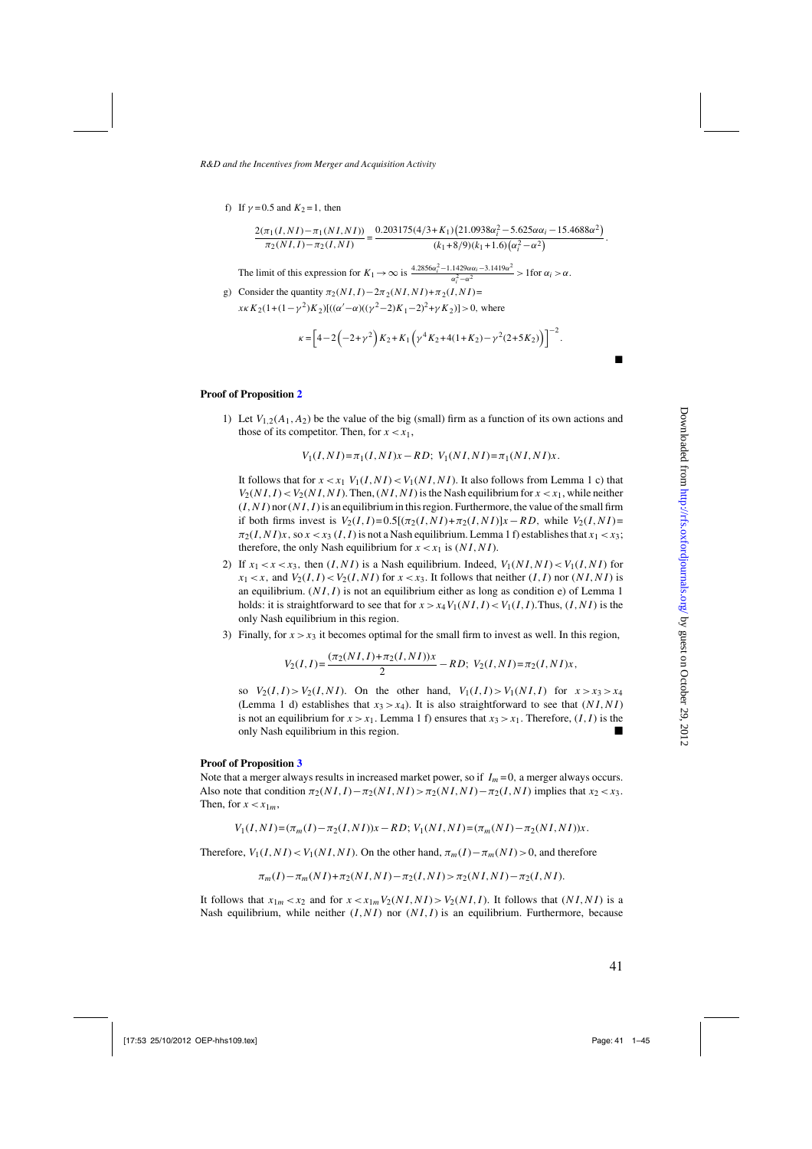$\blacksquare$ 

f) If  $\nu = 0.5$  and  $K_2 = 1$ , then

$$
\frac{2(\pi_1(I,NI) - \pi_1(NI,NI))}{\pi_2(NI, I) - \pi_2(I,NI)} = \frac{0.203175(4/3 + K_1)(21.0938\alpha_i^2 - 5.625\alpha\alpha_i - 15.4688\alpha^2)}{(k_1 + 8/9)(k_1 + 1.6)(\alpha_i^2 - \alpha^2)}.
$$

The limit of this expression for *K*<sub>1</sub> → ∞ is  $\frac{4.2856α_i^2 - 1.1429αα_i - 3.1419α^2}{α_i^2 - α^2}$  > 1for *α<sub>i</sub>* > *α*.

g) Consider the quantity  $\pi_2(NI, I) - 2\pi_2(NI, NI) + \pi_2(I, NI)$ =  $x \kappa K_2(1 + (1 - \gamma^2)K_2)[((\alpha' - \alpha)((\gamma^2 - 2)K_1 - 2)^2 + \gamma K_2)] > 0$ , where

$$
\kappa = \left[4 - 2\left(-2 + \gamma^2\right)K_2 + K_1\left(\gamma^4 K_2 + 4(1 + K_2) - \gamma^2(2 + 5K_2)\right)\right]^{-2}.
$$

#### **Proof of Proposition [2](#page-11-0)**

1) Let  $V_{1,2}(A_1, A_2)$  be the value of the big (small) firm as a function of its own actions and those of its competitor. Then, for  $x < x_1$ ,

$$
V_1(I, NI) = \pi_1(I, NI)x - RD; \ \ V_1(NI, NI) = \pi_1(NI, NI)x.
$$

It follows that for  $x < x_1$   $V_1(I, NI) < V_1(NI, NI)$ . It also follows from Lemma 1 c) that  $V_2(NI, I) < V_2(NI, NI)$ . Then,  $(NI, NI)$  is the Nash equilibrium for  $x < x_1$ , while neither  $(I, NI)$  nor  $(NI, I)$  is an equilibrium in this region. Furthermore, the value of the small firm if both firms invest is  $V_2(I, I) = 0.5[(\pi_2(I, NI) + \pi_2(I, NI)]x - RD$ , while  $V_2(I, NI) =$  $\pi_2(I, NI)x$ , so  $x \le x_3 (I, I)$  is not a Nash equilibrium. Lemma 1 f) establishes that  $x_1 \le x_3$ ; therefore, the only Nash equilibrium for  $x \leq x_1$  is  $(NI, NI)$ .

- 2) If  $x_1 < x < x_3$ , then  $(I, NI)$  is a Nash equilibrium. Indeed,  $V_1(NI, NI) < V_1(I, NI)$  for  $x_1 < x$ , and  $V_2(I, I) < V_2(I, NI)$  for  $x < x_3$ . It follows that neither  $(I, I)$  nor  $(NI, NI)$  is an equilibrium.  $(NI, I)$  is not an equilibrium either as long as condition e) of Lemma 1 holds: it is straightforward to see that for  $x > x_4 V_1(N, I) < V_1(I, I)$ . Thus,  $(I, NI)$  is the only Nash equilibrium in this region.
- 3) Finally, for  $x > x_3$  it becomes optimal for the small firm to invest as well. In this region,

$$
V_2(I,I) = \frac{(\pi_2(NI,I) + \pi_2(I,NI))x}{2} - RD; \ V_2(I,NI) = \pi_2(I,NI)x,
$$

so  $V_2(I, I) > V_2(I, NI)$ *.* On the other hand,  $V_1(I, I) > V_1(NI, I)$  for  $x > x_3 > x_4$ (Lemma 1 d) establishes that  $x_3 > x_4$ ). It is also straightforward to see that  $(NI, NI)$ is not an equilibrium for  $x > x_1$ . Lemma 1 f) ensures that  $x_3 > x_1$ . Therefore,  $(I, I)$  is the only Nash equilibrium in this region. -

#### **Proof of Proposition [3](#page-13-0)**

Note that a merger always results in increased market power, so if  $I_m = 0$ , a merger always occurs. Also note that condition  $\pi_2(NI, I) - \pi_2(NI, NI) > \pi_2(NI, NI) - \pi_2(I, NI)$  implies that  $x_2 < x_3$ . Then, for  $x < x_{1m}$ ,

$$
V_1(I,NI) = (\pi_m(I) - \pi_2(I,NI))x - RD; \ V_1(NI,NI) = (\pi_m(NI) - \pi_2(NI,NI))x.
$$

Therefore,  $V_1(I, NI) < V_1(NI, NI)$ . On the other hand,  $\pi_m(I) - \pi_m(NI) > 0$ , and therefore

$$
\pi_m(I) - \pi_m(NI) + \pi_2(NI, NI) - \pi_2(I, NI) > \pi_2(NI, NI) - \pi_2(I, NI).
$$

It follows that  $x_{1m} < x_2$  and for  $x < x_{1m}V_2(NI,NI) > V_2(NI,I)$ . It follows that  $(NI,NI)$  is a Nash equilibrium, while neither  $(I, NI)$  nor  $(NI, I)$  is an equilibrium. Furthermore, because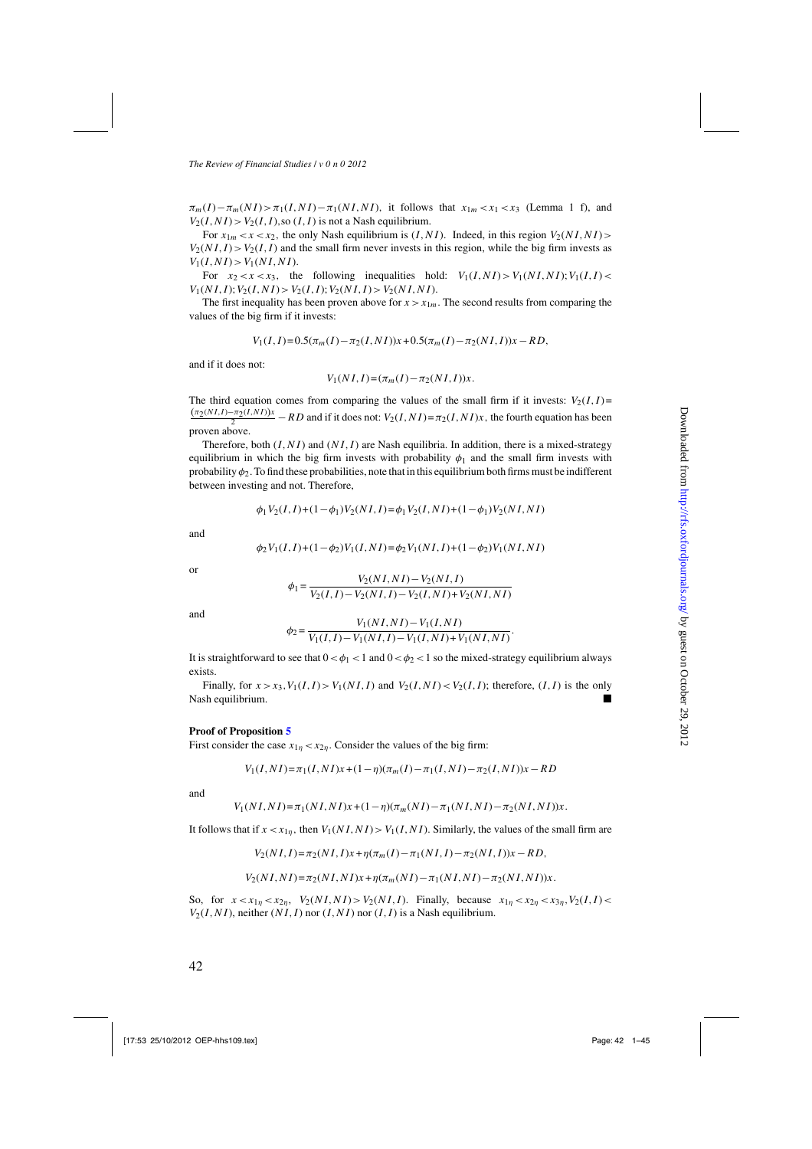$\pi_m(I) - \pi_m(NI) > \pi_1(I, NI) - \pi_1(NI, NI)$ , it follows that  $x_{1m} < x_1 < x_3$  (Lemma 1 f), and  $V_2(I, NI) > V_2(I, I)$ , so  $(I, I)$  is not a Nash equilibrium.

For  $x_{1m} < x < x_2$ , the only Nash equilibrium is  $(I, NI)$ . Indeed, in this region  $V_2(NI, NI)$  $V_2(NI,I) > V_2(I,I)$  and the small firm never invests in this region, while the big firm invests as  $V_1(I, NI) > V_1(NI, NI)$ .

For  $x_2 < x < x_3$ , the following inequalities hold:  $V_1(I, NI) > V_1(NI, NI)$ ;  $V_1(I, I) <$  $V_1(NI, I); V_2(I, NI) > V_2(I, I); V_2(NI, I) > V_2(NI, NI).$ 

The first inequality has been proven above for  $x > x<sub>1m</sub>$ . The second results from comparing the values of the big firm if it invests:

$$
V_1(I, I) = 0.5(\pi_m(I) - \pi_2(I, NI))x + 0.5(\pi_m(I) - \pi_2(NI, I))x - RD,
$$

and if it does not:

$$
V_1(NI, I) = (\pi_m(I) - \pi_2(NI, I))x.
$$

The third equation comes from comparing the values of the small firm if it invests:  $V_2(I,I)$  $\frac{(\pi_2(NI,I)-\pi_2(I,NI))x}{2}$  – *RD* and if it does not:  $V_2(I,NI)=\pi_2(I,NI)x$ , the fourth equation has been proven above.

Therefore, both  $(I, NI)$  and  $(NI, I)$  are Nash equilibria. In addition, there is a mixed-strategy equilibrium in which the big firm invests with probability  $\phi_1$  and the small firm invests with probability *φ*2*.*To find these probabilities, note that in this equilibrium both firms must be indifferent between investing and not. Therefore,

$$
\phi_1 V_2(I, I) + (1 - \phi_1) V_2(NI, I) = \phi_1 V_2(I, NI) + (1 - \phi_1) V_2(NI, NI)
$$

and

$$
\phi_2 V_1(I,I) + (1 - \phi_2) V_1(I,NI) = \phi_2 V_1(NI,I) + (1 - \phi_2) V_1(NI,NI)
$$

or

$$
\phi_1 = \frac{V_2(NI,NI) - V_2(NI,I)}{V_2(I,I) - V_2(NI,I) - V_2(I,NI) + V_2(NI,NI)}
$$

and

$$
\phi_2 = \frac{V_1(NI, NI) - V_1(I, NI)}{V_1(I, I) - V_1(NI, I) - V_1(I, NI) + V_1(NI, NI)}.
$$

It is straightforward to see that  $0 < \phi_1 < 1$  and  $0 < \phi_2 < 1$  so the mixed-strategy equilibrium always exists.

Finally, for  $x > x_3$ ,  $V_1(I, I) > V_1(NI, I)$  and  $V_2(I, NI) < V_2(I, I)$ ; therefore,  $(I, I)$  is the only Nash equilibrium.

#### **Proof of Proposition [5](#page-17-0)**

First consider the case  $x_{1n} < x_{2n}$ . Consider the values of the big firm:

$$
V_1(I,NI) = \pi_1(I,NI)x + (1-\eta)(\pi_m(I) - \pi_1(I,NI) - \pi_2(I,NI))x - RD
$$

and

$$
V_1(NI,NI){=}\pi_1(NI,NI)x{+}(1-\eta)(\pi_m(NI){-}\pi_1(NI,NI){-}\pi_2(NI,NI))x.
$$

It follows that if  $x \lt x_{1n}$ , then  $V_1(NI, NI) > V_1(I, NI)$ . Similarly, the values of the small firm are

$$
V_2(NI, I) = \pi_2(NI, I)x + \eta(\pi_m(I) - \pi_1(NI, I) - \pi_2(NI, I))x - RD,
$$

$$
V_2(NI,NI) = \pi_2(NI,NI)x + \eta(\pi_m(NI) - \pi_1(NI,NI) - \pi_2(NI,NI))x.
$$

So, for  $x < x_{1\eta} < x_{2\eta}$ ,  $V_2(NI, NI) > V_2(NI, I)$ . Finally, because  $x_{1\eta} < x_{2\eta} < x_{3\eta}$ ,  $V_2(I, I) <$  $V_2(I, NI)$ , neither  $(NI, I)$  nor  $(I, NI)$  nor  $(I, I)$  is a Nash equilibrium.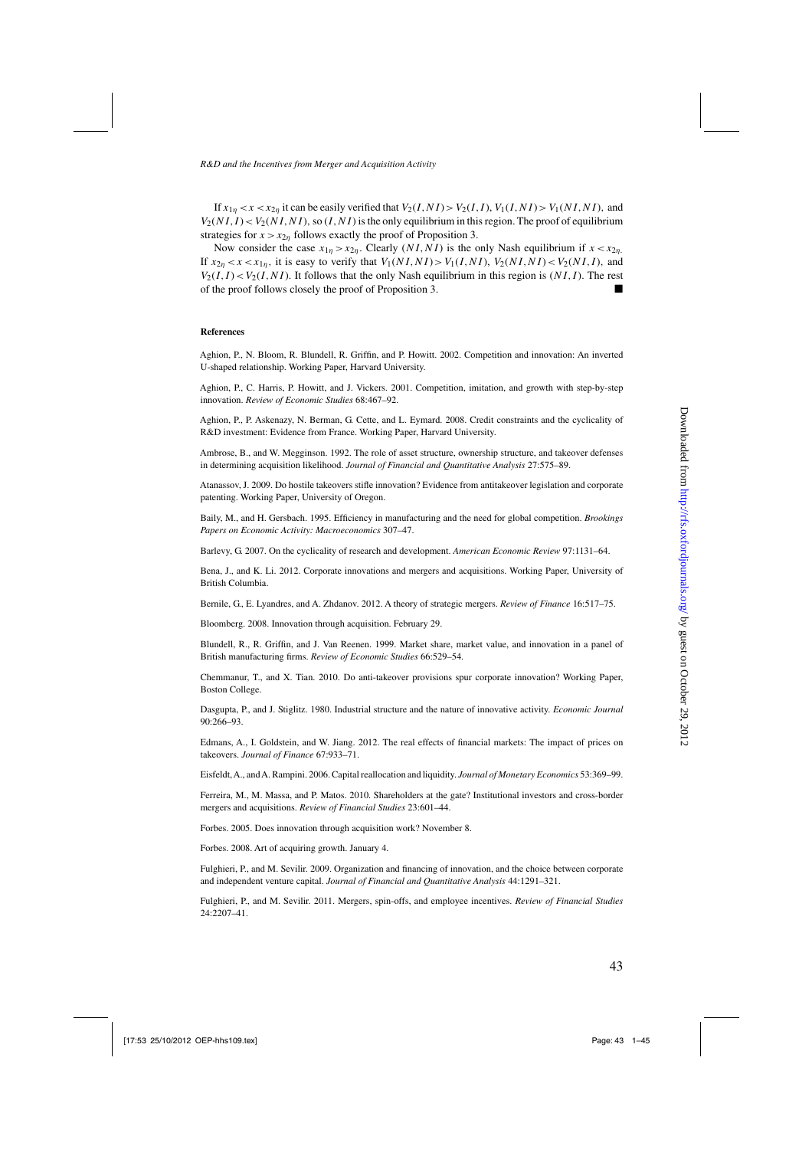<span id="page-42-0"></span>If  $x_{1n} < x < x_{2n}$  it can be easily verified that  $V_2(I, NI) > V_2(I, I)$ ,  $V_1(I, NI) > V_1(NI, NI)$ , and  $V_2(NI,I) < V_2(NI,NI)$ , so  $(I,NI)$  is the only equilibrium in this region. The proof of equilibrium strategies for  $x > x_{2n}$  follows exactly the proof of Proposition 3.

Now consider the case  $x_{1n} > x_{2n}$ . Clearly  $(NI, NI)$  is the only Nash equilibrium if  $x < x_{2n}$ . If  $x_{2n} < x < x_{1n}$ , it is easy to verify that  $V_1(NI,NI) > V_1(I,NI)$ ,  $V_2(NI,NI) < V_2(NI,I)$ , and  $V_2(I, I) \lt V_2(I, NI)$ . It follows that the only Nash equilibrium in this region is  $(NI, I)$ . The rest of the proof follows closely the proof of Proposition 3. -

#### **References**

Aghion, P., N. Bloom, R. Blundell, R. Griffin, and P. Howitt. 2002. Competition and innovation: An inverted U-shaped relationship. Working Paper, Harvard University.

Aghion, P., C. Harris, P. Howitt, and J. Vickers. 2001. Competition, imitation, and growth with step-by-step innovation. *Review of Economic Studies* 68:467–92.

Aghion, P., P. Askenazy, N. Berman, G. Cette, and L. Eymard. 2008. Credit constraints and the cyclicality of R&D investment: Evidence from France. Working Paper, Harvard University.

Ambrose, B., and W. Megginson. 1992. The role of asset structure, ownership structure, and takeover defenses in determining acquisition likelihood. *Journal of Financial and Quantitative Analysis* 27:575–89.

Atanassov, J. 2009. Do hostile takeovers stifle innovation? Evidence from antitakeover legislation and corporate patenting. Working Paper, University of Oregon.

Baily, M., and H. Gersbach. 1995. Efficiency in manufacturing and the need for global competition. *Brookings Papers on Economic Activity: Macroeconomics* 307–47.

Barlevy, G. 2007. On the cyclicality of research and development. *American Economic Review* 97:1131–64.

Bena, J., and K. Li. 2012. Corporate innovations and mergers and acquisitions. Working Paper, University of British Columbia.

Bernile, G., E. Lyandres, and A. Zhdanov. 2012. A theory of strategic mergers. *Review of Finance* 16:517–75.

Bloomberg. 2008. Innovation through acquisition. February 29.

Blundell, R., R. Griffin, and J. Van Reenen. 1999. Market share, market value, and innovation in a panel of British manufacturing firms. *Review of Economic Studies* 66:529–54.

Chemmanur, T., and X. Tian. 2010. Do anti-takeover provisions spur corporate innovation? Working Paper, Boston College.

Dasgupta, P., and J. Stiglitz. 1980. Industrial structure and the nature of innovative activity. *Economic Journal* 90:266–93.

Edmans, A., I. Goldstein, and W. Jiang. 2012. The real effects of financial markets: The impact of prices on takeovers. *Journal of Finance* 67:933–71.

Eisfeldt,A., andA. Rampini. 2006. Capital reallocation and liquidity. *Journal of Monetary Economics* 53:369–99.

Ferreira, M., M. Massa, and P. Matos. 2010. Shareholders at the gate? Institutional investors and cross-border mergers and acquisitions. *Review of Financial Studies* 23:601–44.

Forbes. 2005. Does innovation through acquisition work? November 8.

Forbes. 2008. Art of acquiring growth. January 4.

Fulghieri, P., and M. Sevilir. 2009. Organization and financing of innovation, and the choice between corporate and independent venture capital. *Journal of Financial and Quantitative Analysis* 44:1291–321.

Fulghieri, P., and M. Sevilir. 2011. Mergers, spin-offs, and employee incentives. *Review of Financial Studies* 24:2207–41.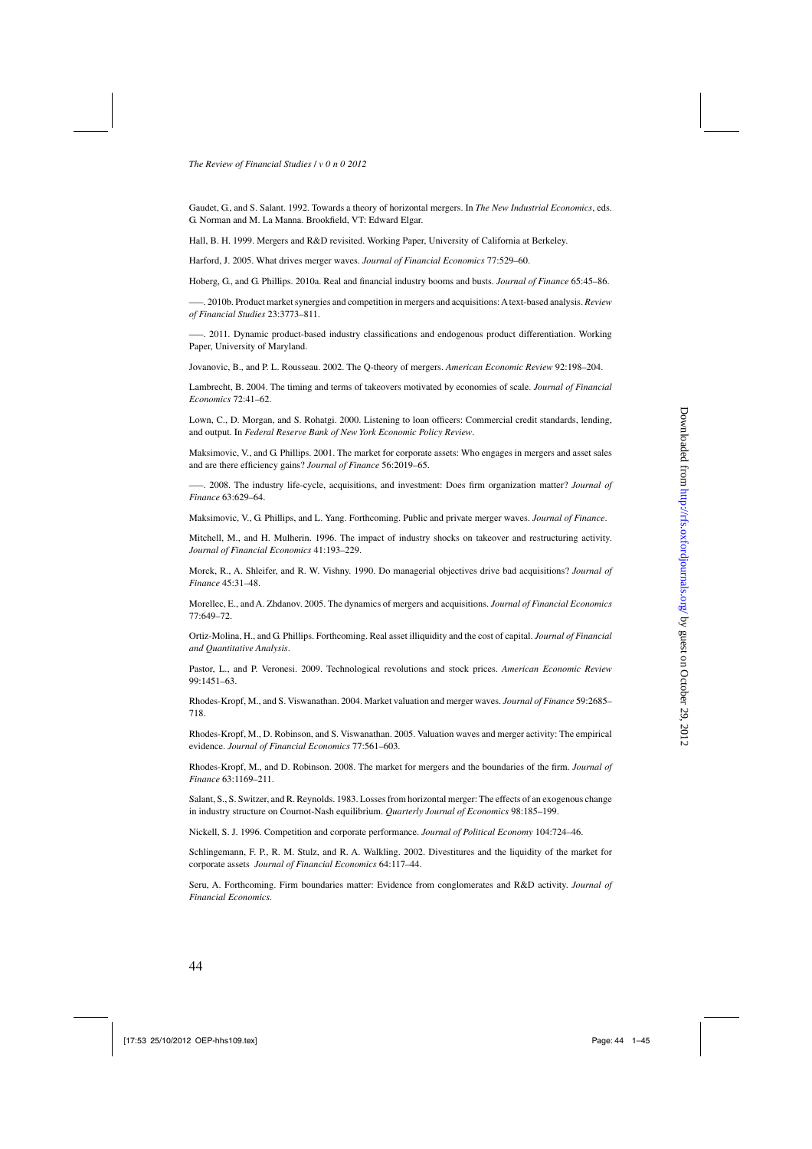<span id="page-43-0"></span>Gaudet, G., and S. Salant. 1992. Towards a theory of horizontal mergers. In *The New Industrial Economics*, eds. G. Norman and M. La Manna. Brookfield, VT: Edward Elgar.

Hall, B. H. 1999. Mergers and R&D revisited. Working Paper, University of California at Berkeley.

Harford, J. 2005. What drives merger waves. *Journal of Financial Economics* 77:529–60.

Hoberg, G., and G. Phillips. 2010a. Real and financial industry booms and busts. *Journal of Finance* 65:45–86.

—–. 2010b. Product market synergies and competition in mergers and acquisitions: Atext-based analysis. *Review of Financial Studies* 23:3773–811.

—–. 2011. Dynamic product-based industry classifications and endogenous product differentiation. Working Paper, University of Maryland.

Jovanovic, B., and P. L. Rousseau. 2002. The Q-theory of mergers. *American Economic Review* 92:198–204.

Lambrecht, B. 2004. The timing and terms of takeovers motivated by economies of scale. *Journal of Financial Economics* 72:41–62.

Lown, C., D. Morgan, and S. Rohatgi. 2000. Listening to loan officers: Commercial credit standards, lending, and output. In *Federal Reserve Bank of New York Economic Policy Review*.

Maksimovic, V., and G. Phillips. 2001. The market for corporate assets: Who engages in mergers and asset sales and are there efficiency gains? *Journal of Finance* 56:2019–65.

—–. 2008. The industry life-cycle, acquisitions, and investment: Does firm organization matter? *Journal of Finance* 63:629–64.

Maksimovic, V., G. Phillips, and L. Yang. Forthcoming. Public and private merger waves. *Journal of Finance*.

Mitchell, M., and H. Mulherin. 1996. The impact of industry shocks on takeover and restructuring activity. *Journal of Financial Economics* 41:193–229.

Morck, R., A. Shleifer, and R. W. Vishny. 1990. Do managerial objectives drive bad acquisitions? *Journal of Finance* 45:31–48.

Morellec, E., and A. Zhdanov. 2005. The dynamics of mergers and acquisitions. *Journal of Financial Economics* 77:649–72.

Ortiz-Molina, H., and G. Phillips. Forthcoming. Real asset illiquidity and the cost of capital. *Journal of Financial and Quantitative Analysis*.

Pastor, L., and P. Veronesi. 2009. Technological revolutions and stock prices. *American Economic Review* 99:1451–63.

Rhodes-Kropf, M., and S. Viswanathan. 2004. Market valuation and merger waves. *Journal of Finance* 59:2685– 718.

Rhodes-Kropf, M., D. Robinson, and S. Viswanathan. 2005. Valuation waves and merger activity: The empirical evidence. *Journal of Financial Economics* 77:561–603.

Rhodes-Kropf, M., and D. Robinson. 2008. The market for mergers and the boundaries of the firm. *Journal of Finance* 63:1169–211.

Salant, S., S. Switzer, and R. Reynolds. 1983. Losses from horizontal merger: The effects of an exogenous change in industry structure on Cournot-Nash equilibrium. *Quarterly Journal of Economics* 98:185–199.

Nickell, S. J. 1996. Competition and corporate performance. *Journal of Political Economy* 104:724–46.

Schlingemann, F. P., R. M. Stulz, and R. A. Walkling. 2002. Divestitures and the liquidity of the market for corporate assets *Journal of Financial Economics* 64:117–44.

Seru, A. Forthcoming. Firm boundaries matter: Evidence from conglomerates and R&D activity. *Journal of Financial Economics.*